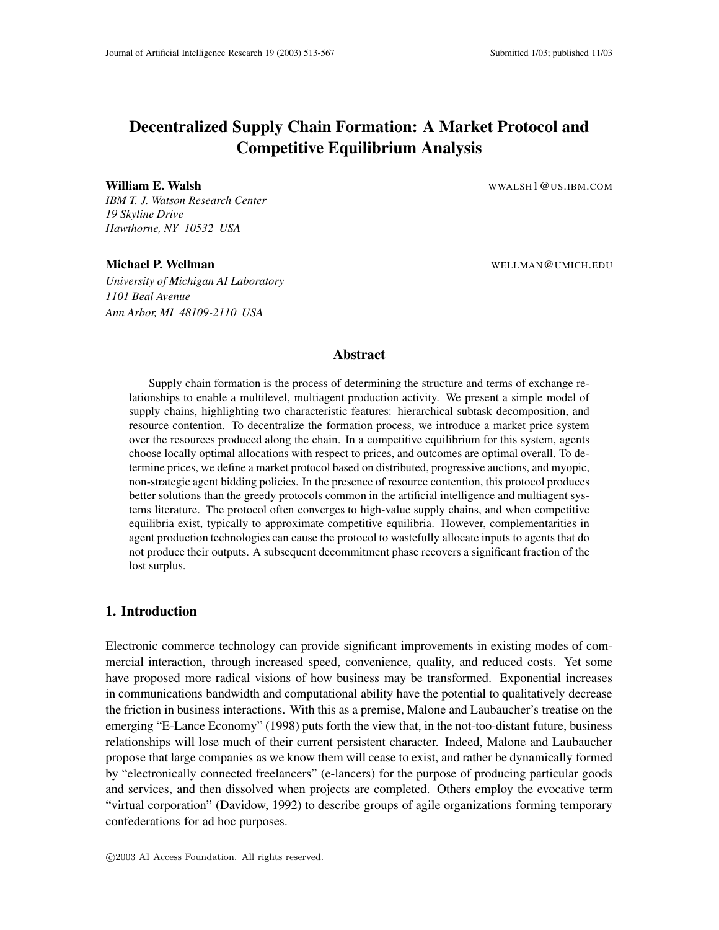# **Decentralized Supply Chain Formation: A Market Protocol and Competitive Equilibrium Analysis**

#### **William E. Walsh** WALSH1@US.IBM.COM

*IBM T. J. Watson Research Center 19 Skyline Drive Hawthorne, NY 10532 USA*

*University of Michigan AI Laboratory 1101 Beal Avenue Ann Arbor, MI 48109-2110 USA*

**Michael P. Wellman** WELLMAN WELLMAN @UMICH.EDU

## **Abstract**

Supply chain formation is the process of determining the structure and terms of exchange relationships to enable a multilevel, multiagent production activity. We present a simple model of supply chains, highlighting two characteristic features: hierarchical subtask decomposition, and resource contention. To decentralize the formation process, we introduce a market price system over the resources produced along the chain. In a competitive equilibrium for this system, agents choose locally optimal allocations with respect to prices, and outcomes are optimal overall. To determine prices, we define a market protocol based on distributed, progressive auctions, and myopic, non-strategic agent bidding policies. In the presence of resource contention, this protocol produces better solutions than the greedy protocols common in the artificial intelligence and multiagent systems literature. The protocol often converges to high-value supply chains, and when competitive equilibria exist, typically to approximate competitive equilibria. However, complementarities in agent production technologies can cause the protocol to wastefully allocate inputs to agents that do not produce their outputs. A subsequent decommitment phase recovers a significant fraction of the lost surplus.

## **1. Introduction**

Electronic commerce technology can provide significant improvements in existing modes of commercial interaction, through increased speed, convenience, quality, and reduced costs. Yet some have proposed more radical visions of how business may be transformed. Exponential increases in communications bandwidth and computational ability have the potential to qualitatively decrease the friction in business interactions. With this as a premise, Malone and Laubaucher's treatise on the emerging "E-Lance Economy" (1998) puts forth the view that, in the not-too-distant future, business relationships will lose much of their current persistent character. Indeed, Malone and Laubaucher propose that large companies as we know them will cease to exist, and rather be dynamically formed by "electronically connected freelancers" (e-lancers) for the purpose of producing particular goods and services, and then dissolved when projects are completed. Others employ the evocative term "virtual corporation" (Davidow, 1992) to describe groups of agile organizations forming temporary confederations for ad hoc purposes.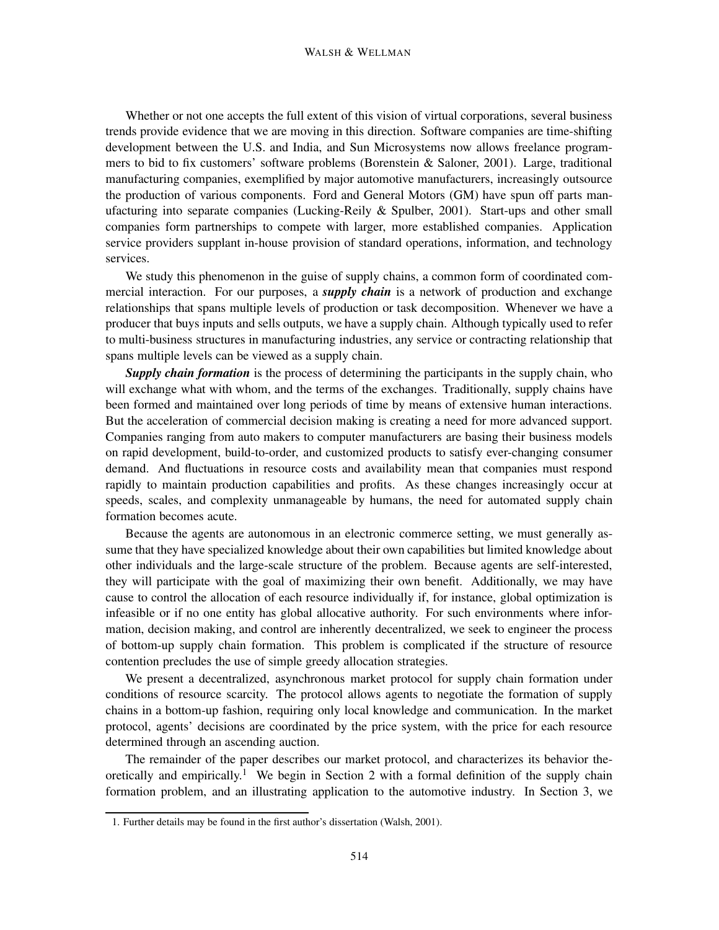Whether or not one accepts the full extent of this vision of virtual corporations, several business trends provide evidence that we are moving in this direction. Software companies are time-shifting development between the U.S. and India, and Sun Microsystems now allows freelance programmers to bid to fix customers' software problems (Borenstein & Saloner, 2001). Large, traditional manufacturing companies, exemplified by major automotive manufacturers, increasingly outsource the production of various components. Ford and General Motors (GM) have spun off parts manufacturing into separate companies (Lucking-Reily & Spulber, 2001). Start-ups and other small companies form partnerships to compete with larger, more established companies. Application service providers supplant in-house provision of standard operations, information, and technology services.

We study this phenomenon in the guise of supply chains, a common form of coordinated commercial interaction. For our purposes, a *supply chain* is a network of production and exchange relationships that spans multiple levels of production or task decomposition. Whenever we have a producer that buys inputs and sells outputs, we have a supply chain. Although typically used to refer to multi-business structures in manufacturing industries, any service or contracting relationship that spans multiple levels can be viewed as a supply chain.

*Supply chain formation* is the process of determining the participants in the supply chain, who will exchange what with whom, and the terms of the exchanges. Traditionally, supply chains have been formed and maintained over long periods of time by means of extensive human interactions. But the acceleration of commercial decision making is creating a need for more advanced support. Companies ranging from auto makers to computer manufacturers are basing their business models on rapid development, build-to-order, and customized products to satisfy ever-changing consumer demand. And fluctuations in resource costs and availability mean that companies must respond rapidly to maintain production capabilities and profits. As these changes increasingly occur at speeds, scales, and complexity unmanageable by humans, the need for automated supply chain formation becomes acute.

Because the agents are autonomous in an electronic commerce setting, we must generally assume that they have specialized knowledge about their own capabilities but limited knowledge about other individuals and the large-scale structure of the problem. Because agents are self-interested, they will participate with the goal of maximizing their own benefit. Additionally, we may have cause to control the allocation of each resource individually if, for instance, global optimization is infeasible or if no one entity has global allocative authority. For such environments where information, decision making, and control are inherently decentralized, we seek to engineer the process of bottom-up supply chain formation. This problem is complicated if the structure of resource contention precludes the use of simple greedy allocation strategies.

We present a decentralized, asynchronous market protocol for supply chain formation under conditions of resource scarcity. The protocol allows agents to negotiate the formation of supply chains in a bottom-up fashion, requiring only local knowledge and communication. In the market protocol, agents' decisions are coordinated by the price system, with the price for each resource determined through an ascending auction.

The remainder of the paper describes our market protocol, and characterizes its behavior theoretically and empirically.<sup>1</sup> We begin in Section 2 with a formal definition of the supply chain formation problem, and an illustrating application to the automotive industry. In Section 3, we

<sup>1.</sup> Further details may be found in the first author's dissertation (Walsh, 2001).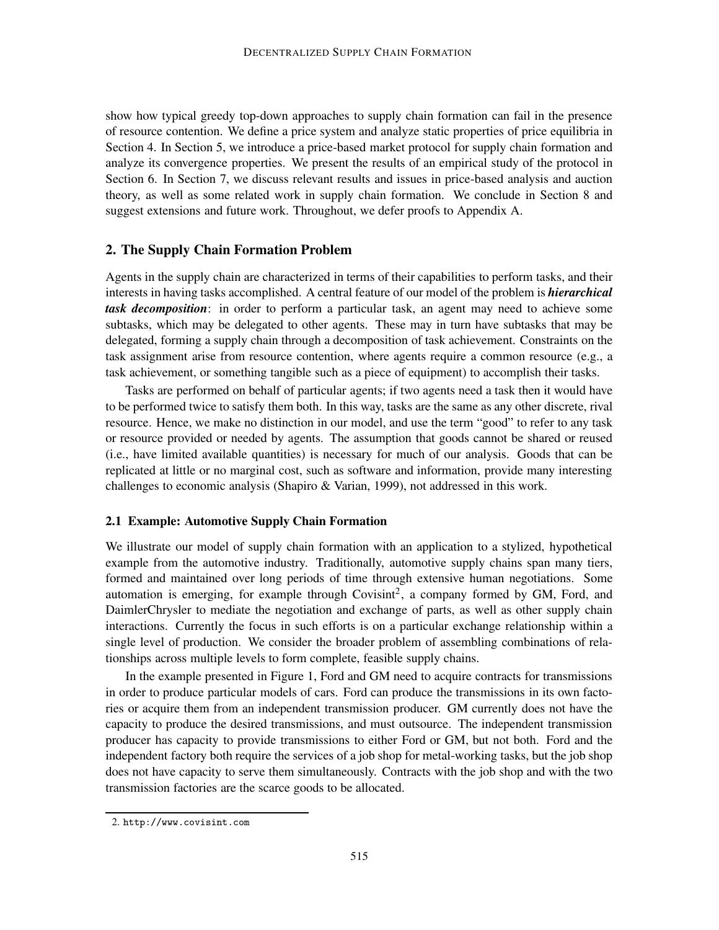show how typical greedy top-down approaches to supply chain formation can fail in the presence of resource contention. We define a price system and analyze static properties of price equilibria in Section 4. In Section 5, we introduce a price-based market protocol for supply chain formation and analyze its convergence properties. We present the results of an empirical study of the protocol in Section 6. In Section 7, we discuss relevant results and issues in price-based analysis and auction theory, as well as some related work in supply chain formation. We conclude in Section 8 and suggest extensions and future work. Throughout, we defer proofs to Appendix A.

## **2. The Supply Chain Formation Problem**

Agents in the supply chain are characterized in terms of their capabilities to perform tasks, and their interests in having tasks accomplished. A central feature of our model of the problem is *hierarchical task decomposition*: in order to perform a particular task, an agent may need to achieve some subtasks, which may be delegated to other agents. These may in turn have subtasks that may be delegated, forming a supply chain through a decomposition of task achievement. Constraints on the task assignment arise from resource contention, where agents require a common resource (e.g., a task achievement, or something tangible such as a piece of equipment) to accomplish their tasks.

Tasks are performed on behalf of particular agents; if two agents need a task then it would have to be performed twice to satisfy them both. In this way, tasks are the same as any other discrete, rival resource. Hence, we make no distinction in our model, and use the term "good" to refer to any task or resource provided or needed by agents. The assumption that goods cannot be shared or reused (i.e., have limited available quantities) is necessary for much of our analysis. Goods that can be replicated at little or no marginal cost, such as software and information, provide many interesting challenges to economic analysis (Shapiro & Varian, 1999), not addressed in this work.

#### **2.1 Example: Automotive Supply Chain Formation**

We illustrate our model of supply chain formation with an application to a stylized, hypothetical example from the automotive industry. Traditionally, automotive supply chains span many tiers, formed and maintained over long periods of time through extensive human negotiations. Some automation is emerging, for example through Covisint<sup>2</sup>, a company formed by GM, Ford, and DaimlerChrysler to mediate the negotiation and exchange of parts, as well as other supply chain interactions. Currently the focus in such efforts is on a particular exchange relationship within a single level of production. We consider the broader problem of assembling combinations of relationships across multiple levels to form complete, feasible supply chains.

In the example presented in Figure 1, Ford and GM need to acquire contracts for transmissions in order to produce particular models of cars. Ford can produce the transmissions in its own factories or acquire them from an independent transmission producer. GM currently does not have the capacity to produce the desired transmissions, and must outsource. The independent transmission producer has capacity to provide transmissions to either Ford or GM, but not both. Ford and the independent factory both require the services of a job shop for metal-working tasks, but the job shop does not have capacity to serve them simultaneously. Contracts with the job shop and with the two transmission factories are the scarce goods to be allocated.

<sup>2.</sup> http://www.covisint.com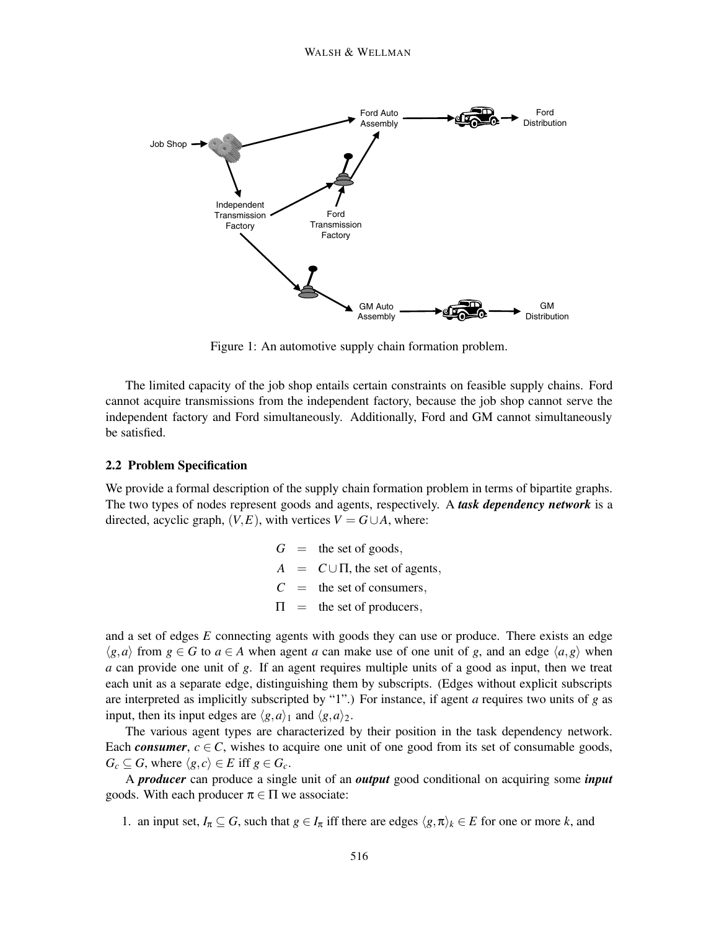

Figure 1: An automotive supply chain formation problem.

The limited capacity of the job shop entails certain constraints on feasible supply chains. Ford cannot acquire transmissions from the independent factory, because the job shop cannot serve the independent factory and Ford simultaneously. Additionally, Ford and GM cannot simultaneously be satisfied.

## **2.2 Problem Specification**

We provide a formal description of the supply chain formation problem in terms of bipartite graphs. The two types of nodes represent goods and agents, respectively. A *task dependency network* is a directed, acyclic graph,  $(V, E)$ , with vertices  $V = G \cup A$ , where:

> $G =$  the set of goods,  $A = C \cup \Pi$ , the set of agents,  $C =$  the set of consumers,  $\Pi$  = the set of producers,

and a set of edges *E* connecting agents with goods they can use or produce. There exists an edge  $\langle g, a \rangle$  from  $g \in G$  to  $a \in A$  when agent *a* can make use of one unit of *g*, and an edge  $\langle a, g \rangle$  when *a* can provide one unit of *g*. If an agent requires multiple units of a good as input, then we treat each unit as a separate edge, distinguishing them by subscripts. (Edges without explicit subscripts are interpreted as implicitly subscripted by "1".) For instance, if agent *a* requires two units of *g* as input, then its input edges are  $\langle g, a \rangle_1$  and  $\langle g, a \rangle_2$ .

The various agent types are characterized by their position in the task dependency network. Each *consumer*,  $c \in C$ , wishes to acquire one unit of one good from its set of consumable goods,  $G_c \subseteq G$ , where  $\langle g, c \rangle \in E$  iff  $g \in G_c$ .

A *producer* can produce a single unit of an *output* good conditional on acquiring some *input* goods. With each producer  $\pi \in \Pi$  we associate:

1. an input set,  $I_{\pi} \subseteq G$ , such that  $g \in I_{\pi}$  iff there are edges  $\langle g, \pi \rangle_k \in E$  for one or more *k*, and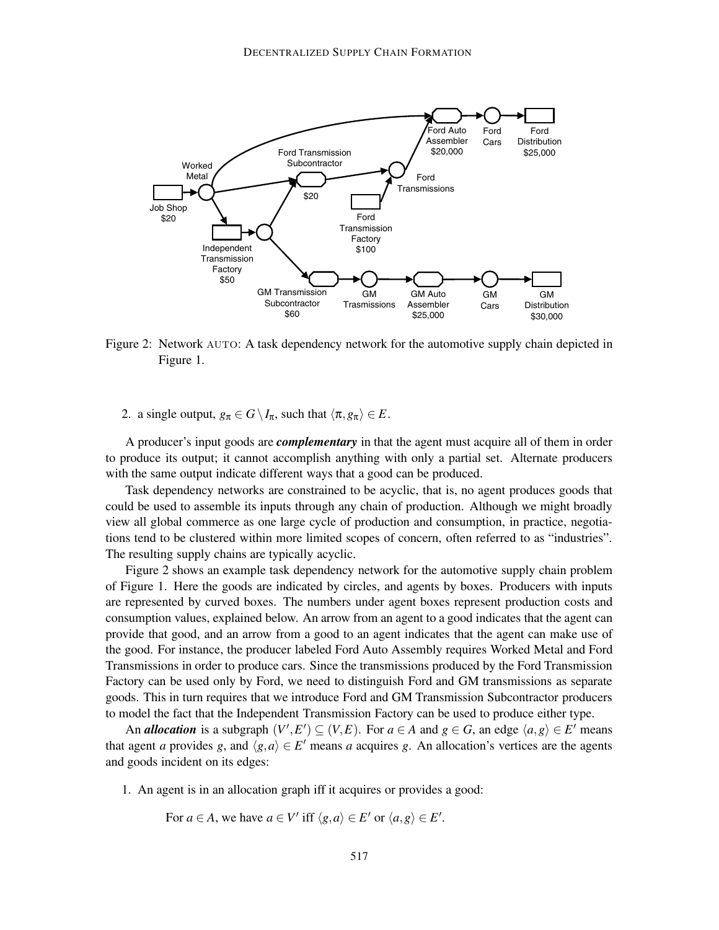

Figure 2: Network AUTO: A task dependency network for the automotive supply chain depicted in Figure 1.

2. a single output,  $g_{\pi} \in G \setminus I_{\pi}$ , such that  $\langle \pi, g_{\pi} \rangle \in E$ .

A producer's input goods are *complementary* in that the agent must acquire all of them in order to produce its output; it cannot accomplish anything with only a partial set. Alternate producers with the same output indicate different ways that a good can be produced.

Task dependency networks are constrained to be acyclic, that is, no agent produces goods that could be used to assemble its inputs through any chain of production. Although we might broadly view all global commerce as one large cycle of production and consumption, in practice, negotiations tend to be clustered within more limited scopes of concern, often referred to as "industries". The resulting supply chains are typically acyclic.

Figure 2 shows an example task dependency network for the automotive supply chain problem of Figure 1. Here the goods are indicated by circles, and agents by boxes. Producers with inputs are represented by curved boxes. The numbers under agent boxes represent production costs and consumption values, explained below. An arrow from an agent to a good indicates that the agent can provide that good, and an arrow from a good to an agent indicates that the agent can make use of the good. For instance, the producer labeled Ford Auto Assembly requires Worked Metal and Ford Transmissions in order to produce cars. Since the transmissions produced by the Ford Transmission Factory can be used only by Ford, we need to distinguish Ford and GM transmissions as separate goods. This in turn requires that we introduce Ford and GM Transmission Subcontractor producers to model the fact that the Independent Transmission Factory can be used to produce either type.

An *allocation* is a subgraph  $(V', E') \subseteq (V, E)$ . For  $a \in A$  and  $g \in G$ , an edge  $\langle a, g \rangle \in E'$  means that agent *a* provides *g*, and  $\langle g, a \rangle \in E'$  means *a* acquires *g*. An allocation's vertices are the agents and goods incident on its edges:

1. An agent is in an allocation graph iff it acquires or provides a good:

For 
$$
a \in A
$$
, we have  $a \in V'$  iff  $\langle g, a \rangle \in E'$  or  $\langle a, g \rangle \in E'$ .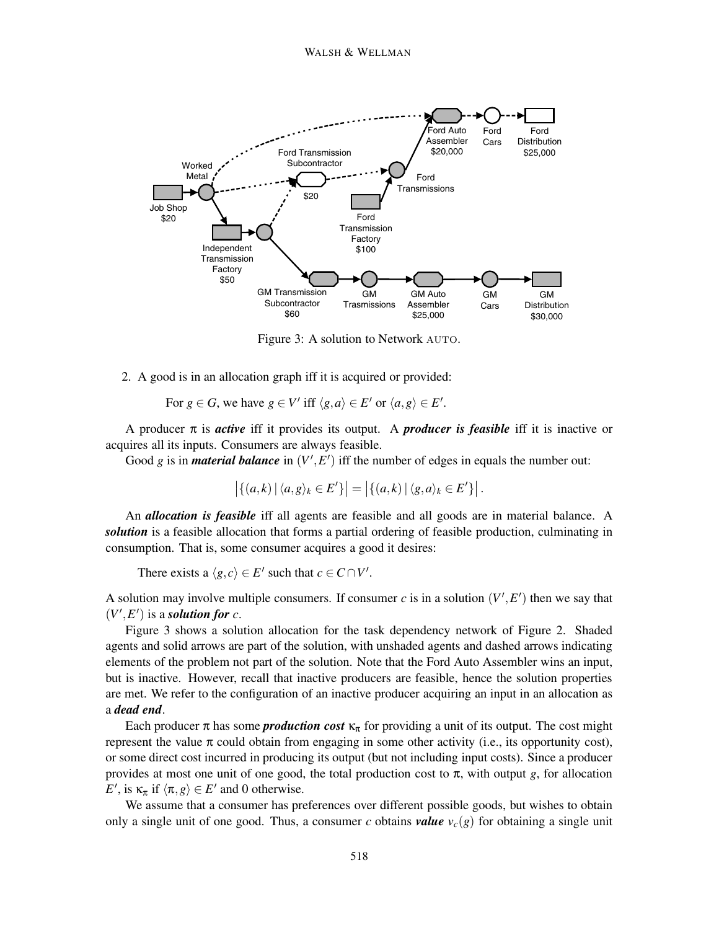

Figure 3: A solution to Network AUTO.

2. A good is in an allocation graph iff it is acquired or provided:

For  $g \in G$ , we have  $g \in V'$  iff  $\langle g, a \rangle \in E'$  or  $\langle a, g \rangle \in E'$ .

A producer π is *active* iff it provides its output. A *producer is feasible* iff it is inactive or acquires all its inputs. Consumers are always feasible.

Good *g* is in *material balance* in  $(V', E')$  iff the number of edges in equals the number out:

$$
\left|\{(a,k)\,|\,\langle a,g\rangle_k\in E'\}\right|=\left|\{(a,k)\,|\,\langle g,a\rangle_k\in E'\}\right|.
$$

An *allocation is feasible* iff all agents are feasible and all goods are in material balance. A *solution* is a feasible allocation that forms a partial ordering of feasible production, culminating in consumption. That is, some consumer acquires a good it desires:

There exists a  $\langle g, c \rangle \in E'$  such that  $c \in C \cap V'$ .

A solution may involve multiple consumers. If consumer  $c$  is in a solution  $(V', E')$  then we say that  $(V', E')$  is a *solution for c*.

Figure 3 shows a solution allocation for the task dependency network of Figure 2. Shaded agents and solid arrows are part of the solution, with unshaded agents and dashed arrows indicating elements of the problem not part of the solution. Note that the Ford Auto Assembler wins an input, but is inactive. However, recall that inactive producers are feasible, hence the solution properties are met. We refer to the configuration of an inactive producer acquiring an input in an allocation as a *dead end*.

Each producer  $\pi$  has some **production cost**  $\kappa_{\pi}$  for providing a unit of its output. The cost might represent the value  $\pi$  could obtain from engaging in some other activity (i.e., its opportunity cost), or some direct cost incurred in producing its output (but not including input costs). Since a producer provides at most one unit of one good, the total production cost to  $\pi$ , with output *g*, for allocation *E*<sup> $\prime$ </sup>, is  $\kappa_{\pi}$  if  $\langle \pi, g \rangle \in E'$  and 0 otherwise.

We assume that a consumer has preferences over different possible goods, but wishes to obtain only a single unit of one good. Thus, a consumer *c* obtains *value*  $v_c(g)$  for obtaining a single unit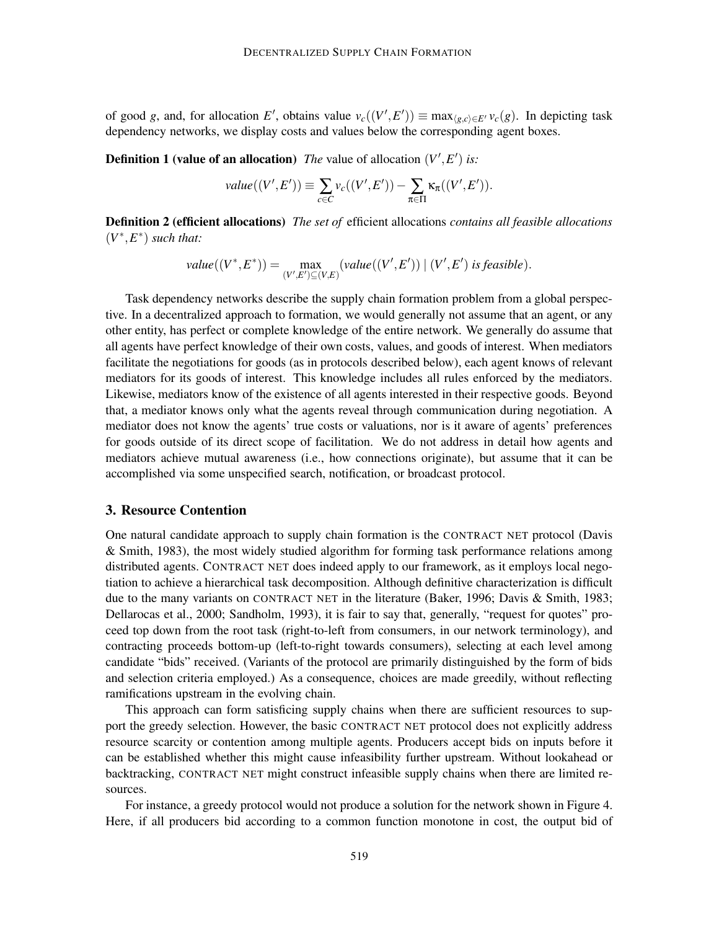of good *g*, and, for allocation *E'*, obtains value  $v_c((V', E')) \equiv \max_{\langle g, c \rangle \in E'} v_c(g)$ . In depicting task dependency networks, we display costs and values below the corresponding agent boxes.

**Definition 1 (value of an allocation)** *The* value of allocation  $(V', E')$  is:

$$
value((V', E')) \equiv \sum_{c \in C} v_c((V', E')) - \sum_{\pi \in \Pi} \kappa_{\pi}((V', E')).
$$

**Definition 2 (efficient allocations)** *The set of* efficient allocations *contains all feasible allocations*  $(V^*, E^*)$  *such that:* 

value(
$$
(V^*, E^*)
$$
) = max<sub>(V', E') \subseteq (V, E)</sub> (value( $(V', E')$ ) | ( $V', E'$ ) is feasible).

Task dependency networks describe the supply chain formation problem from a global perspective. In a decentralized approach to formation, we would generally not assume that an agent, or any other entity, has perfect or complete knowledge of the entire network. We generally do assume that all agents have perfect knowledge of their own costs, values, and goods of interest. When mediators facilitate the negotiations for goods (as in protocols described below), each agent knows of relevant mediators for its goods of interest. This knowledge includes all rules enforced by the mediators. Likewise, mediators know of the existence of all agents interested in their respective goods. Beyond that, a mediator knows only what the agents reveal through communication during negotiation. A mediator does not know the agents' true costs or valuations, nor is it aware of agents' preferences for goods outside of its direct scope of facilitation. We do not address in detail how agents and mediators achieve mutual awareness (i.e., how connections originate), but assume that it can be accomplished via some unspecified search, notification, or broadcast protocol.

## **3. Resource Contention**

One natural candidate approach to supply chain formation is the CONTRACT NET protocol (Davis & Smith, 1983), the most widely studied algorithm for forming task performance relations among distributed agents. CONTRACT NET does indeed apply to our framework, as it employs local negotiation to achieve a hierarchical task decomposition. Although definitive characterization is difficult due to the many variants on CONTRACT NET in the literature (Baker, 1996; Davis & Smith, 1983; Dellarocas et al., 2000; Sandholm, 1993), it is fair to say that, generally, "request for quotes" proceed top down from the root task (right-to-left from consumers, in our network terminology), and contracting proceeds bottom-up (left-to-right towards consumers), selecting at each level among candidate "bids" received. (Variants of the protocol are primarily distinguished by the form of bids and selection criteria employed.) As a consequence, choices are made greedily, without reflecting ramifications upstream in the evolving chain.

This approach can form satisficing supply chains when there are sufficient resources to support the greedy selection. However, the basic CONTRACT NET protocol does not explicitly address resource scarcity or contention among multiple agents. Producers accept bids on inputs before it can be established whether this might cause infeasibility further upstream. Without lookahead or backtracking, CONTRACT NET might construct infeasible supply chains when there are limited resources.

For instance, a greedy protocol would not produce a solution for the network shown in Figure 4. Here, if all producers bid according to a common function monotone in cost, the output bid of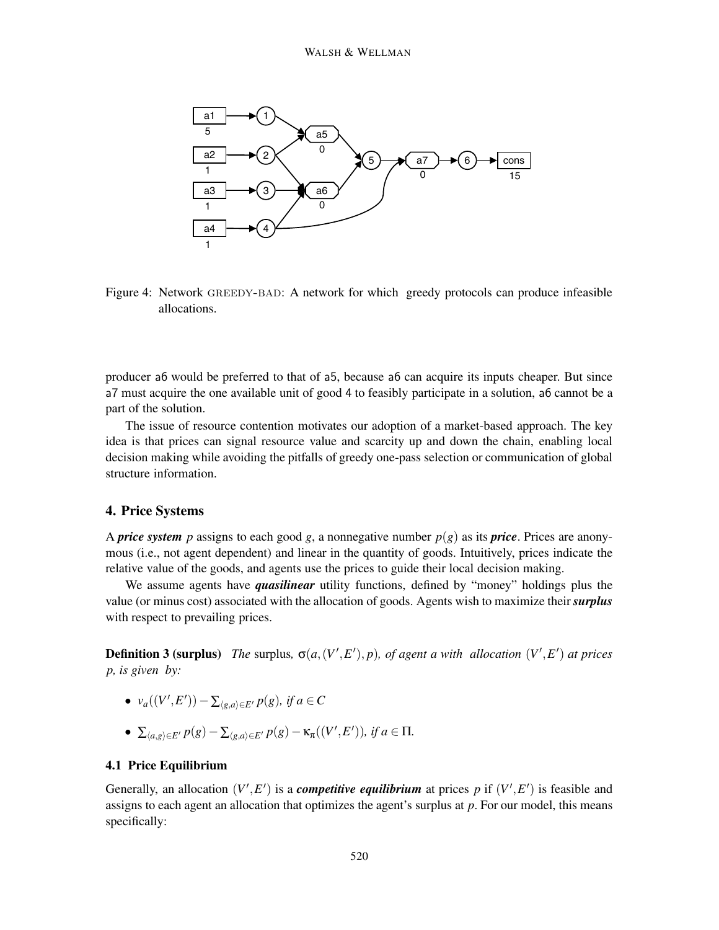

Figure 4: Network greedy-bad: A network for which greedy protocols can produce infeasible allocations.

producer a6 would be preferred to that of a5, because a6 can acquire its inputs cheaper. But since a7 must acquire the one available unit of good 4 to feasibly participate in a solution, a6 cannot be a part of the solution.

The issue of resource contention motivates our adoption of a market-based approach. The key idea is that prices can signal resource value and scarcity up and down the chain, enabling local decision making while avoiding the pitfalls of greedy one-pass selection or communication of global structure information.

## **4. Price Systems**

A *price system* p assigns to each good g, a nonnegative number  $p(g)$  as its *price*. Prices are anonymous (i.e., not agent dependent) and linear in the quantity of goods. Intuitively, prices indicate the relative value of the goods, and agents use the prices to guide their local decision making.

We assume agents have *quasilinear* utility functions, defined by "money" holdings plus the value (or minus cost) associated with the allocation of goods. Agents wish to maximize their *surplus* with respect to prevailing prices.

**Definition 3 (surplus)** *The* surplus,  $\sigma(a,(V',E'),p)$ *, of agent a with allocation*  $(V',E')$  *at prices p, is given by:*

- $\bullet$  *v<sub>a</sub>*((*V',E'*)) −  $\sum_{\langle g, a \rangle \in E'} p(g)$ *, if a* ∈ *C*
- $\sum_{\langle a,g \rangle \in E'} p(g) \sum_{\langle g,a \rangle \in E'} p(g) \kappa_{\pi}((V',E'))$ *, if a* ∈ Π*.*

## **4.1 Price Equilibrium**

Generally, an allocation  $(V', E')$  is a *competitive equilibrium* at prices p if  $(V', E')$  is feasible and assigns to each agent an allocation that optimizes the agent's surplus at *p*. For our model, this means specifically: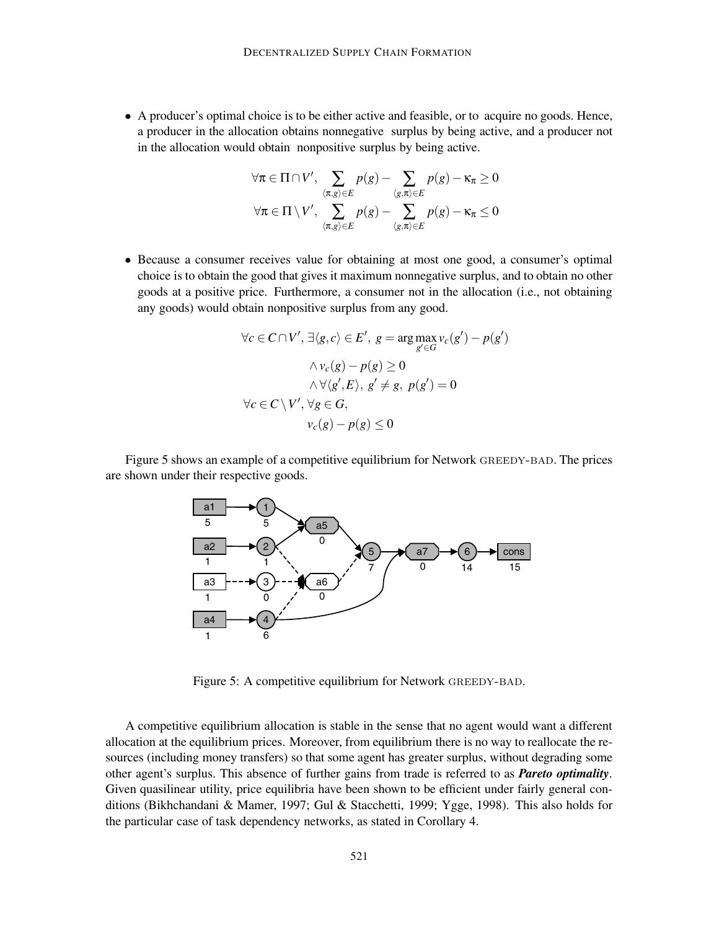• A producer's optimal choice is to be either active and feasible, or to acquire no goods. Hence, a producer in the allocation obtains nonnegative surplus by being active, and a producer not in the allocation would obtain nonpositive surplus by being active.

$$
\forall \pi \in \Pi \cap V', \sum_{\langle \pi, g \rangle \in E} p(g) - \sum_{\langle g, \pi \rangle \in E} p(g) - \kappa_{\pi} \ge 0
$$
  

$$
\forall \pi \in \Pi \setminus V', \sum_{\langle \pi, g \rangle \in E} p(g) - \sum_{\langle g, \pi \rangle \in E} p(g) - \kappa_{\pi} \le 0
$$

• Because a consumer receives value for obtaining at most one good, a consumer's optimal choice is to obtain the good that gives it maximum nonnegative surplus, and to obtain no other goods at a positive price. Furthermore, a consumer not in the allocation (i.e., not obtaining any goods) would obtain nonpositive surplus from any good.

$$
\forall c \in C \cap V', \exists \langle g, c \rangle \in E', g = \arg \max_{g' \in G} v_c(g') - p(g')
$$
  

$$
\land v_c(g) - p(g) \ge 0
$$
  

$$
\land \forall \langle g', E \rangle, g' \ne g, p(g') = 0
$$
  

$$
\forall c \in C \setminus V', \forall g \in G,
$$
  

$$
v_c(g) - p(g) \le 0
$$

Figure 5 shows an example of a competitive equilibrium for Network GREEDY-BAD. The prices are shown under their respective goods.



Figure 5: A competitive equilibrium for Network GREEDY-BAD.

A competitive equilibrium allocation is stable in the sense that no agent would want a different allocation at the equilibrium prices. Moreover, from equilibrium there is no way to reallocate the resources (including money transfers) so that some agent has greater surplus, without degrading some other agent's surplus. This absence of further gains from trade is referred to as *Pareto optimality*. Given quasilinear utility, price equilibria have been shown to be efficient under fairly general conditions (Bikhchandani & Mamer, 1997; Gul & Stacchetti, 1999; Ygge, 1998). This also holds for the particular case of task dependency networks, as stated in Corollary 4.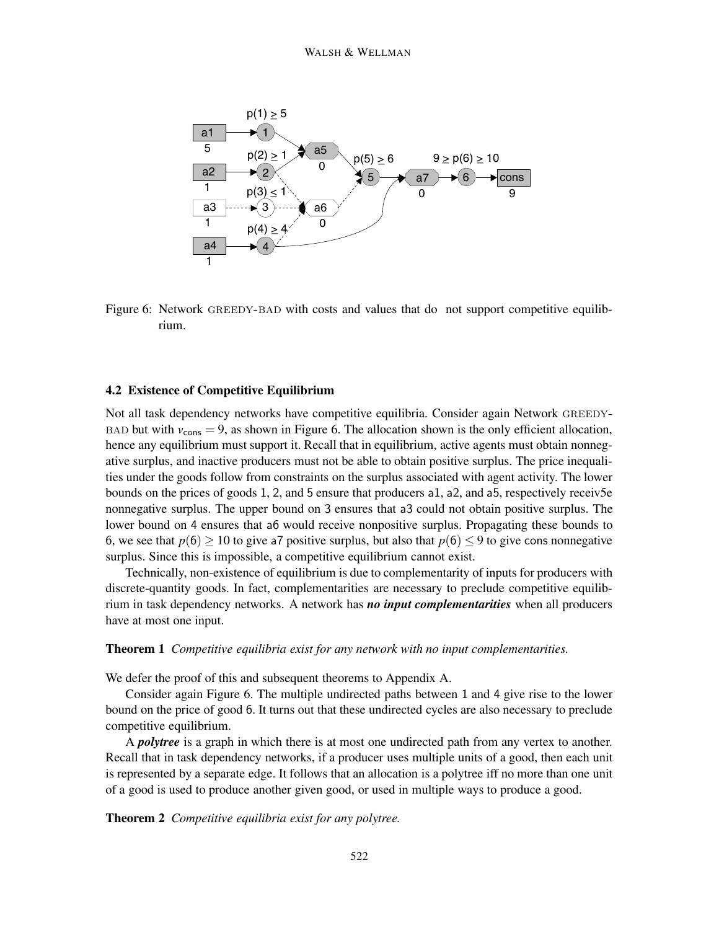

Figure 6: Network GREEDY-BAD with costs and values that do not support competitive equilibrium.

#### **4.2 Existence of Competitive Equilibrium**

Not all task dependency networks have competitive equilibria. Consider again Network GREEDY-BAD but with  $v_{\text{cons}} = 9$ , as shown in Figure 6. The allocation shown is the only efficient allocation, hence any equilibrium must support it. Recall that in equilibrium, active agents must obtain nonnegative surplus, and inactive producers must not be able to obtain positive surplus. The price inequalities under the goods follow from constraints on the surplus associated with agent activity. The lower bounds on the prices of goods 1, 2, and 5 ensure that producers a1, a2, and a5, respectively receiv5e nonnegative surplus. The upper bound on 3 ensures that a3 could not obtain positive surplus. The lower bound on 4 ensures that a6 would receive nonpositive surplus. Propagating these bounds to 6, we see that  $p(6) \ge 10$  to give a7 positive surplus, but also that  $p(6) \le 9$  to give cons nonnegative surplus. Since this is impossible, a competitive equilibrium cannot exist.

Technically, non-existence of equilibrium is due to complementarity of inputs for producers with discrete-quantity goods. In fact, complementarities are necessary to preclude competitive equilibrium in task dependency networks. A network has *no input complementarities* when all producers have at most one input.

#### **Theorem 1** *Competitive equilibria exist for any network with no input complementarities.*

We defer the proof of this and subsequent theorems to Appendix A.

Consider again Figure 6. The multiple undirected paths between 1 and 4 give rise to the lower bound on the price of good 6. It turns out that these undirected cycles are also necessary to preclude competitive equilibrium.

A *polytree* is a graph in which there is at most one undirected path from any vertex to another. Recall that in task dependency networks, if a producer uses multiple units of a good, then each unit is represented by a separate edge. It follows that an allocation is a polytree iff no more than one unit of a good is used to produce another given good, or used in multiple ways to produce a good.

**Theorem 2** *Competitive equilibria exist for any polytree.*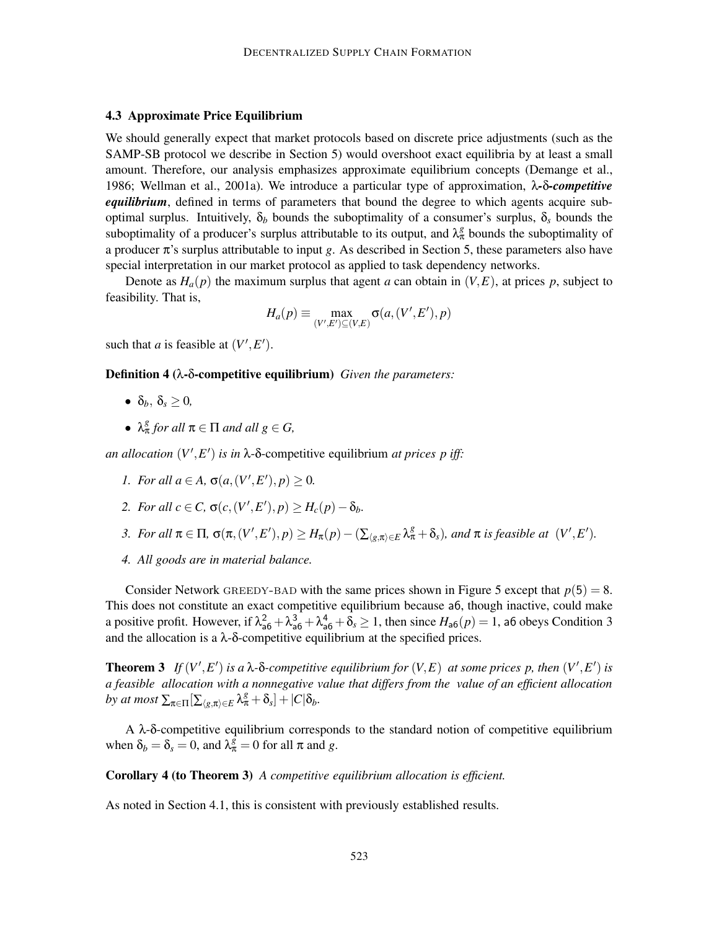#### **4.3 Approximate Price Equilibrium**

We should generally expect that market protocols based on discrete price adjustments (such as the SAMP-SB protocol we describe in Section 5) would overshoot exact equilibria by at least a small amount. Therefore, our analysis emphasizes approximate equilibrium concepts (Demange et al., 1986; Wellman et al., 2001a). We introduce a particular type of approximation, λ*-*δ*-competitive equilibrium*, defined in terms of parameters that bound the degree to which agents acquire suboptimal surplus. Intuitively,  $\delta_b$  bounds the suboptimality of a consumer's surplus,  $\delta_s$  bounds the suboptimality of a producer's surplus attributable to its output, and  $\lambda_{\pi}^{g}$  bounds the suboptimality of a producer π's surplus attributable to input *g*. As described in Section 5, these parameters also have special interpretation in our market protocol as applied to task dependency networks.

Denote as  $H_a(p)$  the maximum surplus that agent *a* can obtain in  $(V, E)$ , at prices *p*, subject to feasibility. That is,

$$
H_a(p) \equiv \max_{(V',E') \subseteq (V,E)} \sigma(a,(V',E'),p)
$$

such that *a* is feasible at  $(V', E')$ .

**Definition 4 (**λ**-**δ**-competitive equilibrium)** *Given the parameters:*

- $\bullet$   $\delta_b$ ,  $\delta_s \geq 0$ ,
- $\lambda_{\pi}^{g}$  *for all*  $\pi \in \Pi$  *and all*  $g \in G$ *,*

*an allocation*  $(V', E')$  *is in*  $\lambda$ - $\delta$ -competitive equilibrium *at prices p iff:* 

- *1. For all*  $a \in A$ ,  $\sigma(a,(V',E'),p) \geq 0$ .
- 2. *For all*  $c \in C$ ,  $\sigma(c, (V', E'), p) \geq H_c(p) \delta_b$ .
- 3. For all  $\pi \in \Pi$ ,  $\sigma(\pi,(V',E'),p) \geq H_{\pi}(p) (\sum_{\langle g,\pi \rangle \in E} \lambda_{\pi}^{g} + \delta_{s})$ , and  $\pi$  is feasible at  $(V',E').$
- *4. All goods are in material balance.*

Consider Network GREEDY-BAD with the same prices shown in Figure 5 except that  $p(5) = 8$ . This does not constitute an exact competitive equilibrium because a6, though inactive, could make a positive profit. However, if  $\lambda_{a6}^2 + \lambda_{a6}^3 + \lambda_{a6}^4 + \delta_s \ge 1$ , then since  $H_{a6}(p) = 1$ , a6 obeys Condition 3 and the allocation is a  $\lambda$ - $\delta$ -competitive equilibrium at the specified prices.

**Theorem 3** If  $(V', E')$  is a  $\lambda$ - $\delta$ -competitive equilibrium for  $(V, E)$  at some prices p, then  $(V', E')$  is *a feasible allocation with a nonnegative value that differs from the value of an efficient allocation by at most*  $\sum_{\pi \in \Pi} \left[ \sum_{\langle g, \pi \rangle \in E} \lambda_{\pi}^g + \delta_s \right] + |C| \delta_b$ .

A λ-δ-competitive equilibrium corresponds to the standard notion of competitive equilibrium when  $\delta_b = \delta_s = 0$ , and  $\lambda_{\pi}^{\hat{g}} = 0$  for all  $\pi$  and *g*.

**Corollary 4 (to Theorem 3)** *A competitive equilibrium allocation is efficient.*

As noted in Section 4.1, this is consistent with previously established results.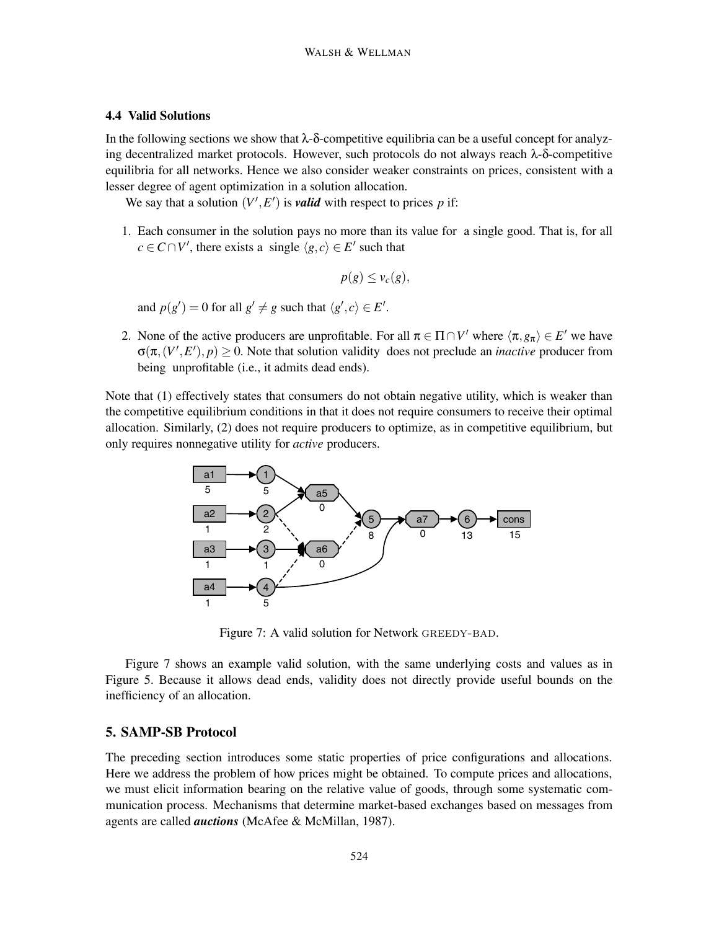## **4.4 Valid Solutions**

In the following sections we show that  $\lambda$ -δ-competitive equilibria can be a useful concept for analyzing decentralized market protocols. However, such protocols do not always reach  $\lambda$ - $\delta$ -competitive equilibria for all networks. Hence we also consider weaker constraints on prices, consistent with a lesser degree of agent optimization in a solution allocation.

We say that a solution  $(V', E')$  is *valid* with respect to prices p if:

1. Each consumer in the solution pays no more than its value for a single good. That is, for all  $c \in C \cap V'$ , there exists a single  $\langle g, c \rangle \in E'$  such that

$$
p(g) \leq v_c(g),
$$

and  $p(g') = 0$  for all  $g' \neq g$  such that  $\langle g', c \rangle \in E'.$ 

2. None of the active producers are unprofitable. For all  $\pi \in \Pi \cap V'$  where  $\langle \pi, g_{\pi} \rangle \in E'$  we have  $\sigma(\pi,(V',E'),p) \ge 0$ . Note that solution validity does not preclude an *inactive* producer from being unprofitable (i.e., it admits dead ends).

Note that (1) effectively states that consumers do not obtain negative utility, which is weaker than the competitive equilibrium conditions in that it does not require consumers to receive their optimal allocation. Similarly, (2) does not require producers to optimize, as in competitive equilibrium, but only requires nonnegative utility for *active* producers.



Figure 7: A valid solution for Network GREEDY-BAD.

Figure 7 shows an example valid solution, with the same underlying costs and values as in Figure 5. Because it allows dead ends, validity does not directly provide useful bounds on the inefficiency of an allocation.

## **5. SAMP-SB Protocol**

The preceding section introduces some static properties of price configurations and allocations. Here we address the problem of how prices might be obtained. To compute prices and allocations, we must elicit information bearing on the relative value of goods, through some systematic communication process. Mechanisms that determine market-based exchanges based on messages from agents are called *auctions* (McAfee & McMillan, 1987).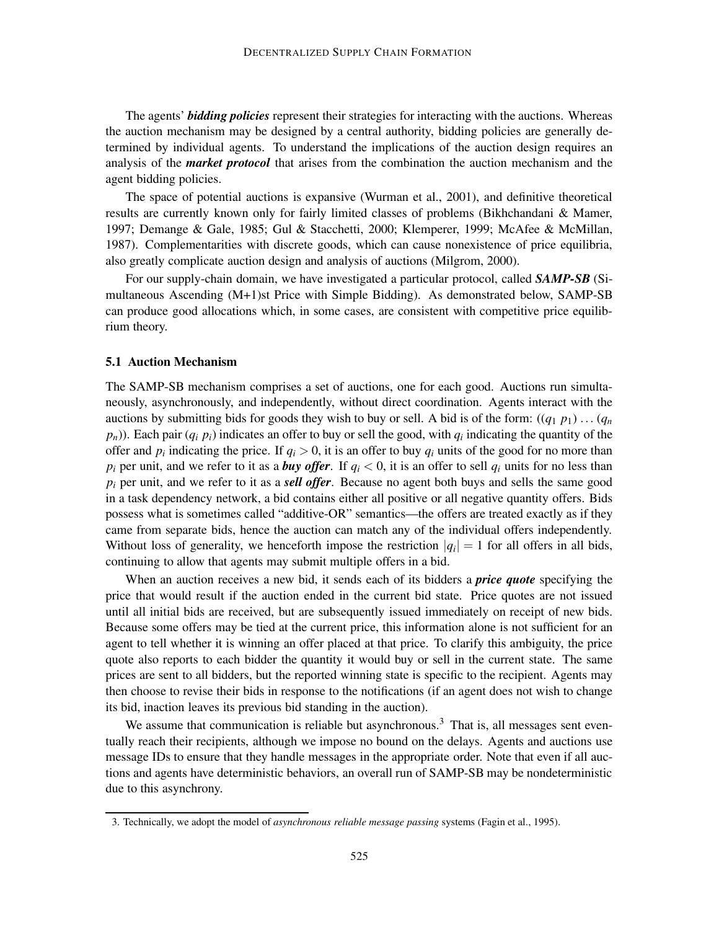The agents' *bidding policies* represent their strategies for interacting with the auctions. Whereas the auction mechanism may be designed by a central authority, bidding policies are generally determined by individual agents. To understand the implications of the auction design requires an analysis of the *market protocol* that arises from the combination the auction mechanism and the agent bidding policies.

The space of potential auctions is expansive (Wurman et al., 2001), and definitive theoretical results are currently known only for fairly limited classes of problems (Bikhchandani & Mamer, 1997; Demange & Gale, 1985; Gul & Stacchetti, 2000; Klemperer, 1999; McAfee & McMillan, 1987). Complementarities with discrete goods, which can cause nonexistence of price equilibria, also greatly complicate auction design and analysis of auctions (Milgrom, 2000).

For our supply-chain domain, we have investigated a particular protocol, called *SAMP-SB* (Simultaneous Ascending (M+1)st Price with Simple Bidding). As demonstrated below, SAMP-SB can produce good allocations which, in some cases, are consistent with competitive price equilibrium theory.

## **5.1 Auction Mechanism**

The SAMP-SB mechanism comprises a set of auctions, one for each good. Auctions run simultaneously, asynchronously, and independently, without direct coordination. Agents interact with the auctions by submitting bids for goods they wish to buy or sell. A bid is of the form:  $((q_1 p_1) \dots (q_n)$  $p_n$ )). Each pair  $(q_i p_i)$  indicates an offer to buy or sell the good, with  $q_i$  indicating the quantity of the offer and  $p_i$  indicating the price. If  $q_i > 0$ , it is an offer to buy  $q_i$  units of the good for no more than  $p_i$  per unit, and we refer to it as a *buy offer*. If  $q_i < 0$ , it is an offer to sell  $q_i$  units for no less than *pi* per unit, and we refer to it as a *sell offer*. Because no agent both buys and sells the same good in a task dependency network, a bid contains either all positive or all negative quantity offers. Bids possess what is sometimes called "additive-OR" semantics—the offers are treated exactly as if they came from separate bids, hence the auction can match any of the individual offers independently. Without loss of generality, we henceforth impose the restriction  $|q_i| = 1$  for all offers in all bids, continuing to allow that agents may submit multiple offers in a bid.

When an auction receives a new bid, it sends each of its bidders a *price quote* specifying the price that would result if the auction ended in the current bid state. Price quotes are not issued until all initial bids are received, but are subsequently issued immediately on receipt of new bids. Because some offers may be tied at the current price, this information alone is not sufficient for an agent to tell whether it is winning an offer placed at that price. To clarify this ambiguity, the price quote also reports to each bidder the quantity it would buy or sell in the current state. The same prices are sent to all bidders, but the reported winning state is specific to the recipient. Agents may then choose to revise their bids in response to the notifications (if an agent does not wish to change its bid, inaction leaves its previous bid standing in the auction).

We assume that communication is reliable but asynchronous.<sup>3</sup> That is, all messages sent eventually reach their recipients, although we impose no bound on the delays. Agents and auctions use message IDs to ensure that they handle messages in the appropriate order. Note that even if all auctions and agents have deterministic behaviors, an overall run of SAMP-SB may be nondeterministic due to this asynchrony.

<sup>3.</sup> Technically, we adopt the model of *asynchronous reliable message passing* systems (Fagin et al., 1995).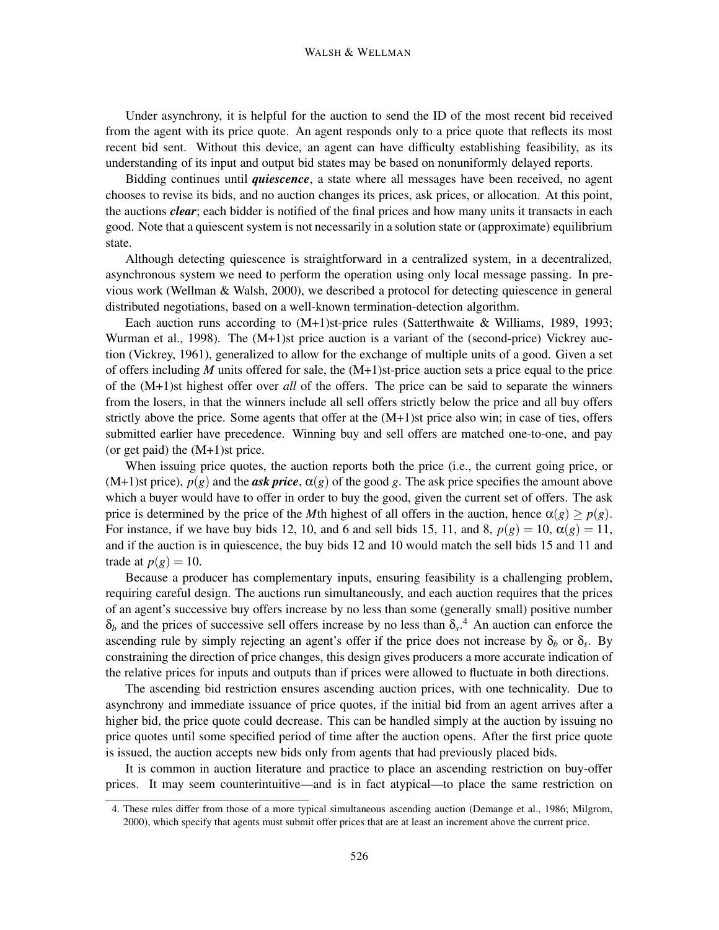#### WALSH & WELLMAN

Under asynchrony, it is helpful for the auction to send the ID of the most recent bid received from the agent with its price quote. An agent responds only to a price quote that reflects its most recent bid sent. Without this device, an agent can have difficulty establishing feasibility, as its understanding of its input and output bid states may be based on nonuniformly delayed reports.

Bidding continues until *quiescence*, a state where all messages have been received, no agent chooses to revise its bids, and no auction changes its prices, ask prices, or allocation. At this point, the auctions *clear*; each bidder is notified of the final prices and how many units it transacts in each good. Note that a quiescent system is not necessarily in a solution state or (approximate) equilibrium state.

Although detecting quiescence is straightforward in a centralized system, in a decentralized, asynchronous system we need to perform the operation using only local message passing. In previous work (Wellman & Walsh, 2000), we described a protocol for detecting quiescence in general distributed negotiations, based on a well-known termination-detection algorithm.

Each auction runs according to (M+1)st-price rules (Satterthwaite & Williams, 1989, 1993; Wurman et al., 1998). The (M+1)st price auction is a variant of the (second-price) Vickrey auction (Vickrey, 1961), generalized to allow for the exchange of multiple units of a good. Given a set of offers including *M* units offered for sale, the  $(M+1)$ st-price auction sets a price equal to the price of the (M+1)st highest offer over *all* of the offers. The price can be said to separate the winners from the losers, in that the winners include all sell offers strictly below the price and all buy offers strictly above the price. Some agents that offer at the (M+1)st price also win; in case of ties, offers submitted earlier have precedence. Winning buy and sell offers are matched one-to-one, and pay (or get paid) the  $(M+1)$ st price.

When issuing price quotes, the auction reports both the price (i.e., the current going price, or (M+1)st price),  $p(g)$  and the *ask price*,  $\alpha(g)$  of the good *g*. The ask price specifies the amount above which a buyer would have to offer in order to buy the good, given the current set of offers. The ask price is determined by the price of the *M*th highest of all offers in the auction, hence  $\alpha(g) \ge p(g)$ . For instance, if we have buy bids 12, 10, and 6 and sell bids 15, 11, and 8,  $p(g) = 10$ ,  $\alpha(g) = 11$ , and if the auction is in quiescence, the buy bids 12 and 10 would match the sell bids 15 and 11 and trade at  $p(g) = 10$ .

Because a producer has complementary inputs, ensuring feasibility is a challenging problem, requiring careful design. The auctions run simultaneously, and each auction requires that the prices of an agent's successive buy offers increase by no less than some (generally small) positive number  $\delta_b$  and the prices of successive sell offers increase by no less than  $\delta_s$ .<sup>4</sup> An auction can enforce the ascending rule by simply rejecting an agent's offer if the price does not increase by  $\delta_b$  or  $\delta_s$ . By constraining the direction of price changes, this design gives producers a more accurate indication of the relative prices for inputs and outputs than if prices were allowed to fluctuate in both directions.

The ascending bid restriction ensures ascending auction prices, with one technicality. Due to asynchrony and immediate issuance of price quotes, if the initial bid from an agent arrives after a higher bid, the price quote could decrease. This can be handled simply at the auction by issuing no price quotes until some specified period of time after the auction opens. After the first price quote is issued, the auction accepts new bids only from agents that had previously placed bids.

It is common in auction literature and practice to place an ascending restriction on buy-offer prices. It may seem counterintuitive—and is in fact atypical—to place the same restriction on

<sup>4.</sup> These rules differ from those of a more typical simultaneous ascending auction (Demange et al., 1986; Milgrom, 2000), which specify that agents must submit offer prices that are at least an increment above the current price.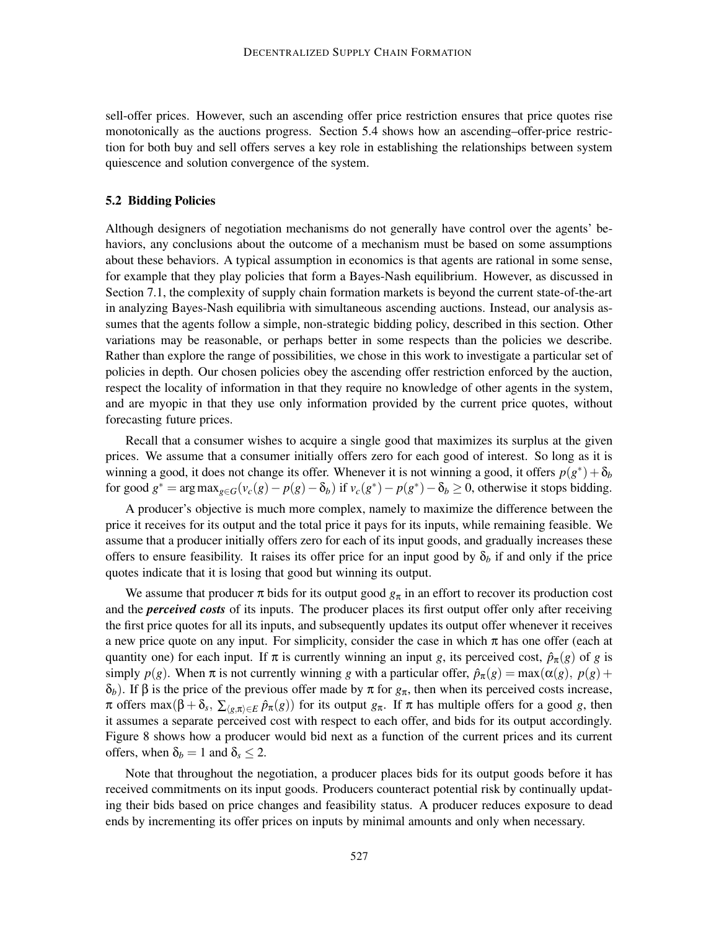sell-offer prices. However, such an ascending offer price restriction ensures that price quotes rise monotonically as the auctions progress. Section 5.4 shows how an ascending–offer-price restriction for both buy and sell offers serves a key role in establishing the relationships between system quiescence and solution convergence of the system.

#### **5.2 Bidding Policies**

Although designers of negotiation mechanisms do not generally have control over the agents' behaviors, any conclusions about the outcome of a mechanism must be based on some assumptions about these behaviors. A typical assumption in economics is that agents are rational in some sense, for example that they play policies that form a Bayes-Nash equilibrium. However, as discussed in Section 7.1, the complexity of supply chain formation markets is beyond the current state-of-the-art in analyzing Bayes-Nash equilibria with simultaneous ascending auctions. Instead, our analysis assumes that the agents follow a simple, non-strategic bidding policy, described in this section. Other variations may be reasonable, or perhaps better in some respects than the policies we describe. Rather than explore the range of possibilities, we chose in this work to investigate a particular set of policies in depth. Our chosen policies obey the ascending offer restriction enforced by the auction, respect the locality of information in that they require no knowledge of other agents in the system, and are myopic in that they use only information provided by the current price quotes, without forecasting future prices.

Recall that a consumer wishes to acquire a single good that maximizes its surplus at the given prices. We assume that a consumer initially offers zero for each good of interest. So long as it is winning a good, it does not change its offer. Whenever it is not winning a good, it offers  $p(g^*) + \delta_b$ for good  $g^* = \arg \max_{g \in G} (v_c(g) - p(g) - \delta_b)$  if  $v_c(g^*) - p(g^*) - \delta_b \ge 0$ , otherwise it stops bidding.

A producer's objective is much more complex, namely to maximize the difference between the price it receives for its output and the total price it pays for its inputs, while remaining feasible. We assume that a producer initially offers zero for each of its input goods, and gradually increases these offers to ensure feasibility. It raises its offer price for an input good by  $\delta_b$  if and only if the price quotes indicate that it is losing that good but winning its output.

We assume that producer  $\pi$  bids for its output good  $g_{\pi}$  in an effort to recover its production cost and the *perceived costs* of its inputs. The producer places its first output offer only after receiving the first price quotes for all its inputs, and subsequently updates its output offer whenever it receives a new price quote on any input. For simplicity, consider the case in which  $\pi$  has one offer (each at quantity one) for each input. If  $\pi$  is currently winning an input *g*, its perceived cost,  $\hat{p}_{\pi}(g)$  of *g* is simply  $p(g)$ . When  $\pi$  is not currently winning *g* with a particular offer,  $\hat{p}_{\pi}(g) = \max(\alpha(g), p(g) + \alpha(g))$ δ*b*). If β is the price of the previous offer made by π for *g*π, then when its perceived costs increase,  $\pi$  offers max( $\beta + \delta_s$ ,  $\sum_{\langle g,\pi \rangle \in E} \hat{p}_{\pi}(g)$ ) for its output  $g_{\pi}$ . If  $\pi$  has multiple offers for a good *g*, then it assumes a separate perceived cost with respect to each offer, and bids for its output accordingly. Figure 8 shows how a producer would bid next as a function of the current prices and its current offers, when  $\delta_b = 1$  and  $\delta_s \leq 2$ .

Note that throughout the negotiation, a producer places bids for its output goods before it has received commitments on its input goods. Producers counteract potential risk by continually updating their bids based on price changes and feasibility status. A producer reduces exposure to dead ends by incrementing its offer prices on inputs by minimal amounts and only when necessary.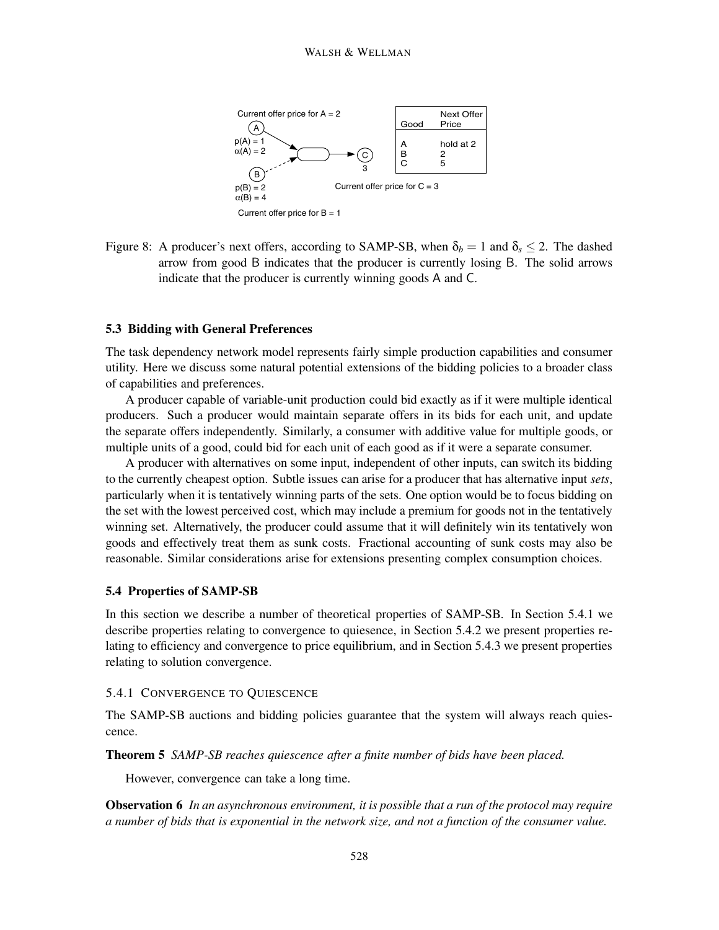

Figure 8: A producer's next offers, according to SAMP-SB, when  $\delta_b = 1$  and  $\delta_s \leq 2$ . The dashed arrow from good B indicates that the producer is currently losing B. The solid arrows indicate that the producer is currently winning goods A and C.

## **5.3 Bidding with General Preferences**

The task dependency network model represents fairly simple production capabilities and consumer utility. Here we discuss some natural potential extensions of the bidding policies to a broader class of capabilities and preferences.

A producer capable of variable-unit production could bid exactly as if it were multiple identical producers. Such a producer would maintain separate offers in its bids for each unit, and update the separate offers independently. Similarly, a consumer with additive value for multiple goods, or multiple units of a good, could bid for each unit of each good as if it were a separate consumer.

A producer with alternatives on some input, independent of other inputs, can switch its bidding to the currently cheapest option. Subtle issues can arise for a producer that has alternative input *sets*, particularly when it is tentatively winning parts of the sets. One option would be to focus bidding on the set with the lowest perceived cost, which may include a premium for goods not in the tentatively winning set. Alternatively, the producer could assume that it will definitely win its tentatively won goods and effectively treat them as sunk costs. Fractional accounting of sunk costs may also be reasonable. Similar considerations arise for extensions presenting complex consumption choices.

#### **5.4 Properties of SAMP-SB**

In this section we describe a number of theoretical properties of SAMP-SB. In Section 5.4.1 we describe properties relating to convergence to quiesence, in Section 5.4.2 we present properties relating to efficiency and convergence to price equilibrium, and in Section 5.4.3 we present properties relating to solution convergence.

#### 5.4.1 CONVERGENCE TO QUIESCENCE

The SAMP-SB auctions and bidding policies guarantee that the system will always reach quiescence.

**Theorem 5** *SAMP-SB reaches quiescence after a finite number of bids have been placed.*

However, convergence can take a long time.

**Observation 6** *In an asynchronous environment, it is possible that a run of the protocol may require a number of bids that is exponential in the network size, and not a function of the consumer value.*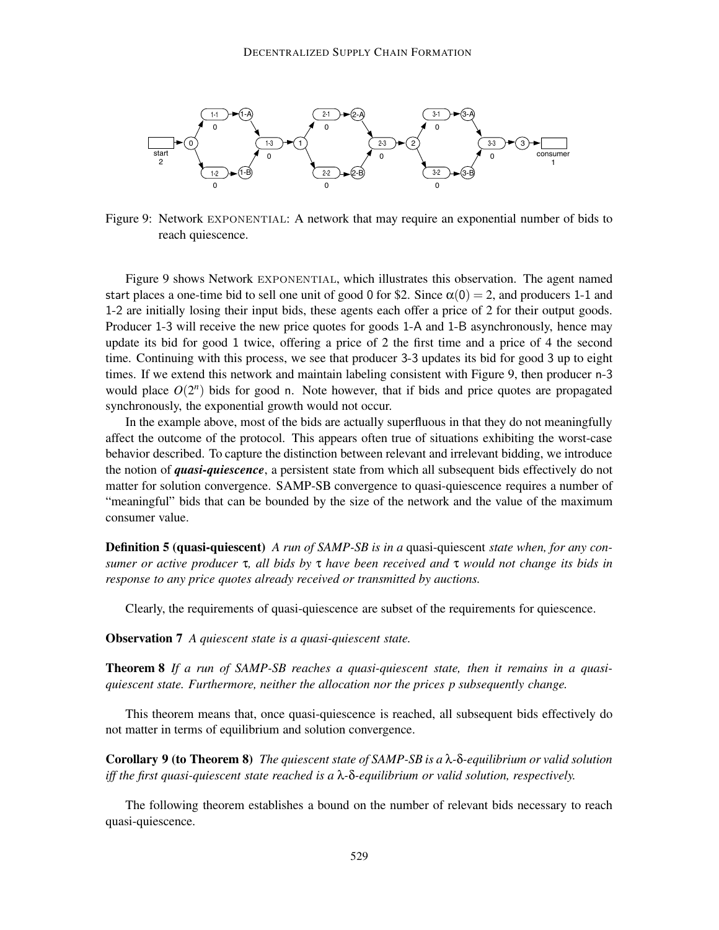

Figure 9: Network exponential: A network that may require an exponential number of bids to reach quiescence.

Figure 9 shows Network exponential, which illustrates this observation. The agent named start places a one-time bid to sell one unit of good 0 for \$2. Since  $\alpha(0) = 2$ , and producers 1-1 and 1-2 are initially losing their input bids, these agents each offer a price of 2 for their output goods. Producer 1-3 will receive the new price quotes for goods 1-A and 1-B asynchronously, hence may update its bid for good 1 twice, offering a price of 2 the first time and a price of 4 the second time. Continuing with this process, we see that producer 3-3 updates its bid for good 3 up to eight times. If we extend this network and maintain labeling consistent with Figure 9, then producer n-3 would place  $O(2^n)$  bids for good n. Note however, that if bids and price quotes are propagated synchronously, the exponential growth would not occur.

In the example above, most of the bids are actually superfluous in that they do not meaningfully affect the outcome of the protocol. This appears often true of situations exhibiting the worst-case behavior described. To capture the distinction between relevant and irrelevant bidding, we introduce the notion of *quasi-quiescence*, a persistent state from which all subsequent bids effectively do not matter for solution convergence. SAMP-SB convergence to quasi-quiescence requires a number of "meaningful" bids that can be bounded by the size of the network and the value of the maximum consumer value.

**Definition 5 (quasi-quiescent)** *A run of SAMP-SB is in a* quasi-quiescent *state when, for any consumer or active producer* τ*, all bids by* τ *have been received and* τ *would not change its bids in response to any price quotes already received or transmitted by auctions.*

Clearly, the requirements of quasi-quiescence are subset of the requirements for quiescence.

**Observation 7** *A quiescent state is a quasi-quiescent state.*

**Theorem 8** *If a run of SAMP-SB reaches a quasi-quiescent state, then it remains in a quasiquiescent state. Furthermore, neither the allocation nor the prices p subsequently change.*

This theorem means that, once quasi-quiescence is reached, all subsequent bids effectively do not matter in terms of equilibrium and solution convergence.

**Corollary 9 (to Theorem 8)** *The quiescent state of SAMP-SB is a* λ*-*δ*-equilibrium or valid solution iff the first quasi-quiescent state reached is a* λ*-*δ*-equilibrium or valid solution, respectively.*

The following theorem establishes a bound on the number of relevant bids necessary to reach quasi-quiescence.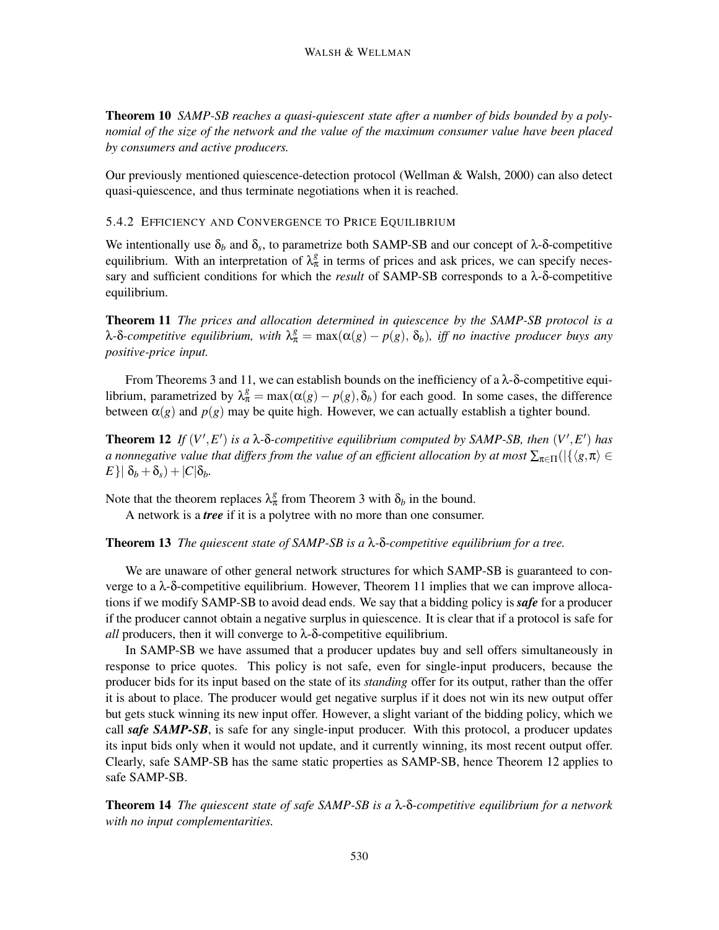**Theorem 10** *SAMP-SB reaches a quasi-quiescent state after a number of bids bounded by a polynomial of the size of the network and the value of the maximum consumer value have been placed by consumers and active producers.*

Our previously mentioned quiescence-detection protocol (Wellman & Walsh, 2000) can also detect quasi-quiescence, and thus terminate negotiations when it is reached.

## 5.4.2 EFFICIENCY AND CONVERGENCE TO PRICE EQUILIBRIUM

We intentionally use  $\delta_b$  and  $\delta_s$ , to parametrize both SAMP-SB and our concept of  $\lambda$ -δ-competitive equilibrium. With an interpretation of  $\lambda_{\pi}^{g}$  in terms of prices and ask prices, we can specify necessary and sufficient conditions for which the *result* of SAMP-SB corresponds to a λ-δ-competitive equilibrium.

**Theorem 11** *The prices and allocation determined in quiescence by the SAMP-SB protocol is a* λ-δ-competitive equilibrium, with  $λ_{π}^{g} = max(α(g) - p(g), δ_b)$ , iff no inactive producer buys any *positive-price input.*

From Theorems 3 and 11, we can establish bounds on the inefficiency of a  $\lambda$ - $\delta$ -competitive equilibrium, parametrized by  $\lambda_{\pi}^{g} = \max(\alpha(g) - p(g), \delta_b)$  for each good. In some cases, the difference between  $\alpha(g)$  and  $p(g)$  may be quite high. However, we can actually establish a tighter bound.

**Theorem 12** If  $(V', E')$  is a  $\lambda$ - $\delta$ -competitive equilibrium computed by SAMP-SB, then  $(V', E')$  has *a* nonnegative value that differs from the value of an efficient allocation by at most  $\sum_{\pi\in\Pi}(|\{\langle g,\pi\rangle\in E\}|)$  $E\{\delta_b + \delta_s\} + |C|\delta_b$ .

Note that the theorem replaces  $\lambda_{\pi}^{g}$  from Theorem 3 with  $\delta_{b}$  in the bound.

A network is a *tree* if it is a polytree with no more than one consumer.

**Theorem 13** *The quiescent state of SAMP-SB is a* λ*-*δ*-competitive equilibrium for a tree.*

We are unaware of other general network structures for which SAMP-SB is guaranteed to converge to a  $\lambda$ -δ-competitive equilibrium. However, Theorem 11 implies that we can improve allocations if we modify SAMP-SB to avoid dead ends. We say that a bidding policy is *safe* for a producer if the producer cannot obtain a negative surplus in quiescence. It is clear that if a protocol is safe for *all* producers, then it will converge to  $\lambda$ -δ-competitive equilibrium.

In SAMP-SB we have assumed that a producer updates buy and sell offers simultaneously in response to price quotes. This policy is not safe, even for single-input producers, because the producer bids for its input based on the state of its *standing* offer for its output, rather than the offer it is about to place. The producer would get negative surplus if it does not win its new output offer but gets stuck winning its new input offer. However, a slight variant of the bidding policy, which we call *safe SAMP-SB*, is safe for any single-input producer. With this protocol, a producer updates its input bids only when it would not update, and it currently winning, its most recent output offer. Clearly, safe SAMP-SB has the same static properties as SAMP-SB, hence Theorem 12 applies to safe SAMP-SB.

**Theorem 14** *The quiescent state of safe SAMP-SB is a* λ*-*δ*-competitive equilibrium for a network with no input complementarities.*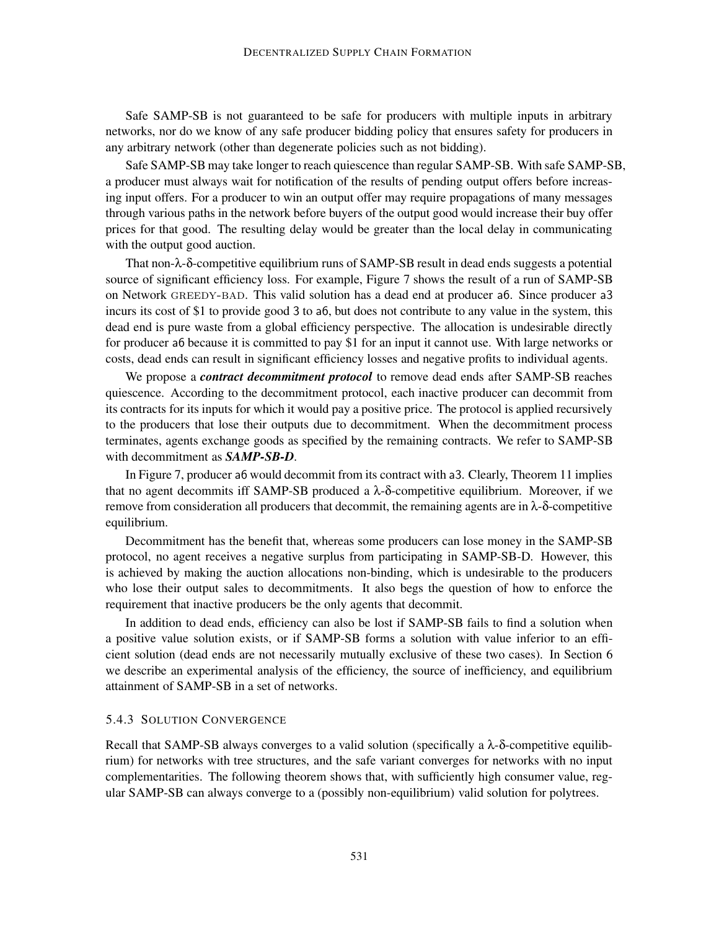Safe SAMP-SB is not guaranteed to be safe for producers with multiple inputs in arbitrary networks, nor do we know of any safe producer bidding policy that ensures safety for producers in any arbitrary network (other than degenerate policies such as not bidding).

Safe SAMP-SB may take longer to reach quiescence than regular SAMP-SB. With safe SAMP-SB, a producer must always wait for notification of the results of pending output offers before increasing input offers. For a producer to win an output offer may require propagations of many messages through various paths in the network before buyers of the output good would increase their buy offer prices for that good. The resulting delay would be greater than the local delay in communicating with the output good auction.

That non-λ-δ-competitive equilibrium runs of SAMP-SB result in dead ends suggests a potential source of significant efficiency loss. For example, Figure 7 shows the result of a run of SAMP-SB on Network GREEDY-BAD. This valid solution has a dead end at producer a6. Since producer a3 incurs its cost of \$1 to provide good 3 to a6, but does not contribute to any value in the system, this dead end is pure waste from a global efficiency perspective. The allocation is undesirable directly for producer a6 because it is committed to pay \$1 for an input it cannot use. With large networks or costs, dead ends can result in significant efficiency losses and negative profits to individual agents.

We propose a *contract decommitment protocol* to remove dead ends after SAMP-SB reaches quiescence. According to the decommitment protocol, each inactive producer can decommit from its contracts for its inputs for which it would pay a positive price. The protocol is applied recursively to the producers that lose their outputs due to decommitment. When the decommitment process terminates, agents exchange goods as specified by the remaining contracts. We refer to SAMP-SB with decommitment as *SAMP-SB-D*.

In Figure 7, producer a6 would decommit from its contract with a3. Clearly, Theorem 11 implies that no agent decommits iff SAMP-SB produced a  $\lambda$ -δ-competitive equilibrium. Moreover, if we remove from consideration all producers that decommit, the remaining agents are in  $λ$ -δ-competitive equilibrium.

Decommitment has the benefit that, whereas some producers can lose money in the SAMP-SB protocol, no agent receives a negative surplus from participating in SAMP-SB-D. However, this is achieved by making the auction allocations non-binding, which is undesirable to the producers who lose their output sales to decommitments. It also begs the question of how to enforce the requirement that inactive producers be the only agents that decommit.

In addition to dead ends, efficiency can also be lost if SAMP-SB fails to find a solution when a positive value solution exists, or if SAMP-SB forms a solution with value inferior to an efficient solution (dead ends are not necessarily mutually exclusive of these two cases). In Section 6 we describe an experimental analysis of the efficiency, the source of inefficiency, and equilibrium attainment of SAMP-SB in a set of networks.

## 5.4.3 SOLUTION CONVERGENCE

Recall that SAMP-SB always converges to a valid solution (specifically a λ-δ-competitive equilibrium) for networks with tree structures, and the safe variant converges for networks with no input complementarities. The following theorem shows that, with sufficiently high consumer value, regular SAMP-SB can always converge to a (possibly non-equilibrium) valid solution for polytrees.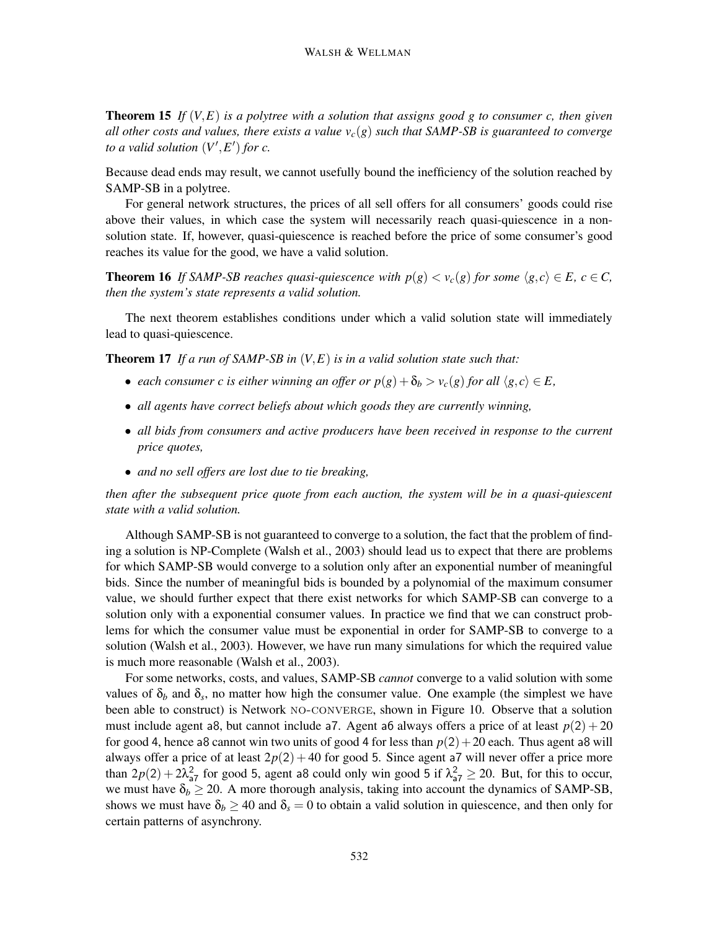**Theorem 15** *If* (*V,E*) *is a polytree with a solution that assigns good g to consumer c, then given all other costs and values, there exists a value*  $v_c(g)$  *such that SAMP-SB is guaranteed to converge to a valid solution*  $(V', E')$  *for c.* 

Because dead ends may result, we cannot usefully bound the inefficiency of the solution reached by SAMP-SB in a polytree.

For general network structures, the prices of all sell offers for all consumers' goods could rise above their values, in which case the system will necessarily reach quasi-quiescence in a nonsolution state. If, however, quasi-quiescence is reached before the price of some consumer's good reaches its value for the good, we have a valid solution.

**Theorem 16** *If SAMP-SB reaches quasi-quiescence with*  $p(g) < v_c(g)$  *for some*  $\langle g, c \rangle \in E$ *,*  $c \in C$ *, then the system's state represents a valid solution.*

The next theorem establishes conditions under which a valid solution state will immediately lead to quasi-quiescence.

**Theorem 17** *If a run of SAMP-SB in* (*V,E*) *is in a valid solution state such that:*

- *each consumer c is either winning an offer or*  $p(g) + \delta_b > v_c(g)$  *for all*  $\langle g, c \rangle \in E$ ,
- *all agents have correct beliefs about which goods they are currently winning,*
- *all bids from consumers and active producers have been received in response to the current price quotes,*
- *and no sell offers are lost due to tie breaking,*

*then after the subsequent price quote from each auction, the system will be in a quasi-quiescent state with a valid solution.*

Although SAMP-SB is not guaranteed to converge to a solution, the fact that the problem of finding a solution is NP-Complete (Walsh et al., 2003) should lead us to expect that there are problems for which SAMP-SB would converge to a solution only after an exponential number of meaningful bids. Since the number of meaningful bids is bounded by a polynomial of the maximum consumer value, we should further expect that there exist networks for which SAMP-SB can converge to a solution only with a exponential consumer values. In practice we find that we can construct problems for which the consumer value must be exponential in order for SAMP-SB to converge to a solution (Walsh et al., 2003). However, we have run many simulations for which the required value is much more reasonable (Walsh et al., 2003).

For some networks, costs, and values, SAMP-SB *cannot* converge to a valid solution with some values of  $\delta_b$  and  $\delta_s$ , no matter how high the consumer value. One example (the simplest we have been able to construct) is Network NO-CONVERGE, shown in Figure 10. Observe that a solution must include agent a8, but cannot include a7. Agent a6 always offers a price of at least  $p(2) + 20$ for good 4, hence a8 cannot win two units of good 4 for less than  $p(2) + 20$  each. Thus agent a8 will always offer a price of at least  $2p(2) + 40$  for good 5. Since agent a7 will never offer a price more than  $2p(2) + 2\lambda_{a}^2$  for good 5, agent a8 could only win good 5 if  $\lambda_{a}^2 \ge 20$ . But, for this to occur, we must have  $\delta_b \geq 20$ . A more thorough analysis, taking into account the dynamics of SAMP-SB, shows we must have  $\delta_b \ge 40$  and  $\delta_s = 0$  to obtain a valid solution in quiescence, and then only for certain patterns of asynchrony.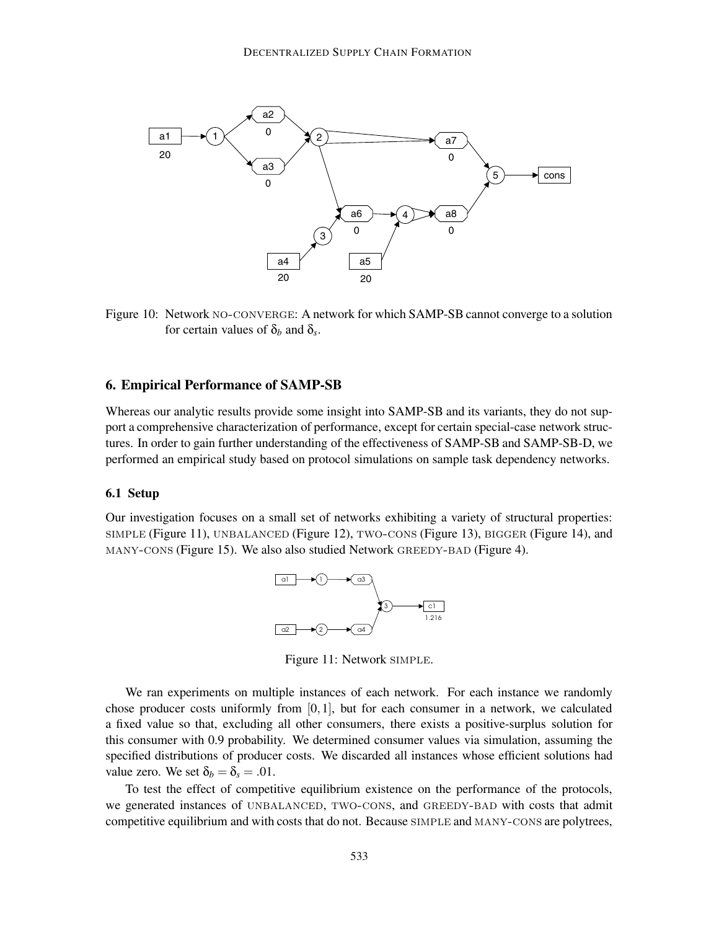

Figure 10: Network no-converge: A network for which SAMP-SB cannot converge to a solution for certain values of  $\delta_b$  and  $\delta_s$ .

## **6. Empirical Performance of SAMP-SB**

Whereas our analytic results provide some insight into SAMP-SB and its variants, they do not support a comprehensive characterization of performance, except for certain special-case network structures. In order to gain further understanding of the effectiveness of SAMP-SB and SAMP-SB-D, we performed an empirical study based on protocol simulations on sample task dependency networks.

#### **6.1 Setup**

Our investigation focuses on a small set of networks exhibiting a variety of structural properties: simple (Figure 11), UNBALANCED (Figure 12), TWO-CONS (Figure 13), BIGGER (Figure 14), and many-cons (Figure 15). We also also studied Network greedy-bad (Figure 4).



Figure 11: Network simple.

We ran experiments on multiple instances of each network. For each instance we randomly chose producer costs uniformly from [0*,*1], but for each consumer in a network, we calculated a fixed value so that, excluding all other consumers, there exists a positive-surplus solution for this consumer with 0.9 probability. We determined consumer values via simulation, assuming the specified distributions of producer costs. We discarded all instances whose efficient solutions had value zero. We set  $\delta_b = \delta_s = .01$ .

To test the effect of competitive equilibrium existence on the performance of the protocols, we generated instances of UNBALANCED, TWO-CONS, and GREEDY-BAD with costs that admit competitive equilibrium and with costs that do not. Because simple and many-cons are polytrees,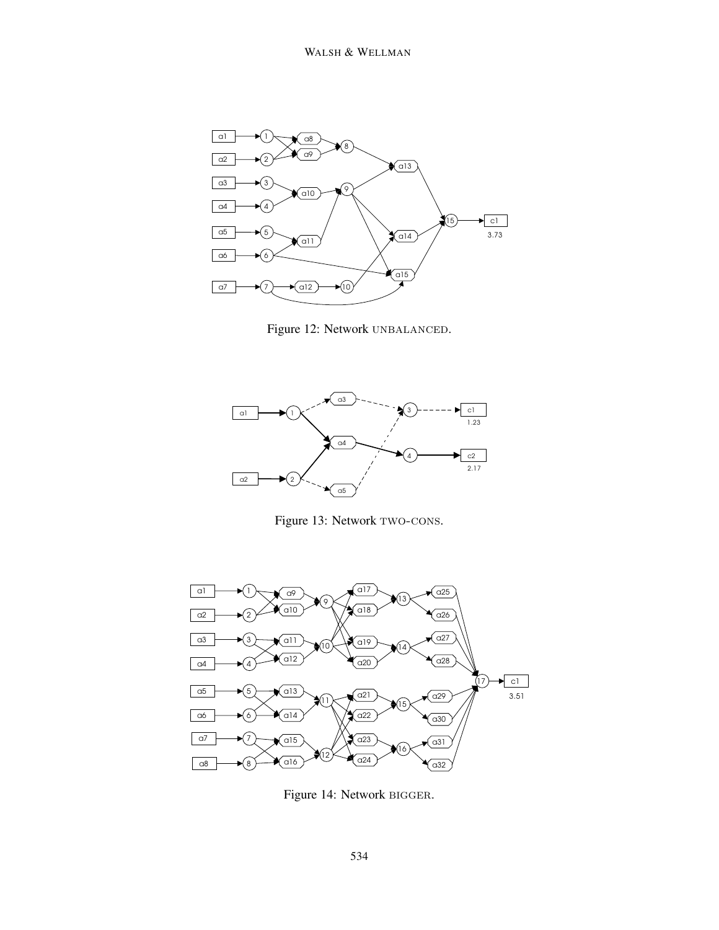

Figure 12: Network UNBALANCED.



Figure 13: Network TWO-CONS.



Figure 14: Network bigger.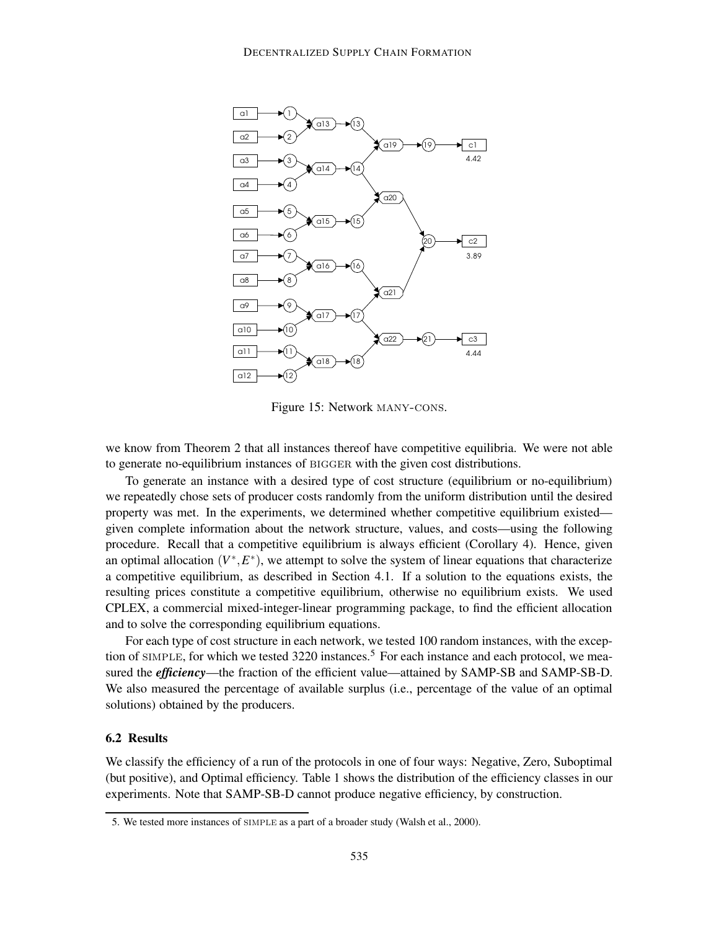

Figure 15: Network many-cons.

we know from Theorem 2 that all instances thereof have competitive equilibria. We were not able to generate no-equilibrium instances of BIGGER with the given cost distributions.

To generate an instance with a desired type of cost structure (equilibrium or no-equilibrium) we repeatedly chose sets of producer costs randomly from the uniform distribution until the desired property was met. In the experiments, we determined whether competitive equilibrium existed given complete information about the network structure, values, and costs—using the following procedure. Recall that a competitive equilibrium is always efficient (Corollary 4). Hence, given an optimal allocation  $(V^*, E^*)$ , we attempt to solve the system of linear equations that characterize a competitive equilibrium, as described in Section 4.1. If a solution to the equations exists, the resulting prices constitute a competitive equilibrium, otherwise no equilibrium exists. We used CPLEX, a commercial mixed-integer-linear programming package, to find the efficient allocation and to solve the corresponding equilibrium equations.

For each type of cost structure in each network, we tested 100 random instances, with the exception of SIMPLE, for which we tested 3220 instances.<sup>5</sup> For each instance and each protocol, we measured the *efficiency*—the fraction of the efficient value—attained by SAMP-SB and SAMP-SB-D. We also measured the percentage of available surplus (i.e., percentage of the value of an optimal solutions) obtained by the producers.

## **6.2 Results**

We classify the efficiency of a run of the protocols in one of four ways: Negative, Zero, Suboptimal (but positive), and Optimal efficiency. Table 1 shows the distribution of the efficiency classes in our experiments. Note that SAMP-SB-D cannot produce negative efficiency, by construction.

<sup>5.</sup> We tested more instances of simple as a part of a broader study (Walsh et al., 2000).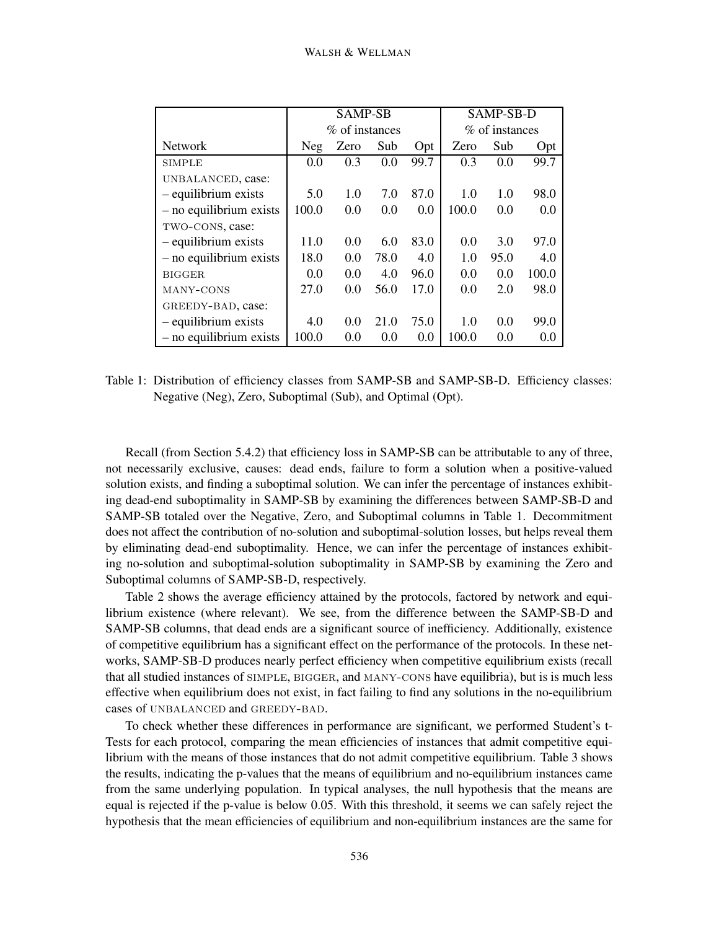|                           | <b>SAMP-SB</b> |      |      | SAMP-SB-D      |       |      |       |
|---------------------------|----------------|------|------|----------------|-------|------|-------|
|                           | % of instances |      |      | % of instances |       |      |       |
| <b>Network</b>            | <b>Neg</b>     | Zero | Sub  | Opt            | Zero  | Sub  | Opt   |
| <b>SIMPLE</b>             | 0.0            | 0.3  | 0.0  | 99.7           | 0.3   | 0.0  | 99.7  |
| UNBALANCED, case:         |                |      |      |                |       |      |       |
| - equilibrium exists      | 5.0            | 1.0  | 7.0  | 87.0           | 1.0   | 1.0  | 98.0  |
| $-$ no equilibrium exists | 100.0          | 0.0  | 0.0  | 0.0            | 100.0 | 0.0  | 0.0   |
| TWO-CONS, case:           |                |      |      |                |       |      |       |
| - equilibrium exists      | 11.0           | 0.0  | 6.0  | 83.0           | 0.0   | 3.0  | 97.0  |
| $-$ no equilibrium exists | 18.0           | 0.0  | 78.0 | 4.0            | 1.0   | 95.0 | 4.0   |
| BIGGER.                   | 0.0            | 0.0  | 4.0  | 96.0           | 0.0   | 0.0  | 100.0 |
| MANY-CONS                 | 27.0           | 0.0  | 56.0 | 17.0           | 0.0   | 2.0  | 98.0  |
| GREEDY-BAD, case:         |                |      |      |                |       |      |       |
| - equilibrium exists      | 4.0            | 0.0  | 21.0 | 75.0           | 1.0   | 0.0  | 99.0  |
| $-$ no equilibrium exists | 100.0          | 0.0  | 0.0  | 0.0            | 100.0 | 0.0  | 0.0   |

Table 1: Distribution of efficiency classes from SAMP-SB and SAMP-SB-D. Efficiency classes: Negative (Neg), Zero, Suboptimal (Sub), and Optimal (Opt).

Recall (from Section 5.4.2) that efficiency loss in SAMP-SB can be attributable to any of three, not necessarily exclusive, causes: dead ends, failure to form a solution when a positive-valued solution exists, and finding a suboptimal solution. We can infer the percentage of instances exhibiting dead-end suboptimality in SAMP-SB by examining the differences between SAMP-SB-D and SAMP-SB totaled over the Negative, Zero, and Suboptimal columns in Table 1. Decommitment does not affect the contribution of no-solution and suboptimal-solution losses, but helps reveal them by eliminating dead-end suboptimality. Hence, we can infer the percentage of instances exhibiting no-solution and suboptimal-solution suboptimality in SAMP-SB by examining the Zero and Suboptimal columns of SAMP-SB-D, respectively.

Table 2 shows the average efficiency attained by the protocols, factored by network and equilibrium existence (where relevant). We see, from the difference between the SAMP-SB-D and SAMP-SB columns, that dead ends are a significant source of inefficiency. Additionally, existence of competitive equilibrium has a significant effect on the performance of the protocols. In these networks, SAMP-SB-D produces nearly perfect efficiency when competitive equilibrium exists (recall that all studied instances of simple, bigger, and many-cons have equilibria), but is is much less effective when equilibrium does not exist, in fact failing to find any solutions in the no-equilibrium cases of UNBALANCED and GREEDY-BAD.

To check whether these differences in performance are significant, we performed Student's t-Tests for each protocol, comparing the mean efficiencies of instances that admit competitive equilibrium with the means of those instances that do not admit competitive equilibrium. Table 3 shows the results, indicating the p-values that the means of equilibrium and no-equilibrium instances came from the same underlying population. In typical analyses, the null hypothesis that the means are equal is rejected if the p-value is below 0*.*05. With this threshold, it seems we can safely reject the hypothesis that the mean efficiencies of equilibrium and non-equilibrium instances are the same for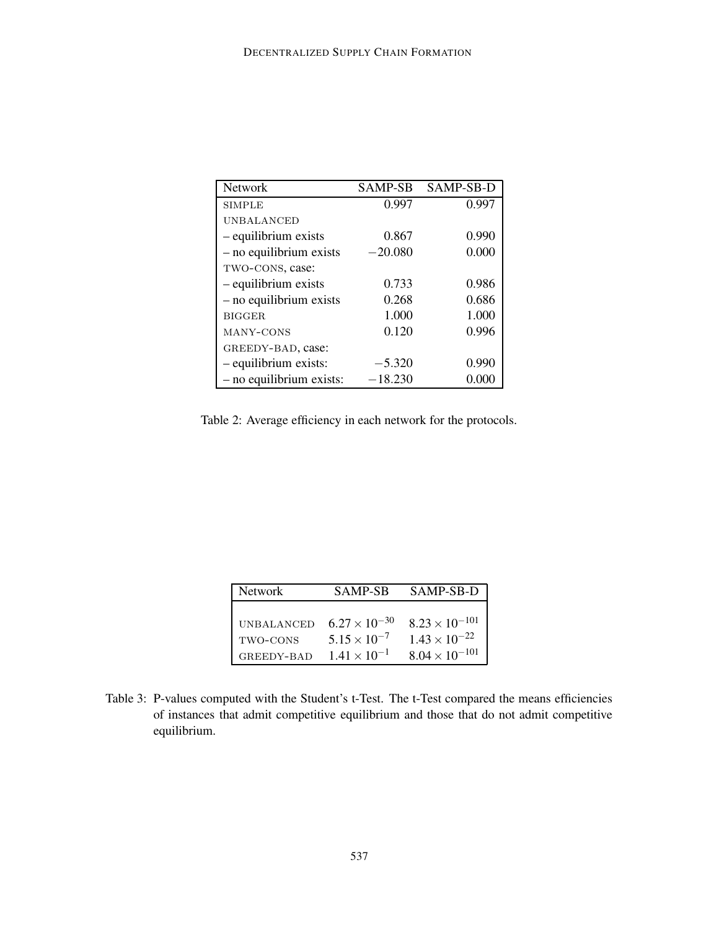| <b>Network</b>             | <b>SAMP-SB</b> | SAMP-SB-D |
|----------------------------|----------------|-----------|
| <b>SIMPLE</b>              | 0.997          | 0.997     |
| <b>UNBALANCED</b>          |                |           |
| - equilibrium exists       | 0.867          | 0.990     |
| $-$ no equilibrium exists  | $-20.080$      | 0.000     |
| TWO-CONS, case:            |                |           |
| - equilibrium exists       | 0.733          | 0.986     |
| $-$ no equilibrium exists  | 0.268          | 0.686     |
| <b>BIGGER</b>              | 1.000          | 1.000     |
| MANY-CONS                  | 0.120          | 0.996     |
| GREEDY-BAD, case:          |                |           |
| - equilibrium exists:      | $-5.320$       | 0.990     |
| $-$ no equilibrium exists: | $-18.230$      | 0.000     |

Table 2: Average efficiency in each network for the protocols.

| <b>Network</b>    | <b>SAMP-SB</b>         | SAMP-SB-D               |
|-------------------|------------------------|-------------------------|
| <b>UNBALANCED</b> | $6.27 \times 10^{-30}$ | $8.23 \times 10^{-101}$ |
| TWO-CONS          | $5.15 \times 10^{-7}$  | $1.43 \times 10^{-22}$  |
| GREEDY-BAD        | $1.41 \times 10^{-1}$  | $8.04 \times 10^{-101}$ |

Table 3: P-values computed with the Student's t-Test. The t-Test compared the means efficiencies of instances that admit competitive equilibrium and those that do not admit competitive equilibrium.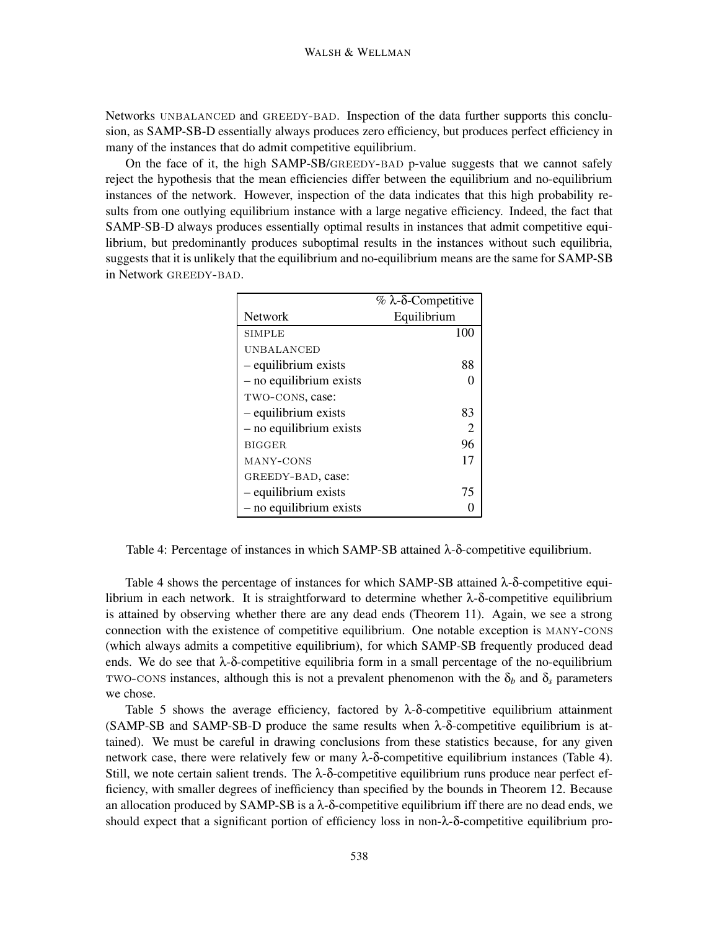Networks UNBALANCED and GREEDY-BAD. Inspection of the data further supports this conclusion, as SAMP-SB-D essentially always produces zero efficiency, but produces perfect efficiency in many of the instances that do admit competitive equilibrium.

On the face of it, the high SAMP-SB/GREEDY-BAD p-value suggests that we cannot safely reject the hypothesis that the mean efficiencies differ between the equilibrium and no-equilibrium instances of the network. However, inspection of the data indicates that this high probability results from one outlying equilibrium instance with a large negative efficiency. Indeed, the fact that SAMP-SB-D always produces essentially optimal results in instances that admit competitive equilibrium, but predominantly produces suboptimal results in the instances without such equilibria, suggests that it is unlikely that the equilibrium and no-equilibrium means are the same for SAMP-SB in Network GREEDY-BAD.

|                           | % $\lambda$ -δ-Competitive |
|---------------------------|----------------------------|
| <b>Network</b>            | Equilibrium                |
| <b>SIMPLE</b>             | 100                        |
| UNBALANCED                |                            |
| - equilibrium exists      | 88                         |
| $-$ no equilibrium exists |                            |
| TWO-CONS, case:           |                            |
| - equilibrium exists      | 83                         |
| $-$ no equilibrium exists | 2                          |
| <b>BIGGER</b>             | 96                         |
| MANY-CONS                 | 17                         |
| GREEDY-BAD, case:         |                            |
| - equilibrium exists      | 75                         |
| - no equilibrium exists   |                            |

Table 4: Percentage of instances in which SAMP-SB attained  $\lambda$ -δ-competitive equilibrium.

Table 4 shows the percentage of instances for which SAMP-SB attained  $\lambda$ -δ-competitive equilibrium in each network. It is straightforward to determine whether λ-δ-competitive equilibrium is attained by observing whether there are any dead ends (Theorem 11). Again, we see a strong connection with the existence of competitive equilibrium. One notable exception is many-cons (which always admits a competitive equilibrium), for which SAMP-SB frequently produced dead ends. We do see that  $\lambda$ -δ-competitive equilibria form in a small percentage of the no-equilibrium TWO-CONS instances, although this is not a prevalent phenomenon with the  $\delta_b$  and  $\delta_s$  parameters we chose.

Table 5 shows the average efficiency, factored by  $\lambda$ -δ-competitive equilibrium attainment (SAMP-SB and SAMP-SB-D produce the same results when λ-δ-competitive equilibrium is attained). We must be careful in drawing conclusions from these statistics because, for any given network case, there were relatively few or many  $\lambda$ -δ-competitive equilibrium instances (Table 4). Still, we note certain salient trends. The  $λ$ -δ-competitive equilibrium runs produce near perfect efficiency, with smaller degrees of inefficiency than specified by the bounds in Theorem 12. Because an allocation produced by SAMP-SB is a  $\lambda$ -δ-competitive equilibrium iff there are no dead ends, we should expect that a significant portion of efficiency loss in non-λ-δ-competitive equilibrium pro-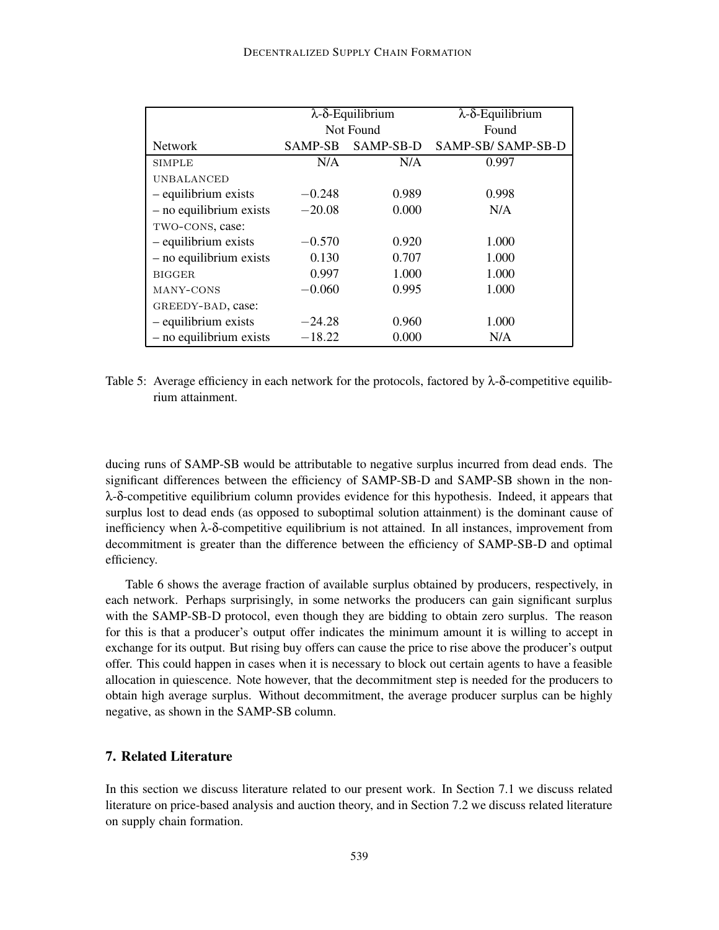|                           |          | $\lambda$ - $\delta$ -Equilibrium | $\lambda$ - $\delta$ -Equilibrium |  |
|---------------------------|----------|-----------------------------------|-----------------------------------|--|
|                           |          | Not Found                         | Found                             |  |
| <b>Network</b>            | SAMP-SB  | SAMP-SB-D                         | SAMP-SB/ SAMP-SB-D                |  |
| <b>SIMPLE</b>             | N/A      | N/A                               | 0.997                             |  |
| <b>UNBALANCED</b>         |          |                                   |                                   |  |
| - equilibrium exists      | $-0.248$ | 0.989                             | 0.998                             |  |
| $-$ no equilibrium exists | $-20.08$ | 0.000                             | N/A                               |  |
| TWO-CONS, case:           |          |                                   |                                   |  |
| - equilibrium exists      | $-0.570$ | 0.920                             | 1.000                             |  |
| $-$ no equilibrium exists | 0.130    | 0.707                             | 1.000                             |  |
| <b>BIGGER</b>             | 0.997    | 1.000                             | 1.000                             |  |
| MANY-CONS                 | $-0.060$ | 0.995                             | 1.000                             |  |
| GREEDY-BAD, case:         |          |                                   |                                   |  |
| - equilibrium exists      | $-24.28$ | 0.960                             | 1.000                             |  |
| $-$ no equilibrium exists | $-18.22$ | 0.000                             | N/A                               |  |

Table 5: Average efficiency in each network for the protocols, factored by  $\lambda$ -δ-competitive equilibrium attainment.

ducing runs of SAMP-SB would be attributable to negative surplus incurred from dead ends. The significant differences between the efficiency of SAMP-SB-D and SAMP-SB shown in the nonλ-δ-competitive equilibrium column provides evidence for this hypothesis. Indeed, it appears that surplus lost to dead ends (as opposed to suboptimal solution attainment) is the dominant cause of inefficiency when  $\lambda$ -δ-competitive equilibrium is not attained. In all instances, improvement from decommitment is greater than the difference between the efficiency of SAMP-SB-D and optimal efficiency.

Table 6 shows the average fraction of available surplus obtained by producers, respectively, in each network. Perhaps surprisingly, in some networks the producers can gain significant surplus with the SAMP-SB-D protocol, even though they are bidding to obtain zero surplus. The reason for this is that a producer's output offer indicates the minimum amount it is willing to accept in exchange for its output. But rising buy offers can cause the price to rise above the producer's output offer. This could happen in cases when it is necessary to block out certain agents to have a feasible allocation in quiescence. Note however, that the decommitment step is needed for the producers to obtain high average surplus. Without decommitment, the average producer surplus can be highly negative, as shown in the SAMP-SB column.

## **7. Related Literature**

In this section we discuss literature related to our present work. In Section 7.1 we discuss related literature on price-based analysis and auction theory, and in Section 7.2 we discuss related literature on supply chain formation.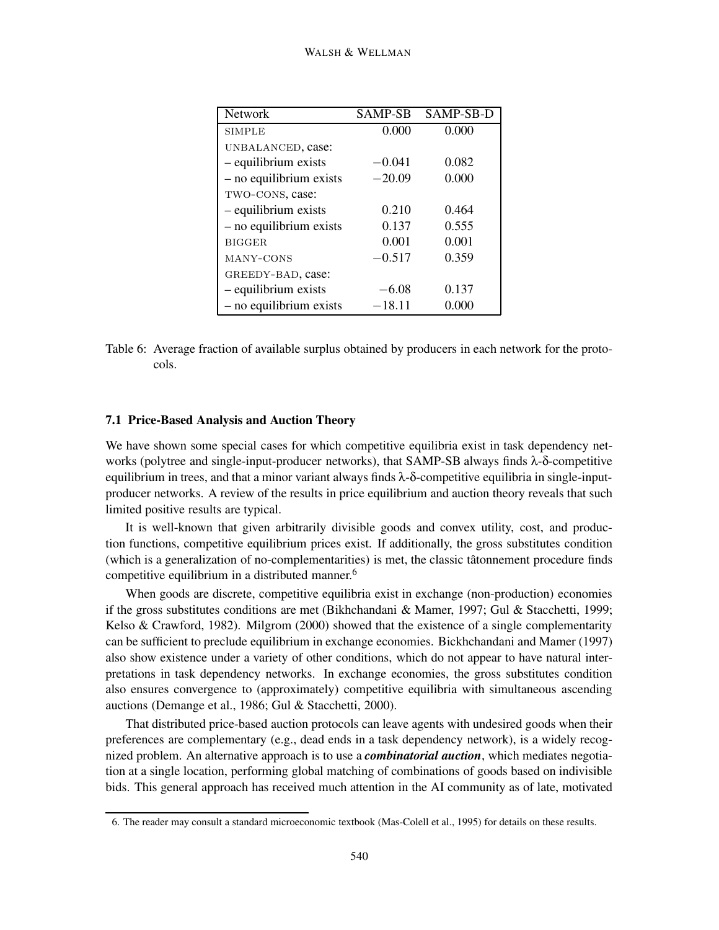| <b>Network</b>            | <b>SAMP-SB</b> | SAMP-SB-D |
|---------------------------|----------------|-----------|
| <b>SIMPLE</b>             | 0.000          | 0.000     |
| UNBALANCED, case:         |                |           |
| - equilibrium exists      | $-0.041$       | 0.082     |
| $-$ no equilibrium exists | $-20.09$       | 0.000     |
| TWO-CONS, case:           |                |           |
| - equilibrium exists      | 0.210          | 0.464     |
| $-$ no equilibrium exists | 0.137          | 0.555     |
| <b>BIGGER</b>             | 0.001          | 0.001     |
| MANY-CONS                 | $-0.517$       | 0.359     |
| GREEDY-BAD, case:         |                |           |
| - equilibrium exists      | $-6.08$        | 0.137     |
| $-$ no equilibrium exists | $-18.11$       | 0.000     |

Table 6: Average fraction of available surplus obtained by producers in each network for the protocols.

#### **7.1 Price-Based Analysis and Auction Theory**

We have shown some special cases for which competitive equilibria exist in task dependency networks (polytree and single-input-producer networks), that SAMP-SB always finds  $\lambda$ - $\delta$ -competitive equilibrium in trees, and that a minor variant always finds  $\lambda$ - $\delta$ -competitive equilibria in single-inputproducer networks. A review of the results in price equilibrium and auction theory reveals that such limited positive results are typical.

It is well-known that given arbitrarily divisible goods and convex utility, cost, and production functions, competitive equilibrium prices exist. If additionally, the gross substitutes condition (which is a generalization of no-complementarities) is met, the classic tâtonnement procedure finds competitive equilibrium in a distributed manner.<sup>6</sup>

When goods are discrete, competitive equilibria exist in exchange (non-production) economies if the gross substitutes conditions are met (Bikhchandani & Mamer, 1997; Gul & Stacchetti, 1999; Kelso & Crawford, 1982). Milgrom (2000) showed that the existence of a single complementarity can be sufficient to preclude equilibrium in exchange economies. Bickhchandani and Mamer (1997) also show existence under a variety of other conditions, which do not appear to have natural interpretations in task dependency networks. In exchange economies, the gross substitutes condition also ensures convergence to (approximately) competitive equilibria with simultaneous ascending auctions (Demange et al., 1986; Gul & Stacchetti, 2000).

That distributed price-based auction protocols can leave agents with undesired goods when their preferences are complementary (e.g., dead ends in a task dependency network), is a widely recognized problem. An alternative approach is to use a *combinatorial auction*, which mediates negotiation at a single location, performing global matching of combinations of goods based on indivisible bids. This general approach has received much attention in the AI community as of late, motivated

<sup>6.</sup> The reader may consult a standard microeconomic textbook (Mas-Colell et al., 1995) for details on these results.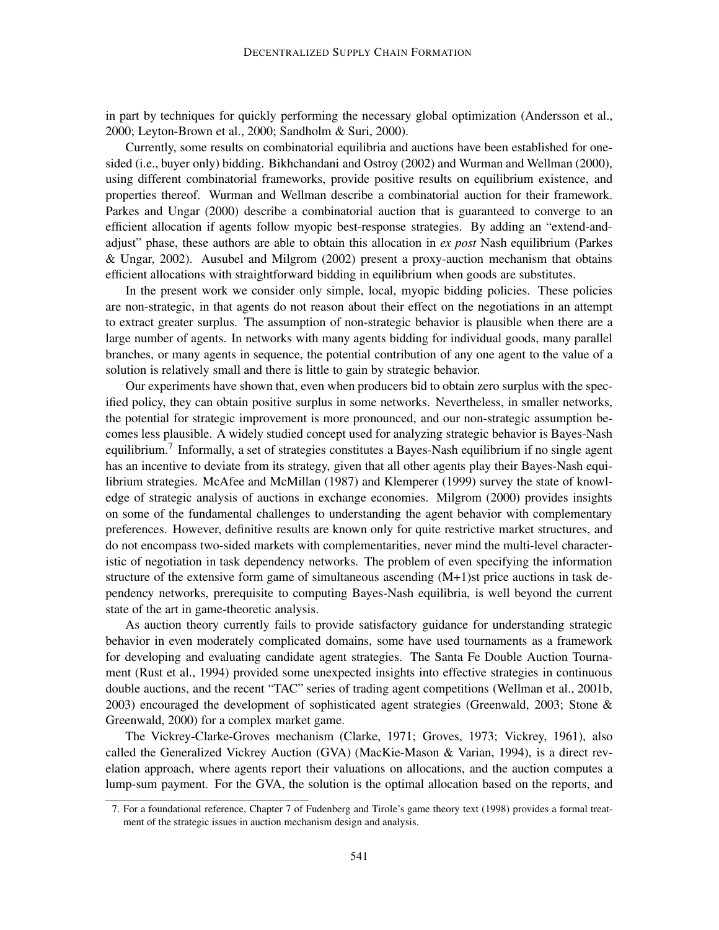in part by techniques for quickly performing the necessary global optimization (Andersson et al., 2000; Leyton-Brown et al., 2000; Sandholm & Suri, 2000).

Currently, some results on combinatorial equilibria and auctions have been established for onesided (i.e., buyer only) bidding. Bikhchandani and Ostroy (2002) and Wurman and Wellman (2000), using different combinatorial frameworks, provide positive results on equilibrium existence, and properties thereof. Wurman and Wellman describe a combinatorial auction for their framework. Parkes and Ungar (2000) describe a combinatorial auction that is guaranteed to converge to an efficient allocation if agents follow myopic best-response strategies. By adding an "extend-andadjust" phase, these authors are able to obtain this allocation in *ex post* Nash equilibrium (Parkes & Ungar, 2002). Ausubel and Milgrom (2002) present a proxy-auction mechanism that obtains efficient allocations with straightforward bidding in equilibrium when goods are substitutes.

In the present work we consider only simple, local, myopic bidding policies. These policies are non-strategic, in that agents do not reason about their effect on the negotiations in an attempt to extract greater surplus. The assumption of non-strategic behavior is plausible when there are a large number of agents. In networks with many agents bidding for individual goods, many parallel branches, or many agents in sequence, the potential contribution of any one agent to the value of a solution is relatively small and there is little to gain by strategic behavior.

Our experiments have shown that, even when producers bid to obtain zero surplus with the specified policy, they can obtain positive surplus in some networks. Nevertheless, in smaller networks, the potential for strategic improvement is more pronounced, and our non-strategic assumption becomes less plausible. A widely studied concept used for analyzing strategic behavior is Bayes-Nash equilibrium.<sup>7</sup> Informally, a set of strategies constitutes a Bayes-Nash equilibrium if no single agent has an incentive to deviate from its strategy, given that all other agents play their Bayes-Nash equilibrium strategies. McAfee and McMillan (1987) and Klemperer (1999) survey the state of knowledge of strategic analysis of auctions in exchange economies. Milgrom (2000) provides insights on some of the fundamental challenges to understanding the agent behavior with complementary preferences. However, definitive results are known only for quite restrictive market structures, and do not encompass two-sided markets with complementarities, never mind the multi-level characteristic of negotiation in task dependency networks. The problem of even specifying the information structure of the extensive form game of simultaneous ascending (M+1)st price auctions in task dependency networks, prerequisite to computing Bayes-Nash equilibria, is well beyond the current state of the art in game-theoretic analysis.

As auction theory currently fails to provide satisfactory guidance for understanding strategic behavior in even moderately complicated domains, some have used tournaments as a framework for developing and evaluating candidate agent strategies. The Santa Fe Double Auction Tournament (Rust et al., 1994) provided some unexpected insights into effective strategies in continuous double auctions, and the recent "TAC" series of trading agent competitions (Wellman et al., 2001b, 2003) encouraged the development of sophisticated agent strategies (Greenwald, 2003; Stone & Greenwald, 2000) for a complex market game.

The Vickrey-Clarke-Groves mechanism (Clarke, 1971; Groves, 1973; Vickrey, 1961), also called the Generalized Vickrey Auction (GVA) (MacKie-Mason & Varian, 1994), is a direct revelation approach, where agents report their valuations on allocations, and the auction computes a lump-sum payment. For the GVA, the solution is the optimal allocation based on the reports, and

<sup>7.</sup> For a foundational reference, Chapter 7 of Fudenberg and Tirole's game theory text (1998) provides a formal treatment of the strategic issues in auction mechanism design and analysis.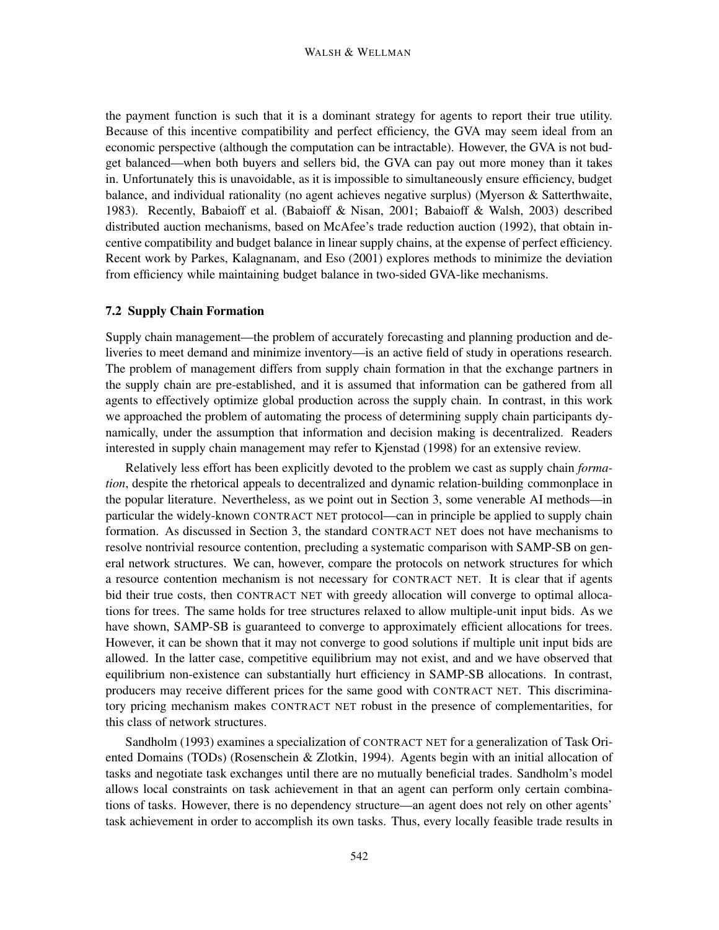the payment function is such that it is a dominant strategy for agents to report their true utility. Because of this incentive compatibility and perfect efficiency, the GVA may seem ideal from an economic perspective (although the computation can be intractable). However, the GVA is not budget balanced—when both buyers and sellers bid, the GVA can pay out more money than it takes in. Unfortunately this is unavoidable, as it is impossible to simultaneously ensure efficiency, budget balance, and individual rationality (no agent achieves negative surplus) (Myerson & Satterthwaite, 1983). Recently, Babaioff et al. (Babaioff & Nisan, 2001; Babaioff & Walsh, 2003) described distributed auction mechanisms, based on McAfee's trade reduction auction (1992), that obtain incentive compatibility and budget balance in linear supply chains, at the expense of perfect efficiency. Recent work by Parkes, Kalagnanam, and Eso (2001) explores methods to minimize the deviation from efficiency while maintaining budget balance in two-sided GVA-like mechanisms.

## **7.2 Supply Chain Formation**

Supply chain management—the problem of accurately forecasting and planning production and deliveries to meet demand and minimize inventory—is an active field of study in operations research. The problem of management differs from supply chain formation in that the exchange partners in the supply chain are pre-established, and it is assumed that information can be gathered from all agents to effectively optimize global production across the supply chain. In contrast, in this work we approached the problem of automating the process of determining supply chain participants dynamically, under the assumption that information and decision making is decentralized. Readers interested in supply chain management may refer to Kjenstad (1998) for an extensive review.

Relatively less effort has been explicitly devoted to the problem we cast as supply chain *formation*, despite the rhetorical appeals to decentralized and dynamic relation-building commonplace in the popular literature. Nevertheless, as we point out in Section 3, some venerable AI methods—in particular the widely-known CONTRACT NET protocol—can in principle be applied to supply chain formation. As discussed in Section 3, the standard CONTRACT NET does not have mechanisms to resolve nontrivial resource contention, precluding a systematic comparison with SAMP-SB on general network structures. We can, however, compare the protocols on network structures for which a resource contention mechanism is not necessary for CONTRACT NET. It is clear that if agents bid their true costs, then CONTRACT NET with greedy allocation will converge to optimal allocations for trees. The same holds for tree structures relaxed to allow multiple-unit input bids. As we have shown, SAMP-SB is guaranteed to converge to approximately efficient allocations for trees. However, it can be shown that it may not converge to good solutions if multiple unit input bids are allowed. In the latter case, competitive equilibrium may not exist, and and we have observed that equilibrium non-existence can substantially hurt efficiency in SAMP-SB allocations. In contrast, producers may receive different prices for the same good with CONTRACT NET. This discriminatory pricing mechanism makes CONTRACT NET robust in the presence of complementarities, for this class of network structures.

Sandholm (1993) examines a specialization of CONTRACT NET for a generalization of Task Oriented Domains (TODs) (Rosenschein & Zlotkin, 1994). Agents begin with an initial allocation of tasks and negotiate task exchanges until there are no mutually beneficial trades. Sandholm's model allows local constraints on task achievement in that an agent can perform only certain combinations of tasks. However, there is no dependency structure—an agent does not rely on other agents' task achievement in order to accomplish its own tasks. Thus, every locally feasible trade results in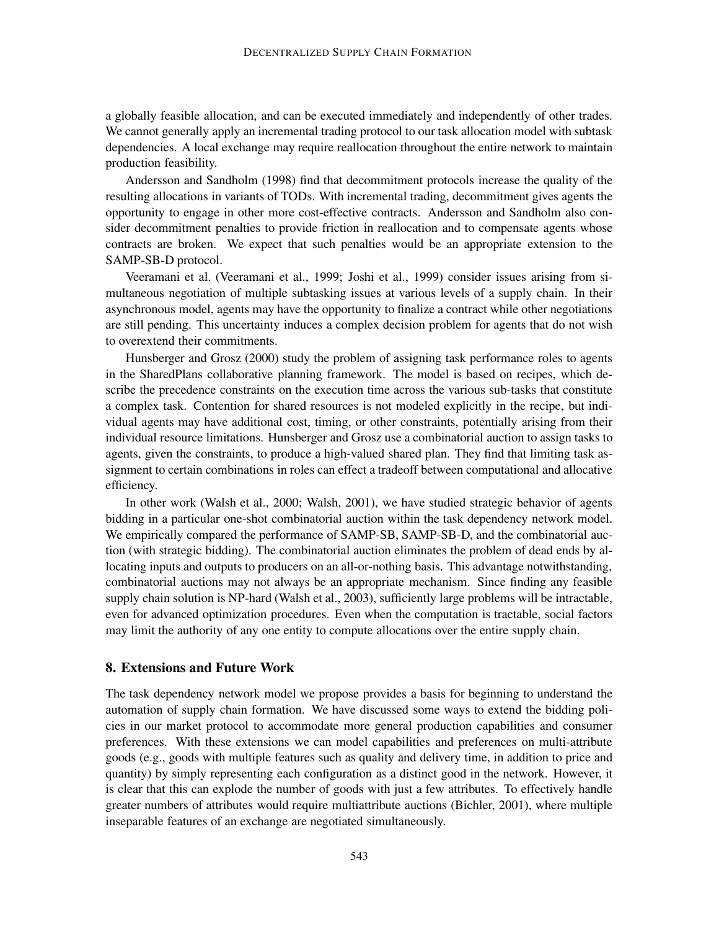a globally feasible allocation, and can be executed immediately and independently of other trades. We cannot generally apply an incremental trading protocol to our task allocation model with subtask dependencies. A local exchange may require reallocation throughout the entire network to maintain production feasibility.

Andersson and Sandholm (1998) find that decommitment protocols increase the quality of the resulting allocations in variants of TODs. With incremental trading, decommitment gives agents the opportunity to engage in other more cost-effective contracts. Andersson and Sandholm also consider decommitment penalties to provide friction in reallocation and to compensate agents whose contracts are broken. We expect that such penalties would be an appropriate extension to the SAMP-SB-D protocol.

Veeramani et al. (Veeramani et al., 1999; Joshi et al., 1999) consider issues arising from simultaneous negotiation of multiple subtasking issues at various levels of a supply chain. In their asynchronous model, agents may have the opportunity to finalize a contract while other negotiations are still pending. This uncertainty induces a complex decision problem for agents that do not wish to overextend their commitments.

Hunsberger and Grosz (2000) study the problem of assigning task performance roles to agents in the SharedPlans collaborative planning framework. The model is based on recipes, which describe the precedence constraints on the execution time across the various sub-tasks that constitute a complex task. Contention for shared resources is not modeled explicitly in the recipe, but individual agents may have additional cost, timing, or other constraints, potentially arising from their individual resource limitations. Hunsberger and Grosz use a combinatorial auction to assign tasks to agents, given the constraints, to produce a high-valued shared plan. They find that limiting task assignment to certain combinations in roles can effect a tradeoff between computational and allocative efficiency.

In other work (Walsh et al., 2000; Walsh, 2001), we have studied strategic behavior of agents bidding in a particular one-shot combinatorial auction within the task dependency network model. We empirically compared the performance of SAMP-SB, SAMP-SB-D, and the combinatorial auction (with strategic bidding). The combinatorial auction eliminates the problem of dead ends by allocating inputs and outputs to producers on an all-or-nothing basis. This advantage notwithstanding, combinatorial auctions may not always be an appropriate mechanism. Since finding any feasible supply chain solution is NP-hard (Walsh et al., 2003), sufficiently large problems will be intractable, even for advanced optimization procedures. Even when the computation is tractable, social factors may limit the authority of any one entity to compute allocations over the entire supply chain.

## **8. Extensions and Future Work**

The task dependency network model we propose provides a basis for beginning to understand the automation of supply chain formation. We have discussed some ways to extend the bidding policies in our market protocol to accommodate more general production capabilities and consumer preferences. With these extensions we can model capabilities and preferences on multi-attribute goods (e.g., goods with multiple features such as quality and delivery time, in addition to price and quantity) by simply representing each configuration as a distinct good in the network. However, it is clear that this can explode the number of goods with just a few attributes. To effectively handle greater numbers of attributes would require multiattribute auctions (Bichler, 2001), where multiple inseparable features of an exchange are negotiated simultaneously.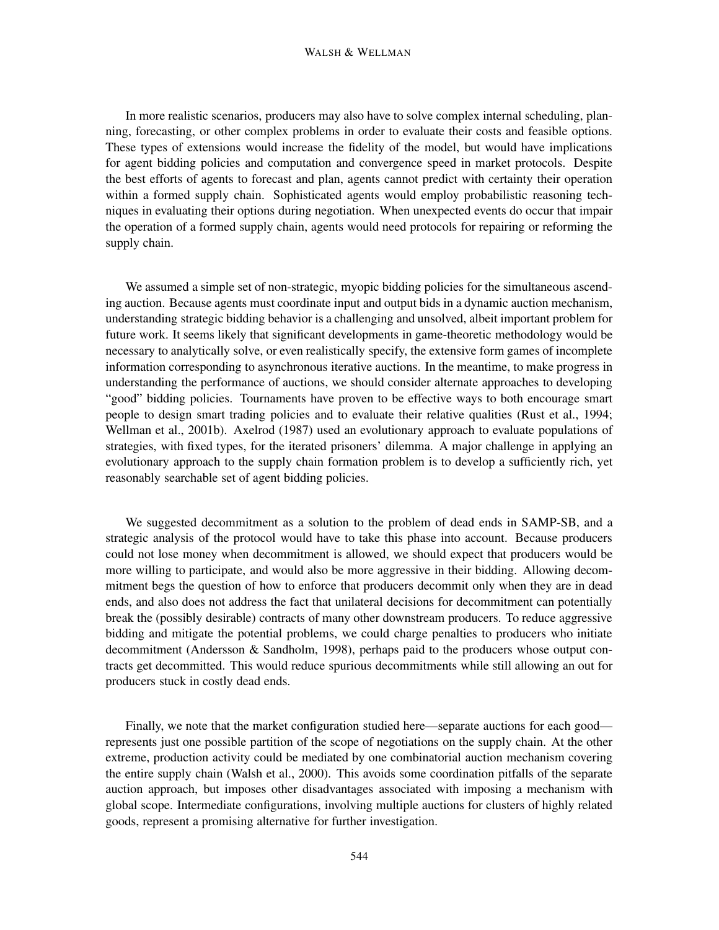#### WALSH & WELLMAN

In more realistic scenarios, producers may also have to solve complex internal scheduling, planning, forecasting, or other complex problems in order to evaluate their costs and feasible options. These types of extensions would increase the fidelity of the model, but would have implications for agent bidding policies and computation and convergence speed in market protocols. Despite the best efforts of agents to forecast and plan, agents cannot predict with certainty their operation within a formed supply chain. Sophisticated agents would employ probabilistic reasoning techniques in evaluating their options during negotiation. When unexpected events do occur that impair the operation of a formed supply chain, agents would need protocols for repairing or reforming the supply chain.

We assumed a simple set of non-strategic, myopic bidding policies for the simultaneous ascending auction. Because agents must coordinate input and output bids in a dynamic auction mechanism, understanding strategic bidding behavior is a challenging and unsolved, albeit important problem for future work. It seems likely that significant developments in game-theoretic methodology would be necessary to analytically solve, or even realistically specify, the extensive form games of incomplete information corresponding to asynchronous iterative auctions. In the meantime, to make progress in understanding the performance of auctions, we should consider alternate approaches to developing "good" bidding policies. Tournaments have proven to be effective ways to both encourage smart people to design smart trading policies and to evaluate their relative qualities (Rust et al., 1994; Wellman et al., 2001b). Axelrod (1987) used an evolutionary approach to evaluate populations of strategies, with fixed types, for the iterated prisoners' dilemma. A major challenge in applying an evolutionary approach to the supply chain formation problem is to develop a sufficiently rich, yet reasonably searchable set of agent bidding policies.

We suggested decommitment as a solution to the problem of dead ends in SAMP-SB, and a strategic analysis of the protocol would have to take this phase into account. Because producers could not lose money when decommitment is allowed, we should expect that producers would be more willing to participate, and would also be more aggressive in their bidding. Allowing decommitment begs the question of how to enforce that producers decommit only when they are in dead ends, and also does not address the fact that unilateral decisions for decommitment can potentially break the (possibly desirable) contracts of many other downstream producers. To reduce aggressive bidding and mitigate the potential problems, we could charge penalties to producers who initiate decommitment (Andersson & Sandholm, 1998), perhaps paid to the producers whose output contracts get decommitted. This would reduce spurious decommitments while still allowing an out for producers stuck in costly dead ends.

Finally, we note that the market configuration studied here—separate auctions for each good represents just one possible partition of the scope of negotiations on the supply chain. At the other extreme, production activity could be mediated by one combinatorial auction mechanism covering the entire supply chain (Walsh et al., 2000). This avoids some coordination pitfalls of the separate auction approach, but imposes other disadvantages associated with imposing a mechanism with global scope. Intermediate configurations, involving multiple auctions for clusters of highly related goods, represent a promising alternative for further investigation.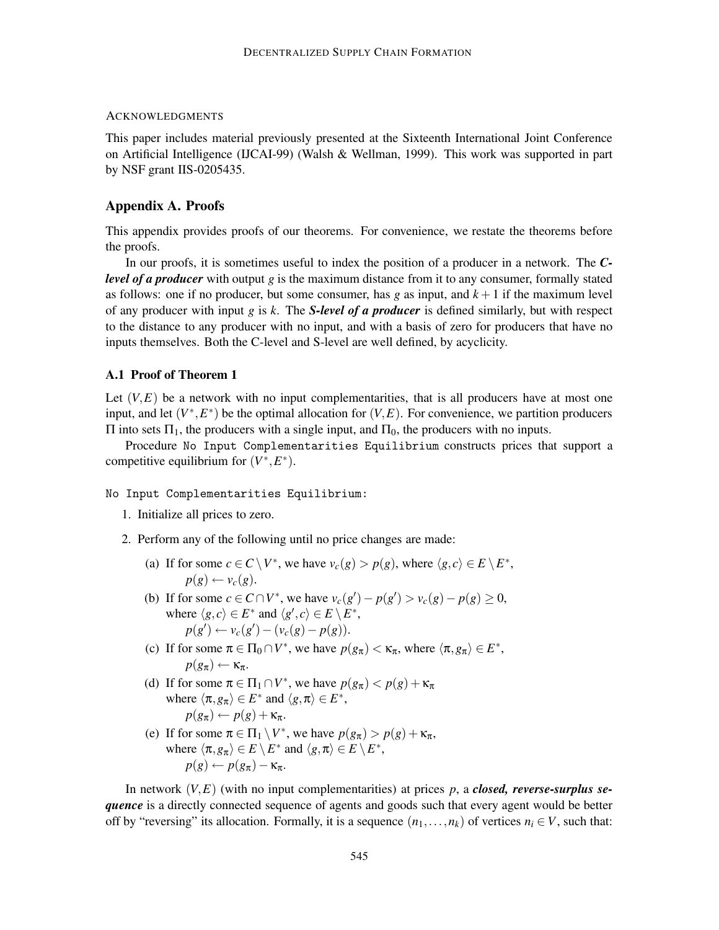## ACKNOWLEDGMENTS

This paper includes material previously presented at the Sixteenth International Joint Conference on Artificial Intelligence (IJCAI-99) (Walsh & Wellman, 1999). This work was supported in part by NSF grant IIS-0205435.

## **Appendix A. Proofs**

This appendix provides proofs of our theorems. For convenience, we restate the theorems before the proofs.

In our proofs, it is sometimes useful to index the position of a producer in a network. The *Clevel of a producer* with output *g* is the maximum distance from it to any consumer, formally stated as follows: one if no producer, but some consumer, has  $g$  as input, and  $k+1$  if the maximum level of any producer with input *g* is *k*. The *S-level of a producer* is defined similarly, but with respect to the distance to any producer with no input, and with a basis of zero for producers that have no inputs themselves. Both the C-level and S-level are well defined, by acyclicity.

#### **A.1 Proof of Theorem 1**

Let  $(V, E)$  be a network with no input complementarities, that is all producers have at most one input, and let  $(V^*, E^*)$  be the optimal allocation for  $(V, E)$ . For convenience, we partition producers Π into sets  $\Pi_1$ , the producers with a single input, and  $\Pi_0$ , the producers with no inputs.

Procedure No Input Complementarities Equilibrium constructs prices that support a competitive equilibrium for  $(V^*, E^*)$ .

No Input Complementarities Equilibrium:

- 1. Initialize all prices to zero.
- 2. Perform any of the following until no price changes are made:
	- (a) If for some  $c \in C \setminus V^*$ , we have  $v_c(g) > p(g)$ , where  $\langle g, c \rangle \in E \setminus E^*$ ,  $p(g) \leftarrow v_c(g)$ .
	- (b) If for some *c* ∈ *C* ∩ *V*<sup>\*</sup>, we have  $v_c(g') p(g') > v_c(g) p(g) \ge 0$ , where  $\langle g, c \rangle \in E^*$  and  $\langle g', c \rangle \in E \setminus E^*$ ,  $p(g') \leftarrow v_c(g') - (v_c(g) - p(g)).$
	- (c) If for some  $\pi \in \Pi_0 \cap V^*$ , we have  $p(g_{\pi}) < \kappa_{\pi}$ , where  $\langle \pi, g_{\pi} \rangle \in E^*$ ,  $p(g_{\pi}) \leftarrow \kappa_{\pi}.$
	- (d) If for some  $\pi \in \Pi_1 \cap V^*$ , we have  $p(g_{\pi}) < p(g) + \kappa_{\pi}$ where  $\langle \pi, g_{\pi} \rangle \in E^*$  and  $\langle g, \pi \rangle \in E^*$ ,  $p(g_{\pi}) \leftarrow p(g) + \kappa_{\pi}.$
	- (e) If for some  $\pi \in \Pi_1 \setminus V^*$ , we have  $p(g_{\pi}) > p(g) + \kappa_{\pi}$ , where  $\langle \pi, g_{\pi} \rangle \in E \setminus E^*$  and  $\langle g, \pi \rangle \in E \setminus E^*$ ,  $p(g) \leftarrow p(g_\pi) - \kappa_\pi$ .

In network  $(V, E)$  (with no input complementarities) at prices p, a *closed, reverse-surplus sequence* is a directly connected sequence of agents and goods such that every agent would be better off by "reversing" its allocation. Formally, it is a sequence  $(n_1, \ldots, n_k)$  of vertices  $n_i \in V$ , such that: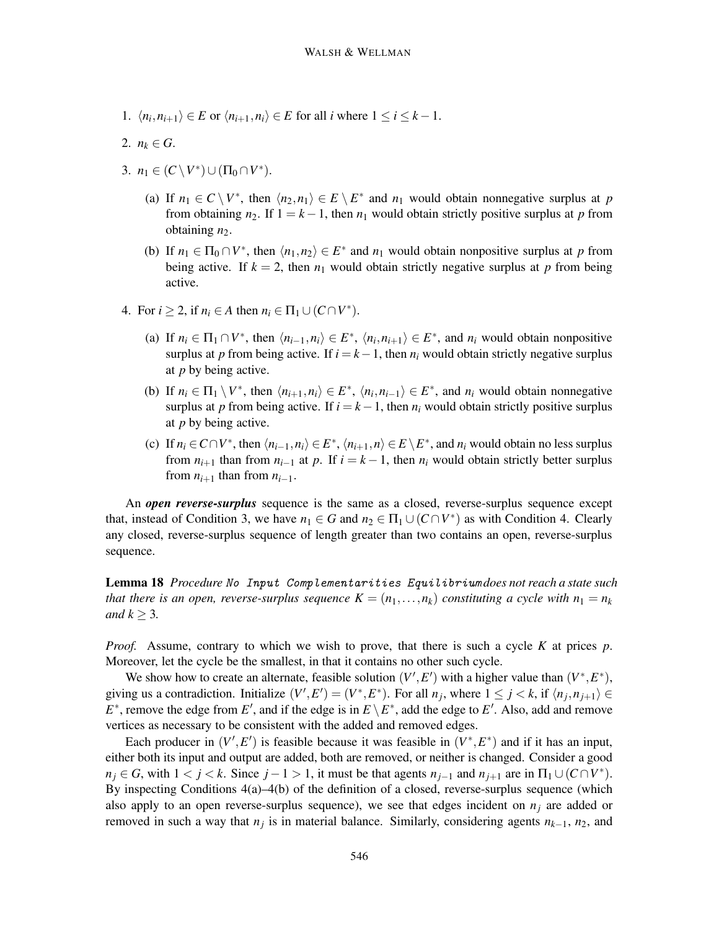- 1.  $\langle n_i, n_{i+1} \rangle \in E$  or  $\langle n_{i+1}, n_i \rangle \in E$  for all *i* where  $1 \le i \le k-1$ .
- 2.  $n_k \in G$ .
- 3.  $n_1 \in (C \setminus V^*) \cup (\Pi_0 \cap V^*)$ .
	- (a) If  $n_1 \in C \setminus V^*$ , then  $\langle n_2, n_1 \rangle \in E \setminus E^*$  and  $n_1$  would obtain nonnegative surplus at *p* from obtaining *n*<sub>2</sub>. If  $1 = k - 1$ , then *n*<sub>1</sub> would obtain strictly positive surplus at *p* from obtaining  $n_2$ .
	- (b) If  $n_1 \in \Pi_0 \cap V^*$ , then  $\langle n_1, n_2 \rangle \in E^*$  and  $n_1$  would obtain nonpositive surplus at p from being active. If  $k = 2$ , then  $n_1$  would obtain strictly negative surplus at p from being active.
- 4. For  $i \geq 2$ , if  $n_i \in A$  then  $n_i \in \Pi_1 \cup (C \cap V^*)$ .
	- (a) If  $n_i \in \Pi_1 \cap V^*$ , then  $\langle n_{i-1}, n_i \rangle \in E^*$ ,  $\langle n_i, n_{i+1} \rangle \in E^*$ , and  $n_i$  would obtain nonpositive surplus at *p* from being active. If  $i = k - 1$ , then  $n_i$  would obtain strictly negative surplus at *p* by being active.
	- (b) If  $n_i \in \Pi_1 \setminus V^*$ , then  $\langle n_{i+1}, n_i \rangle \in E^*$ ,  $\langle n_i, n_{i-1} \rangle \in E^*$ , and  $n_i$  would obtain nonnegative surplus at *p* from being active. If  $i = k - 1$ , then  $n_i$  would obtain strictly positive surplus at *p* by being active.
	- (c) If  $n_i \in C \cap V^*$ , then  $\langle n_{i-1}, n_i \rangle \in E^*$ ,  $\langle n_{i+1}, n \rangle \in E \setminus E^*$ , and  $n_i$  would obtain no less surplus from  $n_{i+1}$  than from  $n_{i-1}$  at p. If  $i = k - 1$ , then  $n_i$  would obtain strictly better surplus from  $n_{i+1}$  than from  $n_{i-1}$ .

An *open reverse-surplus* sequence is the same as a closed, reverse-surplus sequence except that, instead of Condition 3, we have  $n_1 \in G$  and  $n_2 \in \Pi_1 \cup (C \cap V^*)$  as with Condition 4. Clearly any closed, reverse-surplus sequence of length greater than two contains an open, reverse-surplus sequence.

**Lemma 18** *Procedure No Input Complementarities Equilibrium does not reach a state such that there is an open, reverse-surplus sequence*  $K = (n_1, \ldots, n_k)$  *constituting a cycle with*  $n_1 = n_k$ *and*  $k \geq 3$ *.* 

*Proof.* Assume, contrary to which we wish to prove, that there is such a cycle *K* at prices *p*. Moreover, let the cycle be the smallest, in that it contains no other such cycle.

We show how to create an alternate, feasible solution  $(V', E')$  with a higher value than  $(V^*, E^*)$ , giving us a contradiction. Initialize  $(V', E') = (V^*, E^*)$ . For all  $n_j$ , where  $1 \le j \le k$ , if  $\langle n_j, n_{j+1} \rangle \in$ *E*<sup>\*</sup>, remove the edge from *E*<sup>'</sup>, and if the edge is in  $E \setminus E^*$ , add the edge to *E*<sup>'</sup>. Also, add and remove vertices as necessary to be consistent with the added and removed edges.

Each producer in  $(V', E')$  is feasible because it was feasible in  $(V^*, E^*)$  and if it has an input, either both its input and output are added, both are removed, or neither is changed. Consider a good  $n_j \in G$ , with  $1 < j < k$ . Since  $j - 1 > 1$ , it must be that agents  $n_{j-1}$  and  $n_{j+1}$  are in  $\Pi_1 \cup (C \cap V^*)$ . By inspecting Conditions 4(a)–4(b) of the definition of a closed, reverse-surplus sequence (which also apply to an open reverse-surplus sequence), we see that edges incident on  $n_i$  are added or removed in such a way that  $n_j$  is in material balance. Similarly, considering agents  $n_{k-1}$ ,  $n_2$ , and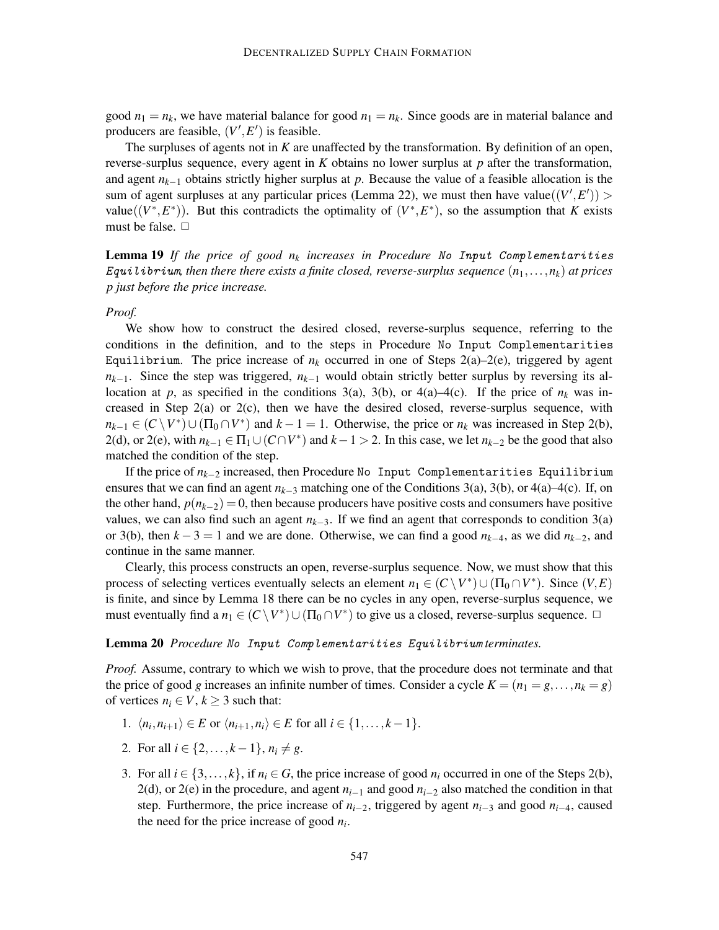good  $n_1 = n_k$ , we have material balance for good  $n_1 = n_k$ . Since goods are in material balance and producers are feasible,  $(V', E')$  is feasible.

The surpluses of agents not in *K* are unaffected by the transformation. By definition of an open, reverse-surplus sequence, every agent in *K* obtains no lower surplus at *p* after the transformation, and agent *nk*−<sup>1</sup> obtains strictly higher surplus at *p*. Because the value of a feasible allocation is the sum of agent surpluses at any particular prices (Lemma 22), we must then have value $((V', E'))$ value( $(V^*, E^*)$ ). But this contradicts the optimality of  $(V^*, E^*)$ , so the assumption that *K* exists must be false.  $\Box$ 

**Lemma 19** *If the price of good nk increases in Procedure No Input Complementarities Equilibrium, then there there exists a finite closed, reverse-surplus sequence*  $(n_1, \ldots, n_k)$  *at prices p just before the price increase.*

#### *Proof.*

We show how to construct the desired closed, reverse-surplus sequence, referring to the conditions in the definition, and to the steps in Procedure No Input Complementarities Equilibrium. The price increase of  $n_k$  occurred in one of Steps 2(a)–2(e), triggered by agent *n<sub>k−1</sub>*. Since the step was triggered, *n<sub>k−1</sub>* would obtain strictly better surplus by reversing its allocation at *p*, as specified in the conditions 3(a), 3(b), or 4(a)–4(c). If the price of  $n_k$  was increased in Step 2(a) or  $2(c)$ , then we have the desired closed, reverse-surplus sequence, with  $n_{k-1} \in (C \setminus V^*) \cup (\Pi_0 \cap V^*)$  and  $k-1=1$ . Otherwise, the price or  $n_k$  was increased in Step 2(b), 2(d), or 2(e), with  $n_{k-1} \in \Pi_1 \cup (C \cap V^*)$  and  $k-1 > 2$ . In this case, we let  $n_{k-2}$  be the good that also matched the condition of the step.

If the price of *nk*−<sup>2</sup> increased, then Procedure No Input Complementarities Equilibrium ensures that we can find an agent *nk*−<sup>3</sup> matching one of the Conditions 3(a), 3(b), or 4(a)–4(c). If, on the other hand,  $p(n_{k-2}) = 0$ , then because producers have positive costs and consumers have positive values, we can also find such an agent *nk*−3. If we find an agent that corresponds to condition 3(a) or 3(b), then *k* − 3 = 1 and we are done. Otherwise, we can find a good *nk*−4, as we did *nk*−2, and continue in the same manner.

Clearly, this process constructs an open, reverse-surplus sequence. Now, we must show that this process of selecting vertices eventually selects an element  $n_1 \in (C \setminus V^*) \cup (\Pi_0 \cap V^*)$ . Since  $(V, E)$ is finite, and since by Lemma 18 there can be no cycles in any open, reverse-surplus sequence, we must eventually find a  $n_1 \in (C \setminus V^*) \cup (\Pi_0 \cap V^*)$  to give us a closed, reverse-surplus sequence.  $\Box$ 

#### **Lemma 20** *Procedure No Input Complementarities Equilibrium terminates.*

*Proof.* Assume, contrary to which we wish to prove, that the procedure does not terminate and that the price of good *g* increases an infinite number of times. Consider a cycle  $K = (n_1 = g, \ldots, n_k = g)$ of vertices  $n_i \in V, k \geq 3$  such that:

- 1.  $\langle n_i, n_{i+1} \rangle \in E$  or  $\langle n_{i+1}, n_i \rangle \in E$  for all  $i \in \{1, \ldots, k-1\}.$
- 2. For all  $i \in \{2, ..., k-1\}, n_i \neq g$ .
- 3. For all  $i \in \{3, \ldots, k\}$ , if  $n_i \in G$ , the price increase of good  $n_i$  occurred in one of the Steps 2(b), 2(d), or 2(e) in the procedure, and agent *ni*−<sup>1</sup> and good *ni*−<sup>2</sup> also matched the condition in that step. Furthermore, the price increase of *ni*−2, triggered by agent *ni*−<sup>3</sup> and good *ni*−4, caused the need for the price increase of good *ni*.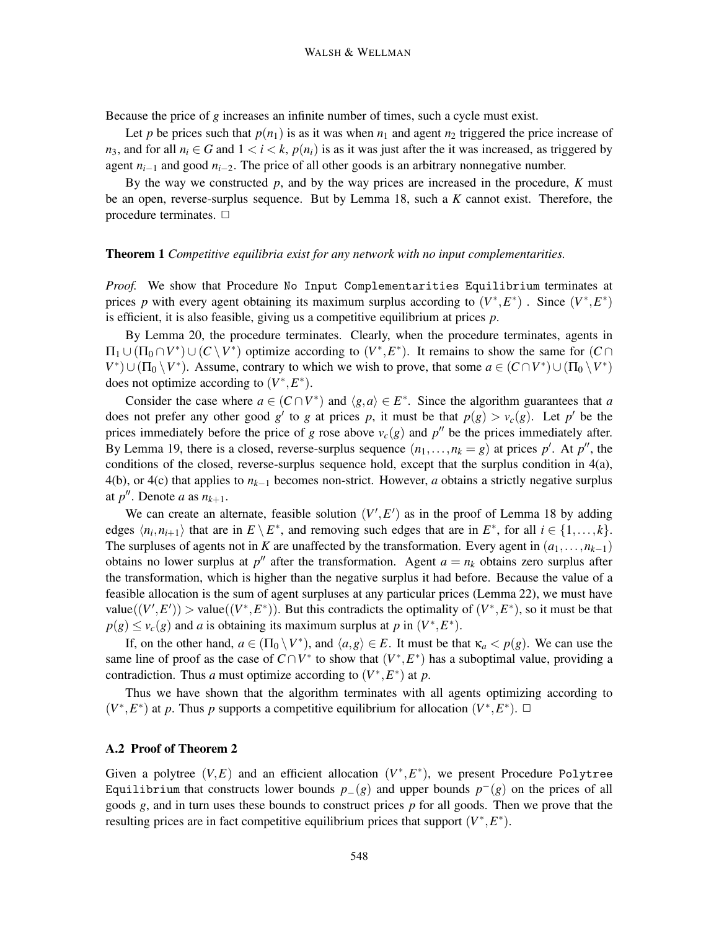Because the price of *g* increases an infinite number of times, such a cycle must exist.

Let *p* be prices such that  $p(n_1)$  is as it was when  $n_1$  and agent  $n_2$  triggered the price increase of *n*<sub>3</sub>, and for all  $n_i \in G$  and  $1 \le i \le k$ ,  $p(n_i)$  is as it was just after the it was increased, as triggered by agent  $n_{i-1}$  and good  $n_{i-2}$ . The price of all other goods is an arbitrary nonnegative number.

By the way we constructed *p*, and by the way prices are increased in the procedure, *K* must be an open, reverse-surplus sequence. But by Lemma 18, such a *K* cannot exist. Therefore, the procedure terminates.  $\Box$ 

#### **Theorem 1** *Competitive equilibria exist for any network with no input complementarities.*

*Proof.* We show that Procedure No Input Complementarities Equilibrium terminates at prices *p* with every agent obtaining its maximum surplus according to  $(V^*, E^*)$ . Since  $(V^*, E^*)$ is efficient, it is also feasible, giving us a competitive equilibrium at prices *p*.

By Lemma 20, the procedure terminates. Clearly, when the procedure terminates, agents in  $\Pi_1 \cup (\Pi_0 \cap V^*) \cup (C \setminus V^*)$  optimize according to  $(V^*, E^*)$ . It remains to show the same for  $(C \cap E)$  $V^*$ )∪( $\Pi_0 \setminus V^*$ ). Assume, contrary to which we wish to prove, that some  $a \in (C \cap V^*) \cup (\Pi_0 \setminus V^*)$ does not optimize according to  $(V^*, E^*)$ .

Consider the case where  $a \in (C \cap V^*)$  and  $\langle g, a \rangle \in E^*$ . Since the algorithm guarantees that *a* does not prefer any other good *g'* to *g* at prices *p*, it must be that  $p(g) > v_c(g)$ . Let *p'* be the prices immediately before the price of *g* rose above  $v_c(g)$  and  $p''$  be the prices immediately after. By Lemma 19, there is a closed, reverse-surplus sequence  $(n_1, \ldots, n_k = g)$  at prices  $p'$ . At  $p''$ , the conditions of the closed, reverse-surplus sequence hold, except that the surplus condition in 4(a), 4(b), or 4(c) that applies to *nk*−<sup>1</sup> becomes non-strict. However, *a* obtains a strictly negative surplus at  $p''$ . Denote *a* as  $n_{k+1}$ .

We can create an alternate, feasible solution  $(V', E')$  as in the proof of Lemma 18 by adding edges  $\langle n_i, n_{i+1} \rangle$  that are in  $E \setminus E^*$ , and removing such edges that are in  $E^*$ , for all  $i \in \{1, ..., k\}$ . The surpluses of agents not in *K* are unaffected by the transformation. Every agent in  $(a_1, \ldots, n_{k-1})$ obtains no lower surplus at  $p''$  after the transformation. Agent  $a = n_k$  obtains zero surplus after the transformation, which is higher than the negative surplus it had before. Because the value of a feasible allocation is the sum of agent surpluses at any particular prices (Lemma 22), we must have value( $(V', E')$ ) > value( $(V^*, E^*)$ ). But this contradicts the optimality of  $(V^*, E^*)$ , so it must be that  $p(g) \le v_c(g)$  and *a* is obtaining its maximum surplus at *p* in  $(V^*, E^*)$ .

If, on the other hand,  $a \in (\Pi_0 \setminus V^*)$ , and  $\langle a, g \rangle \in E$ . It must be that  $\kappa_a < p(g)$ . We can use the same line of proof as the case of  $C \cap V^*$  to show that  $(V^*, E^*)$  has a suboptimal value, providing a contradiction. Thus *a* must optimize according to  $(V^*, E^*)$  at *p*.

Thus we have shown that the algorithm terminates with all agents optimizing according to  $(V^*, E^*)$  at *p*. Thus *p* supports a competitive equilibrium for allocation  $(V^*, E^*)$ .  $\Box$ 

## **A.2 Proof of Theorem 2**

Given a polytree  $(V, E)$  and an efficient allocation  $(V^*, E^*)$ , we present Procedure Polytree Equilibrium that constructs lower bounds  $p_-(g)$  and upper bounds  $p^-(g)$  on the prices of all goods *g*, and in turn uses these bounds to construct prices *p* for all goods. Then we prove that the resulting prices are in fact competitive equilibrium prices that support  $(V^*, E^*)$ .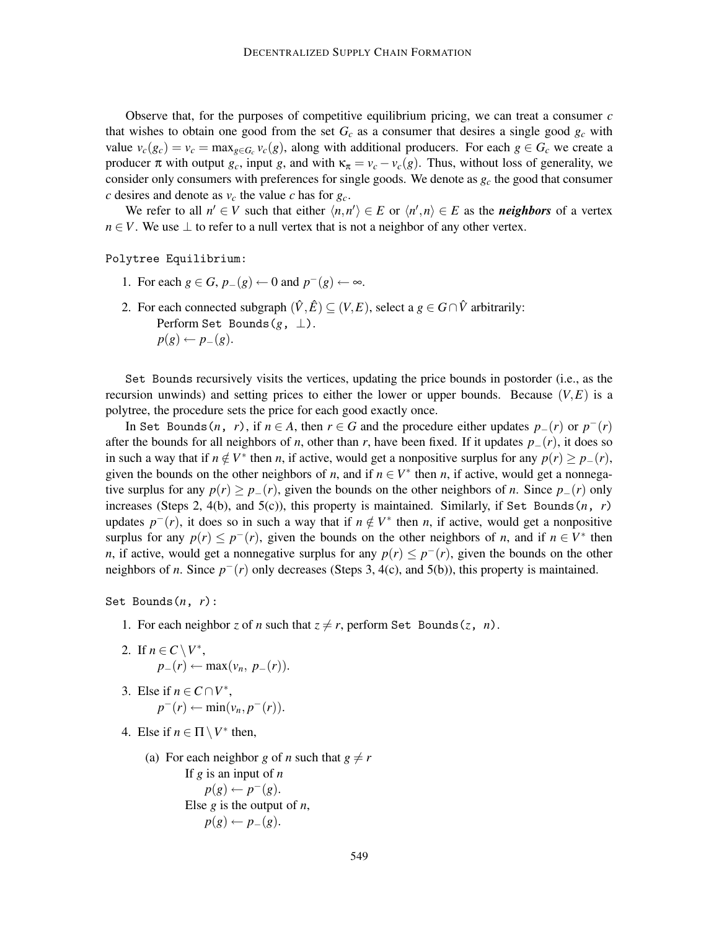Observe that, for the purposes of competitive equilibrium pricing, we can treat a consumer *c* that wishes to obtain one good from the set  $G_c$  as a consumer that desires a single good  $g_c$  with value  $v_c(g_c) = v_c = \max_{g \in G_c} v_c(g)$ , along with additional producers. For each  $g \in G_c$  we create a producer  $\pi$  with output  $g_c$ , input g, and with  $\kappa_{\pi} = v_c - v_c(g)$ . Thus, without loss of generality, we consider only consumers with preferences for single goods. We denote as  $g_c$  the good that consumer *c* desires and denote as  $v_c$  the value *c* has for  $g_c$ .

We refer to all  $n' \in V$  such that either  $\langle n, n' \rangle \in E$  or  $\langle n', n \rangle \in E$  as the *neighbors* of a vertex  $n \in V$ . We use  $\perp$  to refer to a null vertex that is not a neighbor of any other vertex.

Polytree Equilibrium:

- 1. For each  $g \in G$ ,  $p_{-}(g) \leftarrow 0$  and  $p^{-}(g) \leftarrow \infty$ .
- 2. For each connected subgraph  $(\hat{V}, \hat{E}) \subseteq (V, E)$ , select a  $g \in G \cap \hat{V}$  arbitrarily: Perform Set Bounds(*g*, ⊥).  $p(g) \leftarrow p_{-}(g).$

Set Bounds recursively visits the vertices, updating the price bounds in postorder (i.e., as the recursion unwinds) and setting prices to either the lower or upper bounds. Because  $(V, E)$  is a polytree, the procedure sets the price for each good exactly once.

In Set Bounds(*n*, *r*), if  $n \in A$ , then  $r \in G$  and the procedure either updates  $p_-(r)$  or  $p^-(r)$ after the bounds for all neighbors of *n*, other than *r*, have been fixed. If it updates *p*−(*r*), it does so in such a way that if  $n \notin V^*$  then *n*, if active, would get a nonpositive surplus for any  $p(r) \geq p_-(r)$ , given the bounds on the other neighbors of *n*, and if  $n \in V^*$  then *n*, if active, would get a nonnegative surplus for any  $p(r) \geq p_-(r)$ , given the bounds on the other neighbors of *n*. Since  $p_-(r)$  only increases (Steps 2, 4(b), and 5(c)), this property is maintained. Similarly, if Set Bounds $(n, r)$ updates  $p^{-}(r)$ , it does so in such a way that if  $n \notin V^*$  then *n*, if active, would get a nonpositive surplus for any  $p(r) \leq p^-(r)$ , given the bounds on the other neighbors of *n*, and if  $n \in V^*$  then *n*, if active, would get a nonnegative surplus for any  $p(r) \leq p^-(r)$ , given the bounds on the other neighbors of *n*. Since *p*−(*r*) only decreases (Steps 3, 4(c), and 5(b)), this property is maintained.

Set Bounds(*n*, *r*):

- 1. For each neighbor *z* of *n* such that  $z \neq r$ , perform Set Bounds(*z*, *n*).
- 2. If  $n \in C \setminus V^*$ ,  $p_-(r) \leftarrow \max(v_n, p_-(r)).$
- 3. Else if  $n \in C \cap V^*$ ,  $p^-(r) \leftarrow \min(v_n, p^-(r)).$
- 4. Else if  $n \in \Pi \setminus V^*$  then,
	- (a) For each neighbor *g* of *n* such that  $g \neq r$ If *g* is an input of *n*

 $p(g) \leftarrow p^-(g)$ . Else *g* is the output of *n*,  $p(g) \leftarrow p_-(g).$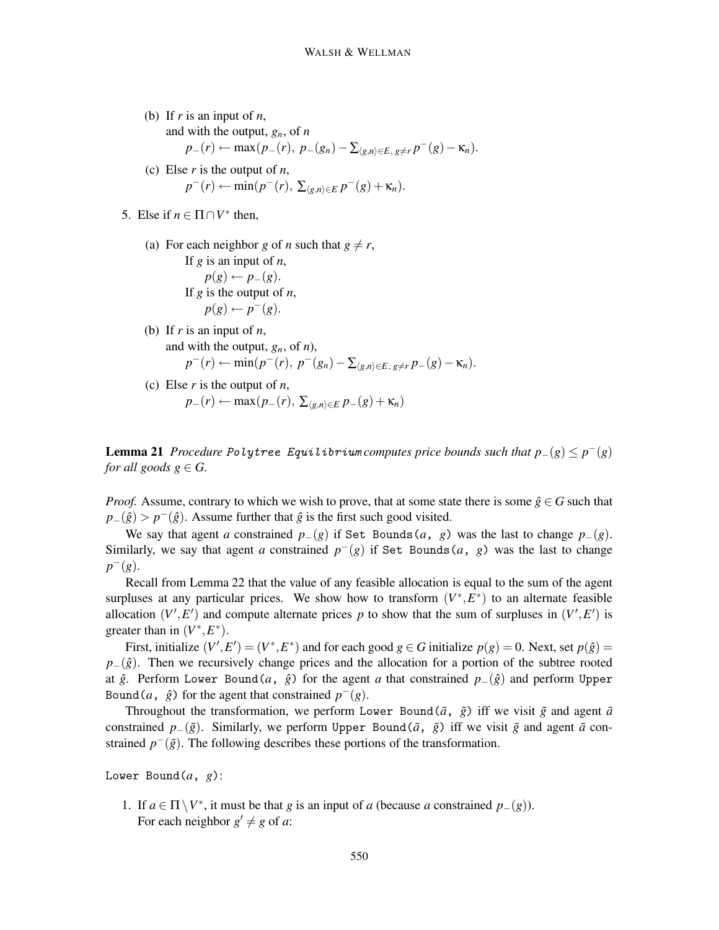- (b) If *r* is an input of *n*,
	- and with the output, *gn*, of *n*

$$
p_{-}(r) \leftarrow \max(p_{-}(r), p_{-}(g_n) - \sum_{\langle g,n \rangle \in E, g \neq r} p^{-}(g) - \kappa_n).
$$

- (c) Else *r* is the output of *n*, *p*<sup>−</sup>(*r*) ← min(*p*<sup>−</sup>(*r*)*,* ∑<sub> $\langle g,n \rangle \in E$ *P*<sup>−</sup>(*g*) + κ<sub>*n*</sub>).</sub>
- 5. Else if  $n \in \Pi \cap V^*$  then,
	- (a) For each neighbor *g* of *n* such that  $g \neq r$ , If *g* is an input of *n*,  $p(g) \leftarrow p_{-}(g)$ . If *g* is the output of *n*,  $p(g) \leftarrow p^{-}(g).$
	- (b) If *r* is an input of *n*, and with the output,  $g_n$ , of *n*),  $p^{-}(r) \leftarrow \min(p^{-}(r), p^{-(g_n)} - \sum_{\langle g,n \rangle \in E, g \neq r} p_{-}(g) - \kappa_n).$
	- (c) Else *r* is the output of *n*, *p*−(*r*) ← max(*p*−(*r*)*,* ∑<sub> $(g,n)∈E$ </sub> *p*−(*g*) +  $\kappa$ <sub>*n*</sub>)

**Lemma 21** *Procedure Polytree Equilibrium computes price bounds such that*  $p_-(g) ≤ p^-(g)$ *for all goods*  $g \in G$ .

*Proof.* Assume, contrary to which we wish to prove, that at some state there is some  $\hat{g} \in G$  such that  $p_-(\hat{g}) > p^-(\hat{g})$ . Assume further that  $\hat{g}$  is the first such good visited.

We say that agent *a* constrained  $p_-(g)$  if Set Bounds (*a*, *g*) was the last to change  $p_-(g)$ . Similarly, we say that agent *a* constrained  $p^{-}(g)$  if Set Bounds  $(a, g)$  was the last to change *p*−(*g*).

Recall from Lemma 22 that the value of any feasible allocation is equal to the sum of the agent surpluses at any particular prices. We show how to transform  $(V^*, E^*)$  to an alternate feasible allocation  $(V', E')$  and compute alternate prices p to show that the sum of surpluses in  $(V', E')$  is greater than in  $(V^*, E^*)$ .

First, initialize  $(V', E') = (V^*, E^*)$  and for each good  $g \in G$  initialize  $p(g) = 0$ . Next, set  $p(\hat{g}) = 0$  $p_-(\hat{g})$ . Then we recursively change prices and the allocation for a portion of the subtree rooted at  $\hat{g}$ . Perform Lower Bound(*a*,  $\hat{g}$ ) for the agent *a* that constrained  $p_-(\hat{g})$  and perform Upper Bound(*a*,  $\hat{g}$ ) for the agent that constrained  $p^{-}(g)$ .

Throughout the transformation, we perform Lower Bound( $\tilde{a}$ ,  $\tilde{g}$ ) iff we visit  $\tilde{g}$  and agent  $\tilde{a}$ constrained *p*−( $\tilde{g}$ ). Similarly, we perform Upper Bound( $\tilde{a}$ ,  $\tilde{g}$ ) iff we visit  $\tilde{g}$  and agent  $\tilde{a}$  constrained  $p^{-}(\tilde{g})$ . The following describes these portions of the transformation.

Lower Bound(*a*, *g*):

1. If *a* ∈ Π\*V*∗, it must be that *g* is an input of *a* (because *a* constrained *p*−(*g*)). For each neighbor  $g' \neq g$  of *a*: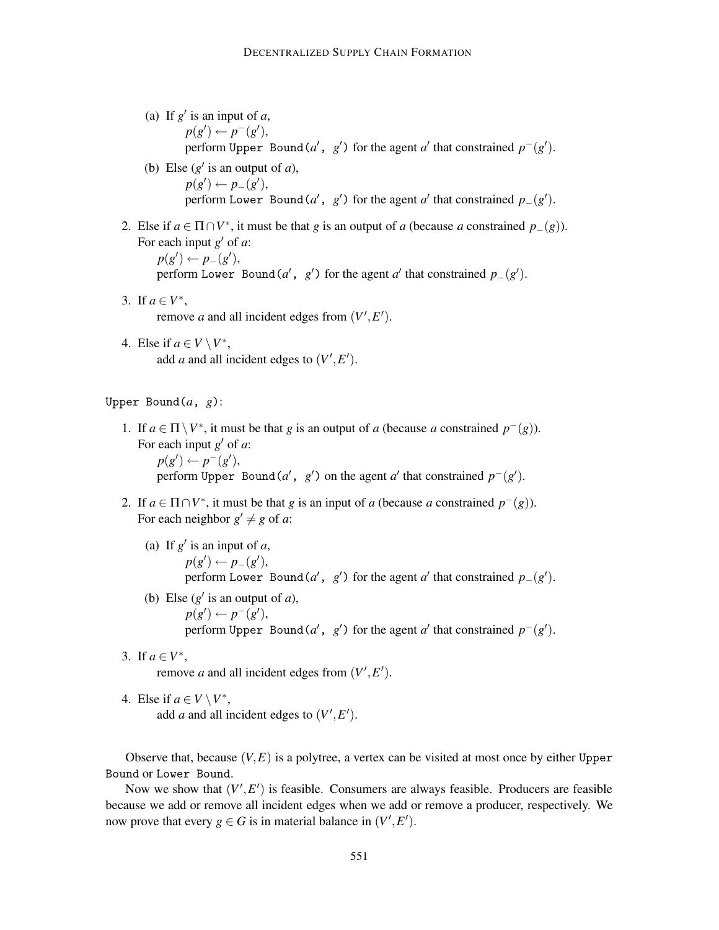- (a) If  $g'$  is an input of  $a$ ,  $p(g') \leftarrow p^-(g'),$ perform Upper Bound(*a'*,  $g'$ ) for the agent *a'* that constrained  $p^-(g')$ .
- (b) Else  $(g'$  is an output of *a*),  $p(g') \leftarrow p_{-}(g'),$ perform Lower Bound(*a*',  $g'$ ) for the agent *a'* that constrained  $p_-(g')$ .
- 2. Else if  $a \in \Pi \cap V^*$ , it must be that *g* is an output of *a* (because *a* constrained  $p_-(g)$ ). For each input  $g'$  of  $a$ :  $p(g') \leftarrow p_{-}(g'),$

perform Lower Bound(*a'*, *g'*) for the agent *a'* that constrained  $p_-(g')$ .

- 3. If  $a \in V^*$ , remove *a* and all incident edges from  $(V', E')$ .
- 4. Else if  $a \in V \setminus V^*$ , add *a* and all incident edges to  $(V', E')$ .

Upper Bound(*a*, *g*):

- 1. If *a* ∈ Π\*V*∗, it must be that *g* is an output of *a* (because *a* constrained *p*−(*g*)). For each input  $g'$  of  $a$ :  $p(g') \leftarrow p^-(g'),$ perform Upper Bound(*a'*,  $g'$ ) on the agent *a'* that constrained  $p^-(g')$ .
- 2. If  $a \in \Pi \cap V^*$ , it must be that *g* is an input of *a* (because *a* constrained  $p^-(g)$ ). For each neighbor  $g' \neq g$  of *a*:
	- (a) If  $g'$  is an input of  $a$ ,  $p(g') \leftarrow p_{-}(g'),$ perform Lower Bound(*a*', *g*') for the agent *a*' that constrained  $p_-(g')$ .
	- (b) Else  $(g'$  is an output of *a*),  $p(g') \leftarrow p^-(g'),$ perform Upper Bound(*a'*,  $g'$ ) for the agent *a'* that constrained  $p^-(g')$ .
- 3. If  $a \in V^*$ ,

remove *a* and all incident edges from  $(V', E')$ .

4. Else if  $a \in V \setminus V^*$ , add *a* and all incident edges to  $(V', E')$ .

Observe that, because  $(V, E)$  is a polytree, a vertex can be visited at most once by either Upper Bound or Lower Bound.

Now we show that  $(V', E')$  is feasible. Consumers are always feasible. Producers are feasible because we add or remove all incident edges when we add or remove a producer, respectively. We now prove that every  $g \in G$  is in material balance in  $(V', E')$ .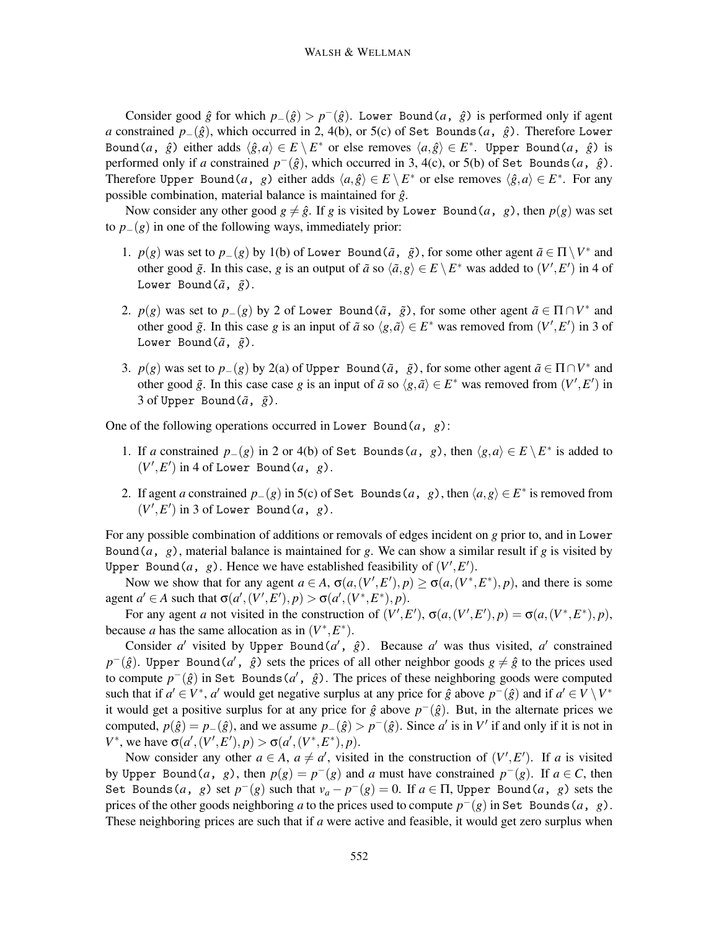Consider good  $\hat{g}$  for which  $p_-(\hat{g}) > p^-(\hat{g})$ . Lower Bound(*a*,  $\hat{g}$ ) is performed only if agent *a* constrained *p*−( $\hat{g}$ ), which occurred in 2, 4(b), or 5(c) of Set Bounds(*a*,  $\hat{g}$ ). Therefore Lower Bound(*a*,  $\hat{g}$ ) either adds  $\langle \hat{g}, a \rangle \in E \setminus E^*$  or else removes  $\langle a, \hat{g} \rangle \in E^*$ . Upper Bound(*a*,  $\hat{g}$ ) is performed only if *a* constrained  $p^{-}(\hat{g})$ , which occurred in 3, 4(c), or 5(b) of Set Bounds (*a*,  $\hat{g}$ ). Therefore Upper Bound(*a*, *g*) either adds  $\langle a, \hat{g} \rangle \in E \setminus E^*$  or else removes  $\langle \hat{g}, a \rangle \in E^*$ . For any possible combination, material balance is maintained for  $\hat{g}$ .

Now consider any other good  $g \neq \hat{g}$ . If *g* is visited by Lower Bound(*a*, *g*), then  $p(g)$  was set to  $p_-(g)$  in one of the following ways, immediately prior:

- 1. *p*(*g*) was set to *p*−(*g*) by 1(b) of Lower Bound( $\tilde{a}$ ,  $\tilde{g}$ ), for some other agent  $\tilde{a} \in \Pi \setminus V^*$  and other good  $\tilde{g}$ . In this case, *g* is an output of  $\tilde{a}$  so  $\langle \tilde{a}, g \rangle \in E \setminus E^*$  was added to  $(V', E')$  in 4 of Lower Bound $(\tilde{a}, \tilde{g})$ .
- 2. *p*(*g*) was set to *p*−(*g*) by 2 of Lower Bound( $\tilde{a}$ ,  $\tilde{g}$ ), for some other agent  $\tilde{a} \in \Pi \cap V^*$  and other good  $\tilde{g}$ . In this case *g* is an input of  $\tilde{a}$  so  $\langle g, \tilde{a} \rangle \in E^*$  was removed from  $(V', E')$  in 3 of Lower Bound $(\tilde{a}, \tilde{g})$ .
- 3. *p*(*g*) was set to *p*−(*g*) by 2(a) of Upper Bound( $\tilde{a}$ ,  $\tilde{g}$ ), for some other agent  $\tilde{a} \in \Pi \cap V^*$  and other good  $\tilde{g}$ . In this case case *g* is an input of  $\tilde{a}$  so  $\langle g, \tilde{a} \rangle \in E^*$  was removed from  $(V', E')$  in 3 of Upper Bound $(\tilde{a}, \tilde{g})$ .

One of the following operations occurred in Lower Bound(*a*, *g*):

- 1. If *a* constrained  $p_-(g)$  in 2 or 4(b) of Set Bounds(*a*, *g*), then  $\langle g, a \rangle \in E \setminus E^*$  is added to  $(V', E')$  in 4 of Lower Bound(*a*, *g*).
- 2. If agent *a* constrained  $p_-(g)$  in 5(c) of Set Bounds  $(a, g)$ , then  $\langle a, g \rangle \in E^*$  is removed from  $(V', E')$  in 3 of Lower Bound(*a*, *g*).

For any possible combination of additions or removals of edges incident on *g* prior to, and in Lower Bound(*a*, *g*), material balance is maintained for *g*. We can show a similar result if *g* is visited by Upper Bound(*a*, *g*). Hence we have established feasibility of  $(V', E')$ .

Now we show that for any agent  $a \in A$ ,  $\sigma(a,(V',E'),p) \geq \sigma(a,(V^*,E^*),p)$ , and there is some agent  $a' \in A$  such that  $\sigma(a', (V', E'), p) > \sigma(a', (V^*, E^*), p)$ .

For any agent *a* not visited in the construction of  $(V', E'), \sigma(a, (V', E'), p) = \sigma(a, (V^*, E^*), p)$ , because *a* has the same allocation as in  $(V^*, E^*)$ .

Consider *a'* visited by Upper Bound( $a'$ ,  $\hat{g}$ ). Because *a'* was thus visited, *a'* constrained *p*<sup>−</sup>( $\hat{g}$ ). Upper Bound( $a'$ ,  $\hat{g}$ ) sets the prices of all other neighbor goods  $g \neq \hat{g}$  to the prices used to compute *p*−(*g*ˆ) in Set Bounds(*a* , *g*ˆ). The prices of these neighboring goods were computed such that if  $a' \in V^*$ ,  $a'$  would get negative surplus at any price for  $\hat{g}$  above  $p^{-1}(\hat{g})$  and if  $a' \in V \setminus V^*$ it would get a positive surplus for at any price for  $\hat{g}$  above  $p^{-}(\hat{g})$ . But, in the alternate prices we computed,  $p(\hat{g}) = p_-(\hat{g})$ , and we assume  $p_-(\hat{g}) > p^-(\hat{g})$ . Since *a'* is in *V'* if and only if it is not in *V*<sup>\*</sup>, we have  $\sigma(a', (V', E'), p) > \sigma(a', (V^*, E^*), p)$ .

Now consider any other  $a \in A$ ,  $a \neq a'$ , visited in the construction of  $(V', E')$ . If *a* is visited by Upper Bound(*a*, *g*), then  $p(g) = p^{-1}(g)$  and *a* must have constrained  $p^{-1}(g)$ . If  $a \in C$ , then Set Bounds(*a*, *g*) set  $p^{-}(g)$  such that  $v_a - p^{-}(g) = 0$ . If  $a \in \Pi$ , Upper Bound(*a*, *g*) sets the prices of the other goods neighboring *a* to the prices used to compute  $p^-(g)$  in Set Bounds (*a*, *g*). These neighboring prices are such that if *a* were active and feasible, it would get zero surplus when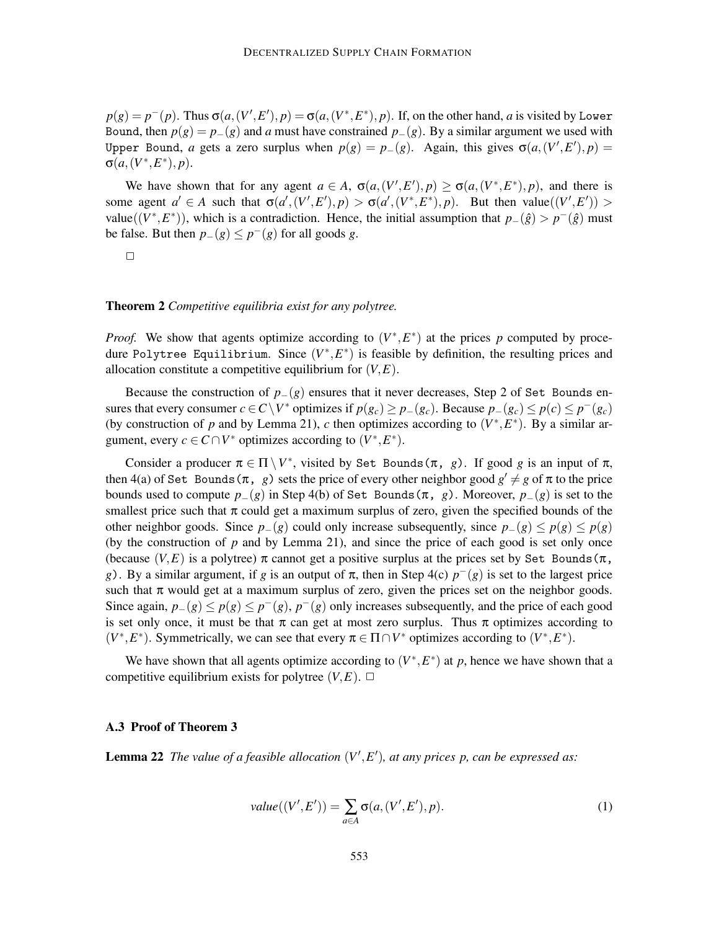$p(g) = p^-(p)$ . Thus  $\sigma(a,(V',E'),p) = \sigma(a,(V^*,E^*),p)$ . If, on the other hand, a is visited by Lower Bound, then  $p(g) = p_-(g)$  and *a* must have constrained  $p_-(g)$ . By a similar argument we used with Upper Bound, *a* gets a zero surplus when  $p(g) = p_-(g)$ . Again, this gives  $\sigma(a,(V',E'),p) =$  $\sigma(a,(V^*,E^*),p).$ 

We have shown that for any agent  $a \in A$ ,  $\sigma(a,(V',E'),p) \geq \sigma(a,(V^*,E^*),p)$ , and there is some agent  $a' \in A$  such that  $\sigma(a', (V', E'), p) > \sigma(a', (V^*, E^*), p)$ . But then value $((V', E')) >$ value( $(V^*, E^*)$ ), which is a contradiction. Hence, the initial assumption that  $p_-(\hat{g}) > p^-(\hat{g})$  must be false. But then  $p_-(g) \leq p^-(g)$  for all goods *g*.

$$
\qquad \qquad \Box
$$

#### **Theorem 2** *Competitive equilibria exist for any polytree.*

*Proof.* We show that agents optimize according to  $(V^*, E^*)$  at the prices p computed by procedure Polytree Equilibrium. Since  $(V^*, E^*)$  is feasible by definition, the resulting prices and allocation constitute a competitive equilibrium for  $(V, E)$ .

Because the construction of  $p_-(g)$  ensures that it never decreases, Step 2 of Set Bounds ensures that every consumer  $c \in C \setminus V^*$  optimizes if  $p(g_c) \geq p_-(g_c)$ . Because  $p_-(g_c) \leq p(c) \leq p^-(g_c)$ (by construction of *p* and by Lemma 21), *c* then optimizes according to  $(V^*, E^*)$ . By a similar argument, every  $c \in C \cap V^*$  optimizes according to  $(V^*, E^*)$ .

Consider a producer  $\pi \in \Pi \setminus V^*$ , visited by Set Bounds  $(\pi, g)$ . If good *g* is an input of  $\pi$ , then 4(a) of Set Bounds( $\pi$ , *g*) sets the price of every other neighbor good  $g' \neq g$  of  $\pi$  to the price bounds used to compute  $p_-(g)$  in Step 4(b) of Set Bounds( $\pi$ , *g*). Moreover,  $p_-(g)$  is set to the smallest price such that  $\pi$  could get a maximum surplus of zero, given the specified bounds of the other neighbor goods. Since  $p_-(g)$  could only increase subsequently, since  $p_-(g) \leq p(g) \leq p(g)$ (by the construction of *p* and by Lemma 21), and since the price of each good is set only once (because  $(V, E)$  is a polytree)  $\pi$  cannot get a positive surplus at the prices set by Set Bounds ( $\pi$ , *g*). By a similar argument, if *g* is an output of  $\pi$ , then in Step 4(c)  $p^{-}(g)$  is set to the largest price such that  $\pi$  would get at a maximum surplus of zero, given the prices set on the neighbor goods. Since again,  $p_-(g) \leq p(g) \leq p^-(g)$ ,  $p^-(g)$  only increases subsequently, and the price of each good is set only once, it must be that  $\pi$  can get at most zero surplus. Thus  $\pi$  optimizes according to  $(V^*, E^*)$ . Symmetrically, we can see that every  $\pi \in \Pi \cap V^*$  optimizes according to  $(V^*, E^*)$ .

We have shown that all agents optimize according to  $(V^*, E^*)$  at p, hence we have shown that a competitive equilibrium exists for polytree  $(V, E)$ .  $\Box$ 

#### **A.3 Proof of Theorem 3**

**Lemma 22** *The value of a feasible allocation*  $(V', E')$ *, at any prices p, can be expressed as:* 

$$
value((V', E')) = \sum_{a \in A} \sigma(a, (V', E'), p).
$$
\n(1)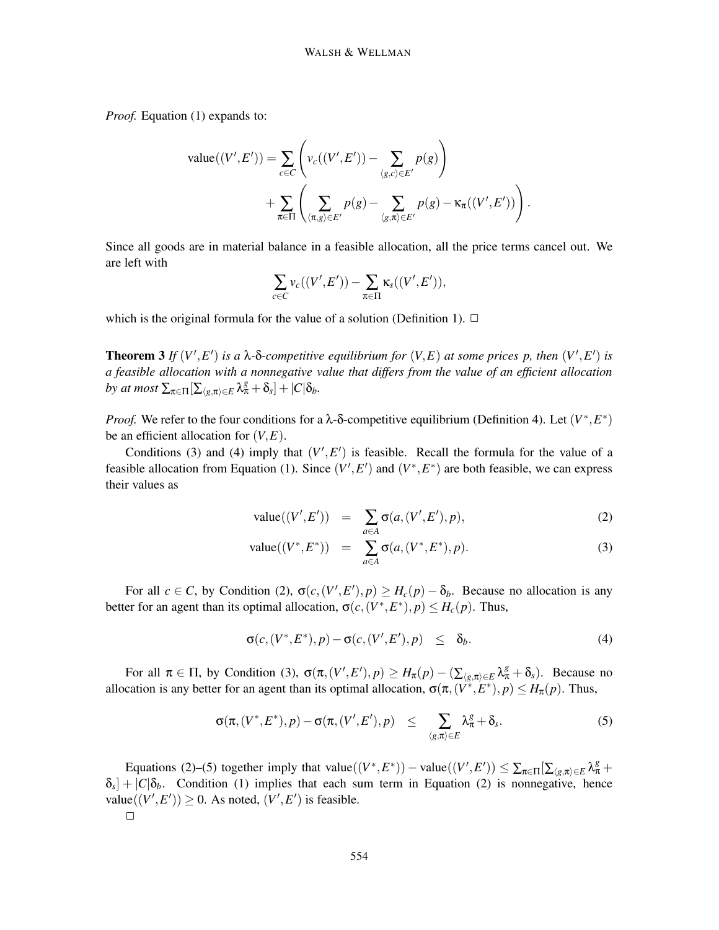*Proof.* Equation (1) expands to:

value
$$
((V', E')) = \sum_{c \in C} \left( v_c((V', E')) - \sum_{\langle g, c \rangle \in E'} p(g) \right)
$$
  
  $+ \sum_{\pi \in \Pi} \left( \sum_{\langle \pi, g \rangle \in E'} p(g) - \sum_{\langle g, \pi \rangle \in E'} p(g) - \kappa_{\pi}((V', E')) \right).$ 

Since all goods are in material balance in a feasible allocation, all the price terms cancel out. We are left with

$$
\sum_{c\in C} \nu_c((V',E')) - \sum_{\pi\in\Pi} \kappa_s((V',E')),
$$

which is the original formula for the value of a solution (Definition 1).  $\Box$ 

**Theorem 3** *If*  $(V', E')$  *is a*  $\lambda$ - $\delta$ -*competitive equilibrium for*  $(V, E)$  *at some prices p, then*  $(V', E')$  *is a feasible allocation with a nonnegative value that differs from the value of an efficient allocation by at most*  $\sum_{\pi \in \Pi} \left[ \sum_{\langle g, \pi \rangle \in E} \lambda_{\pi}^g + \delta_s \right] + |C| \delta_b$ .

*Proof.* We refer to the four conditions for a  $\lambda$ -δ-competitive equilibrium (Definition 4). Let  $(V^*, E^*)$ be an efficient allocation for  $(V, E)$ .

Conditions (3) and (4) imply that  $(V', E')$  is feasible. Recall the formula for the value of a feasible allocation from Equation (1). Since  $(V', E')$  and  $(V^*, E^*)$  are both feasible, we can express their values as

value
$$
((V', E'))
$$
 =  $\sum_{a \in A} \sigma(a, (V', E'), p),$  (2)

value
$$
((V^*, E^*))
$$
 =  $\sum_{a \in A} \sigma(a, (V^*, E^*), p).$  (3)

For all  $c \in C$ , by Condition (2),  $\sigma(c, (V', E'), p) \geq H_c(p) - \delta_b$ . Because no allocation is any better for an agent than its optimal allocation,  $\sigma(c, (V^*, E^*), p) \leq H_c(p)$ . Thus,

$$
\sigma(c, (V^*, E^*), p) - \sigma(c, (V', E'), p) \leq \delta_b.
$$
 (4)

For all  $\pi \in \Pi$ , by Condition (3),  $\sigma(\pi,(V',E'),p) \geq H_{\pi}(p) - (\sum_{\langle g,\pi \rangle \in E} \lambda_{\pi}^{g} + \delta_{s})$ . Because no allocation is any better for an agent than its optimal allocation,  $\sigma(\pi,(V^*,E^*),p) \leq H_\pi(p)$ . Thus,

$$
\sigma(\pi,(V^*,E^*),p)-\sigma(\pi,(V',E'),p) \leq \sum_{\langle g,\pi\rangle\in E} \lambda_\pi^g+\delta_s. \tag{5}
$$

Equations (2)–(5) together imply that value $((V^*, E^*))$  – value $((V', E')) \le \sum_{\pi \in \Pi} [\sum_{\langle g, \pi \rangle \in E} \lambda_\pi^g +$  $\delta_s$  +  $|C|\delta_b$ . Condition (1) implies that each sum term in Equation (2) is nonnegative, hence value( $(V', E')$ )  $\geq 0$ . As noted,  $(V', E')$  is feasible.  $\Box$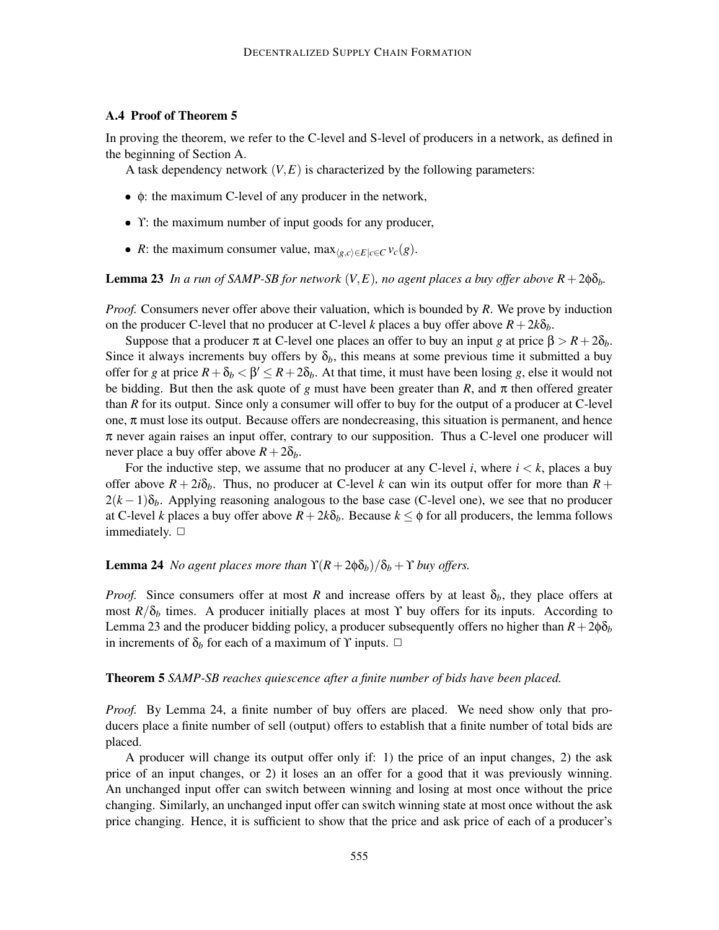## **A.4 Proof of Theorem 5**

In proving the theorem, we refer to the C-level and S-level of producers in a network, as defined in the beginning of Section A.

A task dependency network  $(V, E)$  is characterized by the following parameters:

- φ: the maximum C-level of any producer in the network,
- $\Upsilon$ : the maximum number of input goods for any producer,
- *R*: the maximum consumer value, max $_{\langle g,c\rangle\in E|c\in C}$   $v_c(g)$ .

**Lemma 23** *In a run of SAMP-SB for network*  $(V, E)$ *, no agent places a buy offer above*  $R + 2\phi \delta_b$ *.* 

*Proof.* Consumers never offer above their valuation, which is bounded by *R*. We prove by induction on the producer C-level that no producer at C-level *k* places a buy offer above  $R + 2k\delta_b$ .

Suppose that a producer π at C-level one places an offer to buy an input *g* at price  $β > R + 2δ<sub>b</sub>$ . Since it always increments buy offers by  $\delta_b$ , this means at some previous time it submitted a buy offer for *g* at price  $R + \delta_b < \beta' \le R + 2\delta_b$ . At that time, it must have been losing *g*, else it would not be bidding. But then the ask quote of *g* must have been greater than  $R$ , and  $\pi$  then offered greater than *R* for its output. Since only a consumer will offer to buy for the output of a producer at C-level one,  $\pi$  must lose its output. Because offers are nondecreasing, this situation is permanent, and hence  $\pi$  never again raises an input offer, contrary to our supposition. Thus a C-level one producer will never place a buy offer above  $R+2\delta_b$ .

For the inductive step, we assume that no producer at any C-level *i*, where  $i < k$ , places a buy offer above  $R + 2i\delta_b$ . Thus, no producer at C-level *k* can win its output offer for more than  $R +$  $2(k-1)\delta_b$ . Applying reasoning analogous to the base case (C-level one), we see that no producer at C-level *k* places a buy offer above  $R + 2k\delta_b$ . Because  $k \leq \phi$  for all producers, the lemma follows immediately.  $\Box$ 

## **Lemma 24** *No agent places more than*  $\Upsilon(R + 2\phi\delta_b)/\delta_b + \Upsilon$  *buy offers.*

*Proof.* Since consumers offer at most *R* and increase offers by at least  $\delta_b$ , they place offers at most  $R/\delta_b$  times. A producer initially places at most  $\Upsilon$  buy offers for its inputs. According to Lemma 23 and the producer bidding policy, a producer subsequently offers no higher than  $R+2\phi\delta_b$ in increments of  $\delta_b$  for each of a maximum of  $\Upsilon$  inputs.  $\Box$ 

#### **Theorem 5** *SAMP-SB reaches quiescence after a finite number of bids have been placed.*

*Proof.* By Lemma 24, a finite number of buy offers are placed. We need show only that producers place a finite number of sell (output) offers to establish that a finite number of total bids are placed.

A producer will change its output offer only if: 1) the price of an input changes, 2) the ask price of an input changes, or 2) it loses an an offer for a good that it was previously winning. An unchanged input offer can switch between winning and losing at most once without the price changing. Similarly, an unchanged input offer can switch winning state at most once without the ask price changing. Hence, it is sufficient to show that the price and ask price of each of a producer's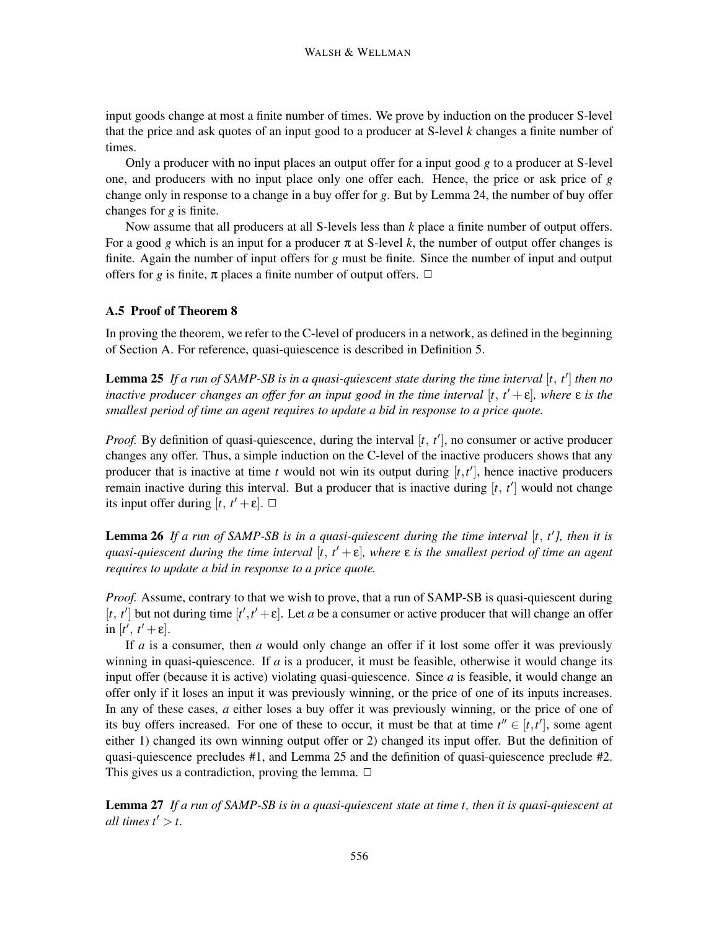input goods change at most a finite number of times. We prove by induction on the producer S-level that the price and ask quotes of an input good to a producer at S-level *k* changes a finite number of times.

Only a producer with no input places an output offer for a input good *g* to a producer at S-level one, and producers with no input place only one offer each. Hence, the price or ask price of *g* change only in response to a change in a buy offer for *g*. But by Lemma 24, the number of buy offer changes for *g* is finite.

Now assume that all producers at all S-levels less than *k* place a finite number of output offers. For a good *g* which is an input for a producer  $\pi$  at S-level *k*, the number of output offer changes is finite. Again the number of input offers for *g* must be finite. Since the number of input and output offers for *g* is finite,  $\pi$  places a finite number of output offers.  $\Box$ 

## **A.5 Proof of Theorem 8**

In proving the theorem, we refer to the C-level of producers in a network, as defined in the beginning of Section A. For reference, quasi-quiescence is described in Definition 5.

**Lemma 25** *If a run of SAMP-SB is in a quasi-quiescent state during the time interval* [*t, t* ] *then no inactive producer changes an offer for an input good in the time interval*  $[t, t' + \varepsilon]$ *, where*  $\varepsilon$  *is the smallest period of time an agent requires to update a bid in response to a price quote.*

*Proof.* By definition of quasi-quiescence, during the interval [t, t'], no consumer or active producer changes any offer. Thus, a simple induction on the C-level of the inactive producers shows that any producer that is inactive at time  $t$  would not win its output during  $[t, t']$ , hence inactive producers remain inactive during this interval. But a producer that is inactive during [*t, t* ] would not change its input offer during  $[t, t' + \varepsilon]$ .  $\Box$ 

Lemma 26 If a run of SAMP-SB is in a quasi-quiescent during the time interval [t, t'], then it is *quasi-quiescent during the time interval* [*t, t* + ε]*, where* ε *is the smallest period of time an agent requires to update a bid in response to a price quote.*

*Proof.* Assume, contrary to that we wish to prove, that a run of SAMP-SB is quasi-quiescent during  $[t, t']$  but not during time  $[t', t' + \varepsilon]$ . Let *a* be a consumer or active producer that will change an offer  $\text{in } [t', t' + \varepsilon].$ 

If *a* is a consumer, then *a* would only change an offer if it lost some offer it was previously winning in quasi-quiescence. If  $a$  is a producer, it must be feasible, otherwise it would change its input offer (because it is active) violating quasi-quiescence. Since *a* is feasible, it would change an offer only if it loses an input it was previously winning, or the price of one of its inputs increases. In any of these cases, *a* either loses a buy offer it was previously winning, or the price of one of its buy offers increased. For one of these to occur, it must be that at time  $t'' \in [t, t']$ , some agent either 1) changed its own winning output offer or 2) changed its input offer. But the definition of quasi-quiescence precludes #1, and Lemma 25 and the definition of quasi-quiescence preclude #2. This gives us a contradiction, proving the lemma.  $\Box$ 

**Lemma 27** *If a run of SAMP-SB is in a quasi-quiescent state at time t, then it is quasi-quiescent at all times*  $t' > t$ *.*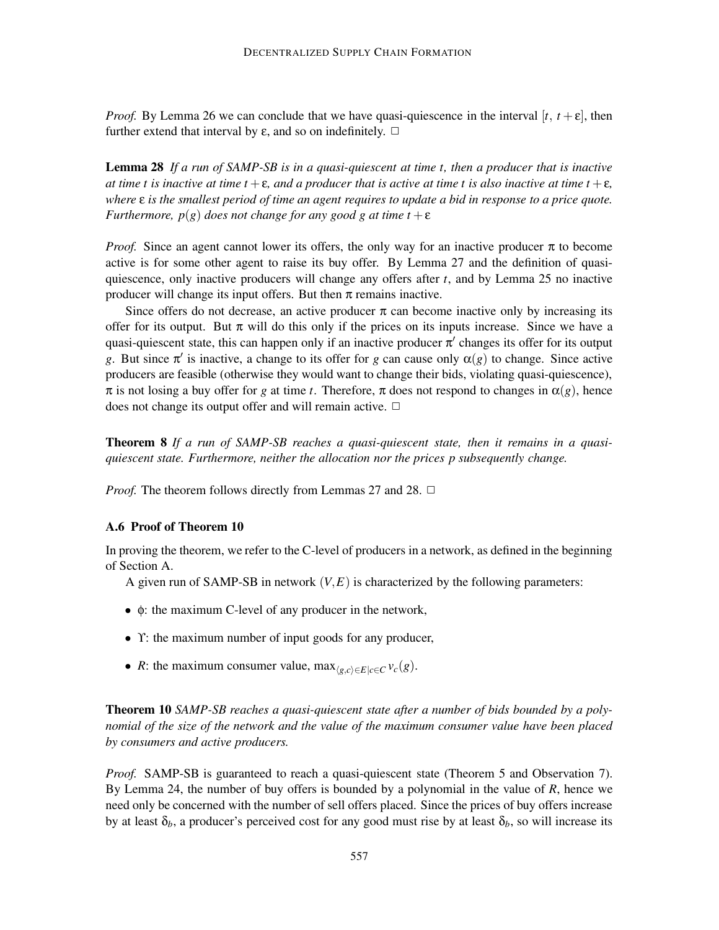*Proof.* By Lemma 26 we can conclude that we have quasi-quiescence in the interval  $[t, t + \varepsilon]$ , then further extend that interval by  $\varepsilon$ , and so on indefinitely.  $\Box$ 

**Lemma 28** *If a run of SAMP-SB is in a quasi-quiescent at time t, then a producer that is inactive at time t is inactive at time t* +  $\epsilon$ *, and a producer that is active at time t is also inactive at time t* +  $\epsilon$ *, where* ε *is the smallest period of time an agent requires to update a bid in response to a price quote. Furthermore, p(g) does not change for any good g at time t* +  $\varepsilon$ 

*Proof.* Since an agent cannot lower its offers, the only way for an inactive producer  $\pi$  to become active is for some other agent to raise its buy offer. By Lemma 27 and the definition of quasiquiescence, only inactive producers will change any offers after *t*, and by Lemma 25 no inactive producer will change its input offers. But then  $\pi$  remains inactive.

Since offers do not decrease, an active producer  $\pi$  can become inactive only by increasing its offer for its output. But  $\pi$  will do this only if the prices on its inputs increase. Since we have a quasi-quiescent state, this can happen only if an inactive producer  $\pi'$  changes its offer for its output *g*. But since  $\pi'$  is inactive, a change to its offer for *g* can cause only  $\alpha(g)$  to change. Since active producers are feasible (otherwise they would want to change their bids, violating quasi-quiescence),  $\pi$  is not losing a buy offer for *g* at time *t*. Therefore,  $\pi$  does not respond to changes in  $\alpha$ (*g*), hence does not change its output offer and will remain active.  $\Box$ 

**Theorem 8** *If a run of SAMP-SB reaches a quasi-quiescent state, then it remains in a quasiquiescent state. Furthermore, neither the allocation nor the prices p subsequently change.*

*Proof.* The theorem follows directly from Lemmas 27 and 28.  $\Box$ 

#### **A.6 Proof of Theorem 10**

In proving the theorem, we refer to the C-level of producers in a network, as defined in the beginning of Section A.

A given run of SAMP-SB in network  $(V, E)$  is characterized by the following parameters:

- φ: the maximum C-level of any producer in the network,
- $\Upsilon$ : the maximum number of input goods for any producer,
- *R*: the maximum consumer value, max $_{\langle g,c\rangle\in E|c\in C}$   $v_c(g)$ .

**Theorem 10** *SAMP-SB reaches a quasi-quiescent state after a number of bids bounded by a polynomial of the size of the network and the value of the maximum consumer value have been placed by consumers and active producers.*

*Proof.* SAMP-SB is guaranteed to reach a quasi-quiescent state (Theorem 5 and Observation 7). By Lemma 24, the number of buy offers is bounded by a polynomial in the value of *R*, hence we need only be concerned with the number of sell offers placed. Since the prices of buy offers increase by at least  $\delta_b$ , a producer's perceived cost for any good must rise by at least  $\delta_b$ , so will increase its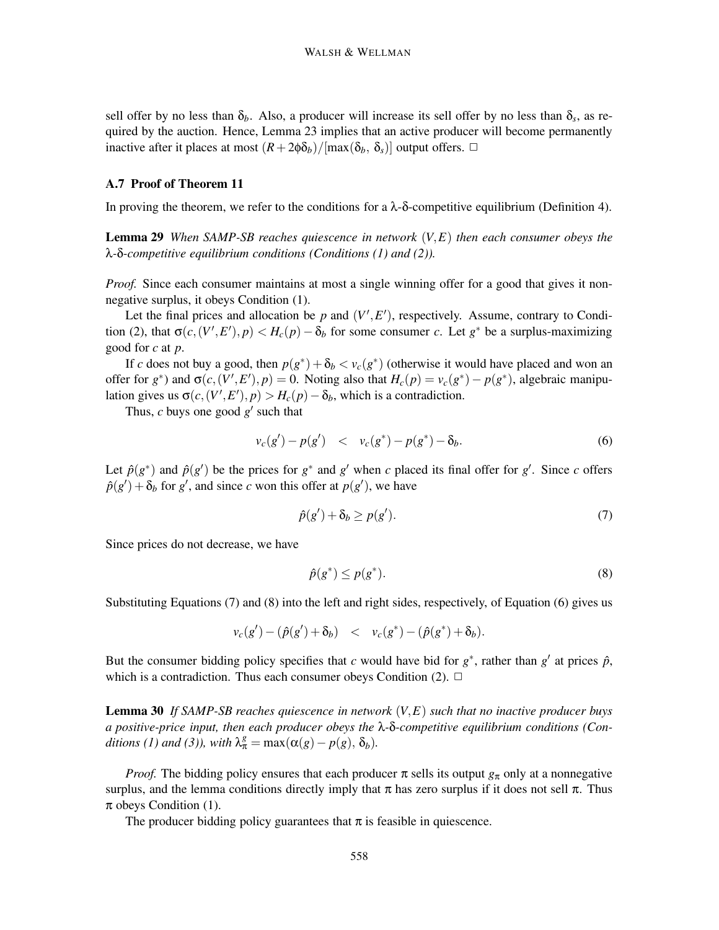sell offer by no less than  $\delta_b$ . Also, a producer will increase its sell offer by no less than  $\delta_s$ , as required by the auction. Hence, Lemma 23 implies that an active producer will become permanently inactive after it places at most  $(R + 2\phi \delta_b)/[\max(\delta_b, \delta_s)]$  output offers.  $\Box$ 

#### **A.7 Proof of Theorem 11**

In proving the theorem, we refer to the conditions for a  $\lambda$ -δ-competitive equilibrium (Definition 4).

**Lemma 29** *When SAMP-SB reaches quiescence in network* (*V,E*) *then each consumer obeys the* λ*-*δ*-competitive equilibrium conditions (Conditions (1) and (2)).*

*Proof.* Since each consumer maintains at most a single winning offer for a good that gives it nonnegative surplus, it obeys Condition (1).

Let the final prices and allocation be  $p$  and  $(V', E')$ , respectively. Assume, contrary to Condition (2), that  $\sigma(c, (V', E'), p) < H_c(p) - \delta_b$  for some consumer *c*. Let  $g^*$  be a surplus-maximizing good for *c* at *p*.

If *c* does not buy a good, then  $p(g^*) + \delta_b < v_c(g^*)$  (otherwise it would have placed and won an offer for  $g^*$ ) and  $\sigma(c, (V', E'), p) = 0$ . Noting also that  $H_c(p) = v_c(g^*) - p(g^*)$ , algebraic manipulation gives us  $\sigma(c, (V', E'), p) > H_c(p) - \delta_b$ , which is a contradiction.

Thus,  $c$  buys one good  $g'$  such that

$$
v_c(g') - p(g') \quad < \quad v_c(g^*) - p(g^*) - \delta_b. \tag{6}
$$

Let  $\hat{p}(g^*)$  and  $\hat{p}(g')$  be the prices for  $g^*$  and  $g'$  when *c* placed its final offer for  $g'$ . Since *c* offers  $\hat{p}(g') + \delta_b$  for *g*', and since *c* won this offer at  $p(g')$ , we have

$$
\hat{p}(g') + \delta_b \ge p(g'). \tag{7}
$$

Since prices do not decrease, we have

$$
\hat{p}(g^*) \le p(g^*). \tag{8}
$$

Substituting Equations (7) and (8) into the left and right sides, respectively, of Equation (6) gives us

$$
v_c(g') - (\hat{p}(g') + \delta_b) \leq v_c(g^*) - (\hat{p}(g^*) + \delta_b).
$$

But the consumer bidding policy specifies that *c* would have bid for  $g^*$ , rather than  $g'$  at prices  $\hat{p}$ , which is a contradiction. Thus each consumer obeys Condition  $(2)$ .  $\Box$ 

**Lemma 30** *If SAMP-SB reaches quiescence in network* (*V,E*) *such that no inactive producer buys a positive-price input, then each producer obeys the* λ*-*δ*-competitive equilibrium conditions (Conditions (1) and (3)), with*  $\lambda_{\pi}^{g} = \max(\alpha(g) - p(g), \delta_b)$ .

*Proof.* The bidding policy ensures that each producer  $\pi$  sells its output  $g_{\pi}$  only at a nonnegative surplus, and the lemma conditions directly imply that  $\pi$  has zero surplus if it does not sell  $\pi$ . Thus  $\pi$  obeys Condition (1).

The producer bidding policy guarantees that  $\pi$  is feasible in quiescence.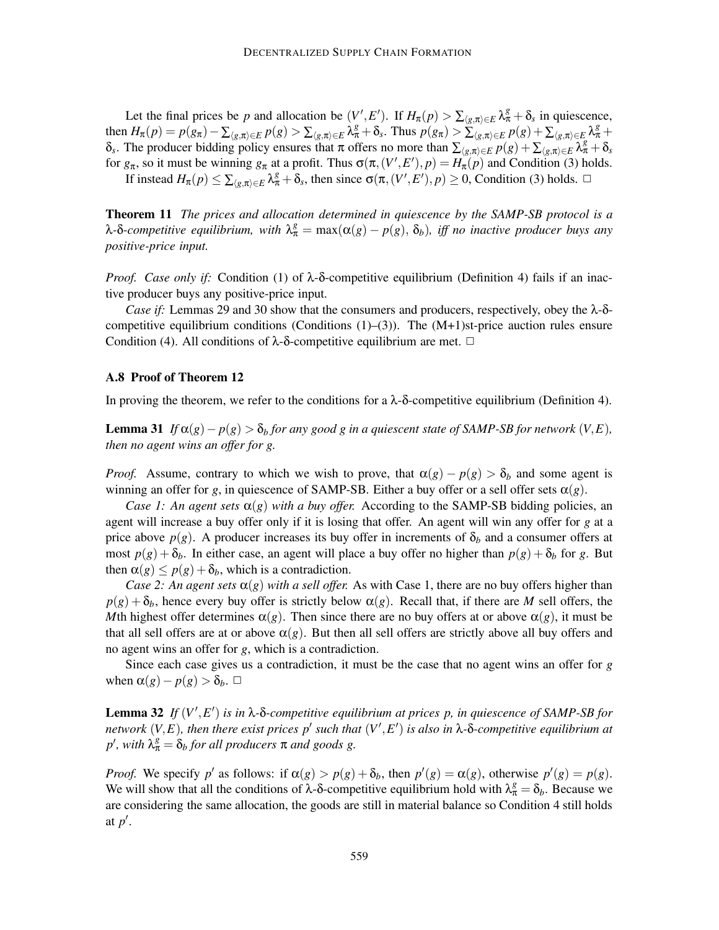Let the final prices be *p* and allocation be  $(V', E')$ . If  $H_{\pi}(p) > \sum_{\langle g,\pi \rangle \in E} \lambda_{\pi}^{g} + \delta_{s}$  in quiescence, then  $H_{\pi}(p) = p(g_{\pi}) - \sum_{\langle g,\pi \rangle \in E} p(g) > \sum_{\langle g,\pi \rangle \in E} \lambda_{\pi}^{g} + \delta_{s}$ . Thus  $p(g_{\pi}) > \sum_{\langle g,\pi \rangle \in E} p(g) + \sum_{\langle g,\pi \rangle \in E} \lambda_{\pi}^{g}$  $δ_s$ . The producer bidding policy ensures that π offers no more than  $\sum_{\langle g,\pi\rangle\in E} p(g) + \sum_{\langle g,\pi\rangle\in E} \lambda_\pi^g + δ_s$ for  $g_{\pi}$ , so it must be winning  $g_{\pi}$  at a profit. Thus  $\sigma(\pi,(V',E'),p) = H_{\pi}(p)$  and Condition (3) holds. If instead  $H_{\pi}(p) \le \sum_{\langle g,\pi \rangle \in E} \lambda_{\pi}^{g} + \delta_{s}$ , then since  $\sigma(\pi,(V',E'),p) \ge 0$ , Condition (3) holds.  $\Box$ 

**Theorem 11** *The prices and allocation determined in quiescence by the SAMP-SB protocol is a* λ-δ-competitive equilibrium, with  $λ_{π}^{g} = max(α(g) - p(g), δ_b)$ , iff no inactive producer buys any *positive-price input.*

*Proof. Case only if:* Condition (1) of λ-δ-competitive equilibrium (Definition 4) fails if an inactive producer buys any positive-price input.

*Case if:* Lemmas 29 and 30 show that the consumers and producers, respectively, obey the λ-δcompetitive equilibrium conditions (Conditions  $(1)$ – $(3)$ ). The  $(M+1)$ st-price auction rules ensure Condition (4). All conditions of  $\lambda$ -δ-competitive equilibrium are met.  $\Box$ 

#### **A.8 Proof of Theorem 12**

In proving the theorem, we refer to the conditions for a  $\lambda$ -δ-competitive equilibrium (Definition 4).

**Lemma 31** *If*  $\alpha(g) - p(g) > \delta_b$  *for any good g in a quiescent state of SAMP-SB for network*  $(V, E)$ *, then no agent wins an offer for g.*

*Proof.* Assume, contrary to which we wish to prove, that  $\alpha(g) - p(g) > \delta_b$  and some agent is winning an offer for *g*, in quiescence of SAMP-SB. Either a buy offer or a sell offer sets  $\alpha(g)$ .

*Case 1: An agent sets*  $\alpha(g)$  *with a buy offer.* According to the SAMP-SB bidding policies, an agent will increase a buy offer only if it is losing that offer. An agent will win any offer for *g* at a price above  $p(g)$ . A producer increases its buy offer in increments of  $\delta_b$  and a consumer offers at most  $p(g) + \delta_b$ . In either case, an agent will place a buy offer no higher than  $p(g) + \delta_b$  for *g*. But then  $\alpha(g) \leq p(g) + \delta_b$ , which is a contradiction.

*Case 2: An agent sets*  $\alpha(g)$  *with a sell offer.* As with Case 1, there are no buy offers higher than  $p(g) + \delta_b$ , hence every buy offer is strictly below  $\alpha(g)$ . Recall that, if there are *M* sell offers, the *M*th highest offer determines  $\alpha(g)$ . Then since there are no buy offers at or above  $\alpha(g)$ , it must be that all sell offers are at or above  $\alpha(g)$ . But then all sell offers are strictly above all buy offers and no agent wins an offer for *g*, which is a contradiction.

Since each case gives us a contradiction, it must be the case that no agent wins an offer for *g* when  $\alpha(g) - p(g) > \delta_b$ .  $\Box$ 

**Lemma 32** If  $(V', E')$  is in  $\lambda$ - $\delta$ -competitive equilibrium at prices p, in quiescence of SAMP-SB for *network*  $(V, E)$ , then there exist prices  $p'$  such that  $(V', E')$  is also in  $\lambda$ - $\delta$ -competitive equilibrium at  $p'$ , with  $\lambda_{\pi}^g = \delta_b$  *for all producers*  $\pi$  *and goods g.* 

*Proof.* We specify  $p'$  as follows: if  $\alpha(g) > p(g) + \delta_b$ , then  $p'(g) = \alpha(g)$ , otherwise  $p'(g) = p(g)$ . We will show that all the conditions of  $\lambda$ -δ-competitive equilibrium hold with  $\lambda_{\pi}^{g} = \delta_{b}$ . Because we are considering the same allocation, the goods are still in material balance so Condition 4 still holds at *p* .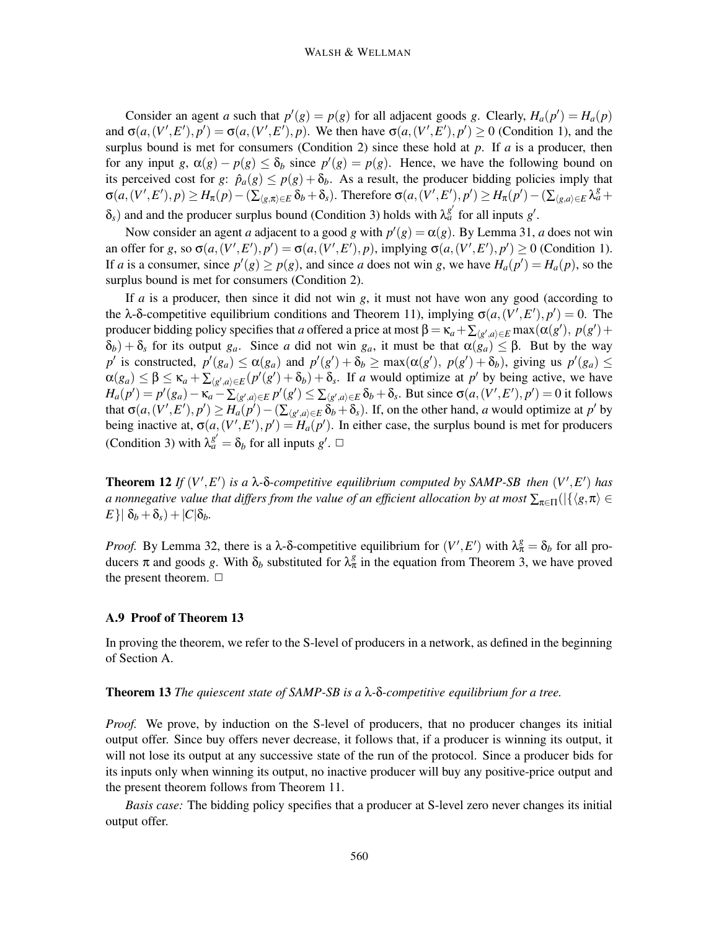Consider an agent *a* such that  $p'(g) = p(g)$  for all adjacent goods *g*. Clearly,  $H_a(p') = H_a(p)$ and  $\sigma(a,(V',E'),p') = \sigma(a,(V',E'),p)$ . We then have  $\sigma(a,(V',E'),p') \ge 0$  (Condition 1), and the surplus bound is met for consumers (Condition 2) since these hold at *p*. If *a* is a producer, then for any input *g*,  $\alpha(g) - p(g) \leq \delta_b$  since  $p'(g) = p(g)$ . Hence, we have the following bound on its perceived cost for *g*:  $\hat{p}_a(g) \leq p(g) + \delta_b$ . As a result, the producer bidding policies imply that  $\sigma(a,(V',E'),p) \geq H_{\pi}(p) - (\sum_{\langle g,\pi \rangle \in E} \delta_b + \delta_s)$ . Therefore  $\sigma(a,(V',E'),p') \geq H_{\pi}(p') - (\sum_{\langle g,a \rangle \in E} \lambda_a^g + \delta_a^g)$  $\delta_s$ ) and and the producer surplus bound (Condition 3) holds with  $\lambda_a^{g'}$  for all inputs *g*'.

Now consider an agent *a* adjacent to a good *g* with  $p'(g) = \alpha(g)$ . By Lemma 31, *a* does not win an offer for g, so  $\sigma(a,(V',E'),p') = \sigma(a,(V',E'),p)$ , implying  $\sigma(a,(V',E'),p') \ge 0$  (Condition 1). If *a* is a consumer, since  $p'(g) \ge p(g)$ , and since *a* does not win *g*, we have  $H_a(p') = H_a(p)$ , so the surplus bound is met for consumers (Condition 2).

If *a* is a producer, then since it did not win *g*, it must not have won any good (according to the  $\lambda$ -δ-competitive equilibrium conditions and Theorem 11), implying  $\sigma(a,(V',E'),p')=0$ . The producer bidding policy specifies that *a* offered a price at most  $\beta = \kappa_a + \sum_{\langle g', a \rangle \in E} \max(\alpha(g'), p(g') + \alpha)$ δ*b*) + δ*<sup>s</sup>* for its output *ga*. Since *a* did not win *ga*, it must be that α(*ga*) ≤ β. But by the way *p*' is constructed,  $p'(g_a) \le \alpha(g_a)$  and  $p'(g') + \delta_b \ge \max(\alpha(g'), p(g') + \delta_b)$ , giving us  $p'(g_a) \le$  $\alpha(g_a) \leq \beta \leq \kappa_a + \sum_{\langle g',a \rangle \in E} (p'(g') + \delta_b) + \delta_s$ . If *a* would optimize at *p'* by being active, we have  $H_a(p') = p'(g_a) - \kappa_a - \sum_{\langle g',a \rangle \in E} p'(g') \leq \sum_{\langle g',a \rangle \in E} \delta_b + \delta_s$ . But since  $\sigma(a,(V',E'),p') = 0$  it follows that  $\sigma(a,(V',E'),p') \geq H_a(p') - (\sum_{\langle g',a \rangle \in E} \delta_b + \delta_s)$ . If, on the other hand, *a* would optimize at *p'* by being inactive at,  $\sigma(a,(V',E'),p') = H_a(p')$ . In either case, the surplus bound is met for producers (Condition 3) with  $\lambda_a^{g'} = \delta_b$  for all inputs  $g'$ .  $\Box$ 

**Theorem 12** *If*  $(V', E')$  *is a*  $\lambda$ - $\delta$ -*competitive equilibrium computed by SAMP-SB then*  $(V', E')$  *has a* nonnegative value that differs from the value of an efficient allocation by at most  $\sum_{\pi\in\Pi}(|\{\langle g,\pi\rangle\in E\}|)$  $E\{\delta_b + \delta_s\} + |C|\delta_b.$ 

*Proof.* By Lemma 32, there is a  $\lambda$ -δ-competitive equilibrium for  $(V', E')$  with  $\lambda_{\pi}^g = \delta_b$  for all producers  $\pi$  and goods g. With  $\delta_b$  substituted for  $\lambda_{\pi}^g$  in the equation from Theorem 3, we have proved the present theorem.  $\Box$ 

#### **A.9 Proof of Theorem 13**

In proving the theorem, we refer to the S-level of producers in a network, as defined in the beginning of Section A.

#### **Theorem 13** *The quiescent state of SAMP-SB is a* λ*-*δ*-competitive equilibrium for a tree.*

*Proof.* We prove, by induction on the S-level of producers, that no producer changes its initial output offer. Since buy offers never decrease, it follows that, if a producer is winning its output, it will not lose its output at any successive state of the run of the protocol. Since a producer bids for its inputs only when winning its output, no inactive producer will buy any positive-price output and the present theorem follows from Theorem 11.

*Basis case:* The bidding policy specifies that a producer at S-level zero never changes its initial output offer.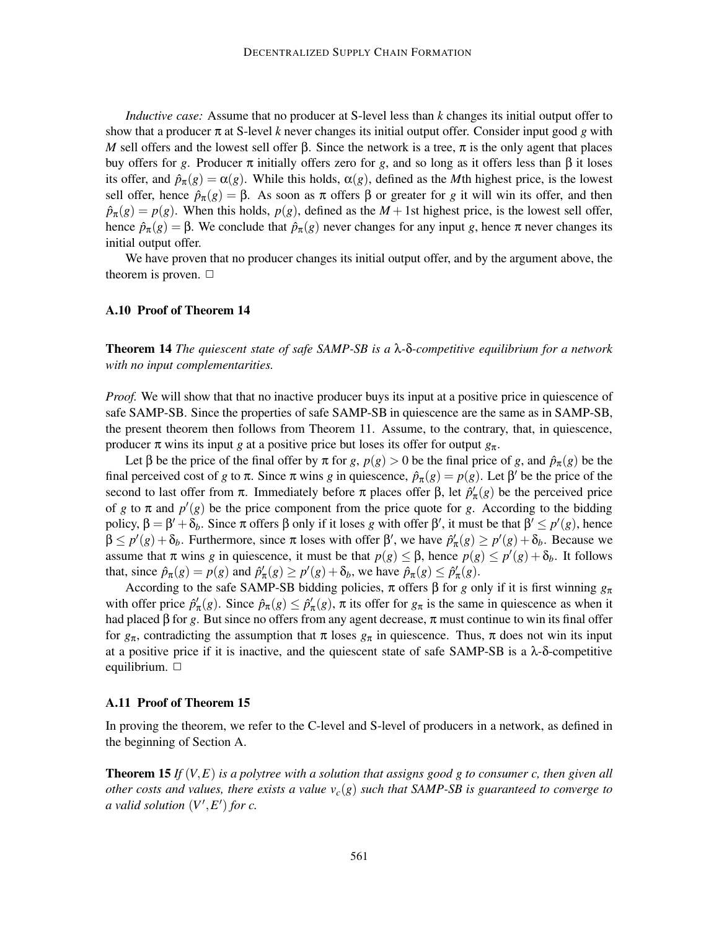*Inductive case:* Assume that no producer at S-level less than *k* changes its initial output offer to show that a producer  $\pi$  at S-level *k* never changes its initial output offer. Consider input good *g* with *M* sell offers and the lowest sell offer β. Since the network is a tree,  $\pi$  is the only agent that places buy offers for *g*. Producer π initially offers zero for *g*, and so long as it offers less than β it loses its offer, and  $\hat{p}_{\pi}(g) = \alpha(g)$ . While this holds,  $\alpha(g)$ , defined as the *M*th highest price, is the lowest sell offer, hence  $\hat{p}_{\pi}(g) = \beta$ . As soon as  $\pi$  offers  $\beta$  or greater for *g* it will win its offer, and then  $\hat{p}_{\pi}(g) = p(g)$ . When this holds,  $p(g)$ , defined as the *M* + 1st highest price, is the lowest sell offer, hence  $\hat{p}_{\pi}(g) = \beta$ . We conclude that  $\hat{p}_{\pi}(g)$  never changes for any input *g*, hence  $\pi$  never changes its initial output offer.

We have proven that no producer changes its initial output offer, and by the argument above, the theorem is proven.  $\Box$ 

## **A.10 Proof of Theorem 14**

**Theorem 14** *The quiescent state of safe SAMP-SB is a* λ*-*δ*-competitive equilibrium for a network with no input complementarities.*

*Proof.* We will show that that no inactive producer buys its input at a positive price in quiescence of safe SAMP-SB. Since the properties of safe SAMP-SB in quiescence are the same as in SAMP-SB, the present theorem then follows from Theorem 11. Assume, to the contrary, that, in quiescence, producer  $\pi$  wins its input *g* at a positive price but loses its offer for output  $g_{\pi}$ .

Let  $\beta$  be the price of the final offer by  $\pi$  for *g*,  $p(g) > 0$  be the final price of *g*, and  $\hat{p}_{\pi}(g)$  be the final perceived cost of *g* to  $\pi$ . Since  $\pi$  wins *g* in quiescence,  $\hat{p}_{\pi}(g) = p(g)$ . Let  $\beta'$  be the price of the second to last offer from  $\pi$ . Immediately before  $\pi$  places offer  $\beta$ , let  $\hat{p}'_{\pi}(g)$  be the perceived price of *g* to  $\pi$  and  $p'(g)$  be the price component from the price quote for *g*. According to the bidding policy,  $\beta = \beta' + \delta_b$ . Since  $\pi$  offers  $\beta$  only if it loses *g* with offer  $\beta'$ , it must be that  $\beta' \le p'(g)$ , hence  $\beta \leq p'(g) + \delta_b$ . Furthermore, since  $\pi$  loses with offer  $\beta'$ , we have  $\hat{p}'_{\pi}(g) \geq p'(g) + \delta_b$ . Because we assume that  $\pi$  wins *g* in quiescence, it must be that  $p(g) \leq \beta$ , hence  $p(g) \leq p'(g) + \delta_b$ . It follows that, since  $\hat{p}_{\pi}(g) = p(g)$  and  $\hat{p}'_{\pi}(g) \ge p'(g) + \delta_b$ , we have  $\hat{p}_{\pi}(g) \le \hat{p}'_{\pi}(g)$ .

According to the safe SAMP-SB bidding policies,  $\pi$  offers  $\beta$  for *g* only if it is first winning  $g_{\pi}$ with offer price  $\hat{p}'_{\pi}(g)$ . Since  $\hat{p}_{\pi}(g) \leq \hat{p}'_{\pi}(g)$ ,  $\pi$  its offer for  $g_{\pi}$  is the same in quiescence as when it had placed β for *g*. But since no offers from any agent decrease, π must continue to win its final offer for *g*π, contradicting the assumption that π loses *g*<sup>π</sup> in quiescence. Thus, π does not win its input at a positive price if it is inactive, and the quiescent state of safe SAMP-SB is a  $\lambda$ - $\delta$ -competitive equilibrium.  $\Box$ 

#### **A.11 Proof of Theorem 15**

In proving the theorem, we refer to the C-level and S-level of producers in a network, as defined in the beginning of Section A.

**Theorem 15** *If* (*V,E*) *is a polytree with a solution that assigns good g to consumer c, then given all other costs and values, there exists a value*  $v_c(g)$  *such that SAMP-SB is guaranteed to converge to a* valid solution  $(V', E')$  for c.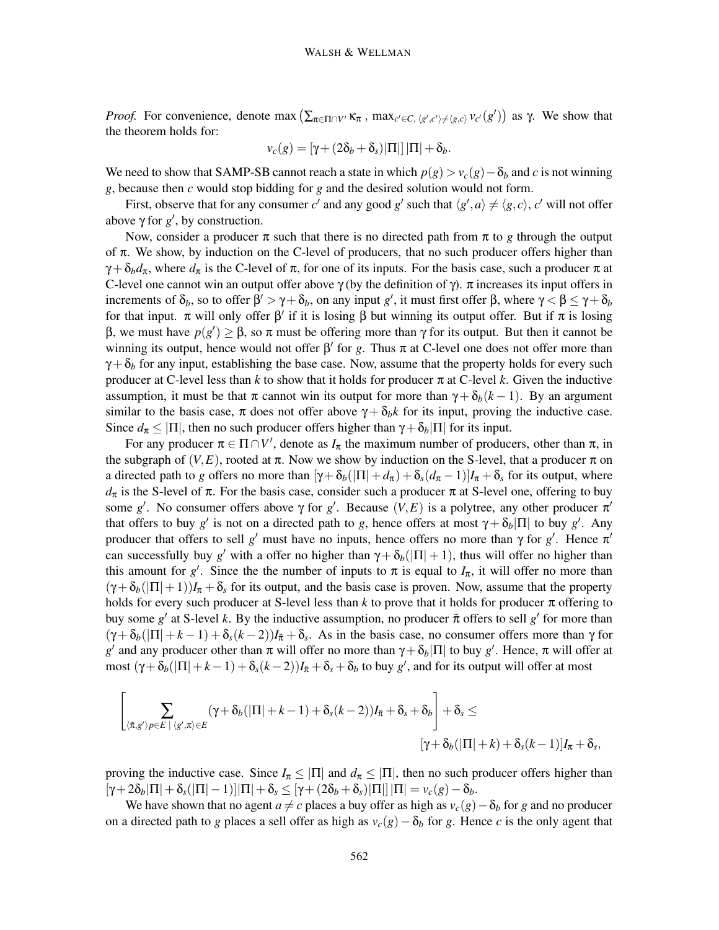*Proof.* For convenience, denote max  $(\sum_{\pi \in \Pi \cap V'} \kappa_{\pi}$ , max<sub>*c*'</sub>  $\in$ *c*,  $\langle g', c' \rangle \neq \langle g, c \rangle$  *v<sub>c</sub>*'(*g*')) as γ. We show that the theorem holds for:

$$
v_c(g) = \left[\gamma + (2\delta_b + \delta_s)|\Pi|\right]|\Pi| + \delta_b.
$$

We need to show that SAMP-SB cannot reach a state in which  $p(g) > v_c(g) - \delta_b$  and *c* is not winning *g*, because then *c* would stop bidding for *g* and the desired solution would not form.

First, observe that for any consumer *c'* and any good *g'* such that  $\langle g', a \rangle \neq \langle g, c \rangle$ , *c'* will not offer above  $\gamma$  for  $g'$ , by construction.

Now, consider a producer  $\pi$  such that there is no directed path from  $\pi$  to *g* through the output of  $\pi$ . We show, by induction on the C-level of producers, that no such producer offers higher than  $\gamma + \delta_b d_\pi$ , where  $d_\pi$  is the C-level of  $\pi$ , for one of its inputs. For the basis case, such a producer  $\pi$  at C-level one cannot win an output offer above  $\gamma$  (by the definition of  $\gamma$ ).  $\pi$  increases its input offers in increments of  $\delta_b$ , so to offer  $\beta' > \gamma + \delta_b$ , on any input *g'*, it must first offer  $\beta$ , where  $\gamma < \beta \le \gamma + \delta_b$ for that input.  $\pi$  will only offer  $\beta'$  if it is losing  $\beta$  but winning its output offer. But if  $\pi$  is losing β, we must have *p*(*g* ) ≥ β, so π must be offering more than γ for its output. But then it cannot be winning its output, hence would not offer  $\beta'$  for *g*. Thus  $\pi$  at C-level one does not offer more than  $\gamma + \delta_b$  for any input, establishing the base case. Now, assume that the property holds for every such producer at C-level less than  $k$  to show that it holds for producer  $\pi$  at C-level  $k$ . Given the inductive assumption, it must be that  $\pi$  cannot win its output for more than  $\gamma + \delta_b(k-1)$ . By an argument similar to the basis case,  $\pi$  does not offer above  $\gamma + \delta_b k$  for its input, proving the inductive case. Since  $d_{\pi} \leq |\Pi|$ , then no such producer offers higher than  $\gamma + \delta_b |\Pi|$  for its input.

For any producer  $\pi \in \Pi \cap V'$ , denote as  $I_{\pi}$  the maximum number of producers, other than  $\pi$ , in the subgraph of  $(V, E)$ , rooted at  $\pi$ . Now we show by induction on the S-level, that a producer  $\pi$  on a directed path to *g* offers no more than  $[\gamma + \delta_b(|\Pi| + d_\pi) + \delta_s(d_\pi - 1)]I_\pi + \delta_s$  for its output, where  $d_{\pi}$  is the S-level of π. For the basis case, consider such a producer π at S-level one, offering to buy some g'. No consumer offers above  $\gamma$  for g'. Because  $(V, E)$  is a polytree, any other producer  $\pi'$ that offers to buy *g'* is not on a directed path to *g*, hence offers at most  $\gamma + \delta_b |\Pi|$  to buy *g'*. Any producer that offers to sell *g'* must have no inputs, hence offers no more than  $\gamma$  for *g'*. Hence  $\pi'$ can successfully buy *g'* with a offer no higher than  $\gamma + \delta_b(|\Pi| + 1)$ , thus will offer no higher than this amount for *g'*. Since the the number of inputs to  $\pi$  is equal to  $I_{\pi}$ , it will offer no more than  $(\gamma + \delta_b(|\Pi|+1))I_{\pi} + \delta_s$  for its output, and the basis case is proven. Now, assume that the property holds for every such producer at S-level less than  $k$  to prove that it holds for producer  $\pi$  offering to buy some  $g'$  at S-level *k*. By the inductive assumption, no producer  $\tilde{\pi}$  offers to sell  $g'$  for more than  $(\gamma + \delta_b)(\Pi + k - 1) + \delta_s(k - 2)I_{\bar{\pi}} + \delta_s$ . As in the basis case, no consumer offers more than  $\gamma$  for *g'* and any producer other than π will offer no more than  $\gamma + \delta_b |\Pi|$  to buy *g'*. Hence, π will offer at most  $(γ + δ<sub>b</sub>(|Π | + k - 1) + δ<sub>s</sub>(k-2))I<sub>π</sub> + δ<sub>s</sub> + δ<sub>b</sub>$  to buy *g*', and for its output will offer at most

$$
\left[\sum_{\langle \tilde{\pi}, g' \rangle p \in E \; | \; \langle g', \pi \rangle \in E} (\gamma + \delta_b(|\Pi| + k - 1) + \delta_s(k - 2))I_{\tilde{\pi}} + \delta_s + \delta_b \right] + \delta_s \le
$$

$$
[\gamma + \delta_b(|\Pi| + k) + \delta_s(k - 1)]I_{\pi} + \delta_s,
$$

proving the inductive case. Since  $I_{\pi} \leq |\Pi|$  and  $d_{\pi} \leq |\Pi|$ , then no such producer offers higher than  $[\gamma+2\delta_b|\Pi|+\delta_s(|\Pi|-1)|\Pi|+\delta_s\leq [\gamma+(2\delta_b+\delta_s)|\Pi||\Pi|=\nu_c(g)-\delta_b.$ 

We have shown that no agent *a*  $\neq$  *c* places a buy offer as high as  $v_c(g) - \delta_b$  for *g* and no producer on a directed path to *g* places a sell offer as high as  $v_c(g) - \delta_b$  for *g*. Hence *c* is the only agent that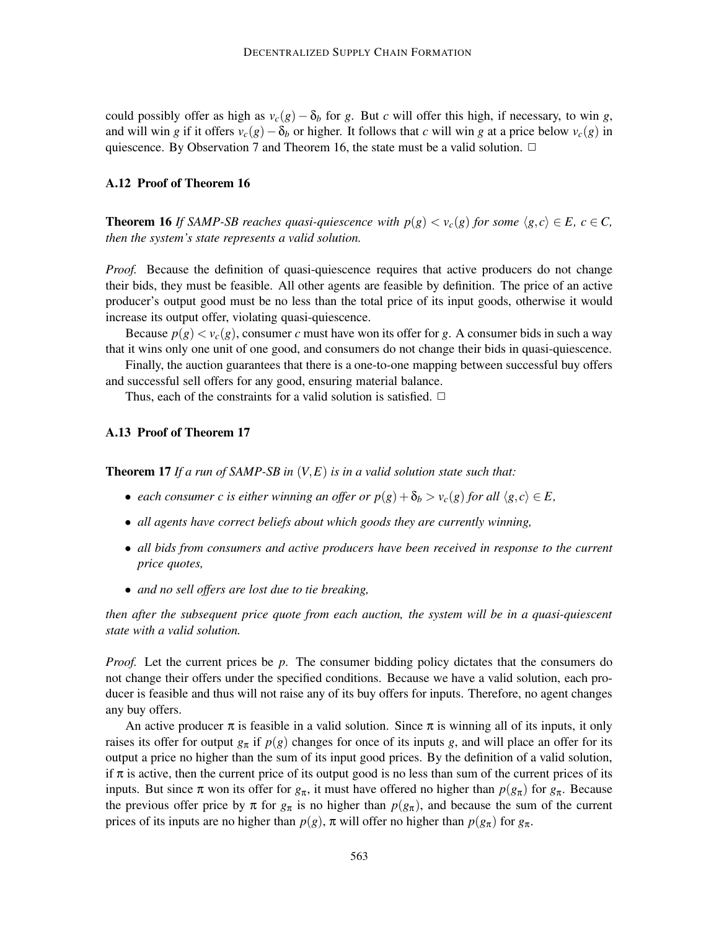could possibly offer as high as  $v_c(g) - \delta_b$  for *g*. But *c* will offer this high, if necessary, to win *g*, and will win *g* if it offers  $v_c(g) - \delta_b$  or higher. It follows that *c* will win *g* at a price below  $v_c(g)$  in quiescence. By Observation 7 and Theorem 16, the state must be a valid solution.  $\Box$ 

#### **A.12 Proof of Theorem 16**

**Theorem 16** *If SAMP-SB reaches quasi-quiescence with*  $p(g) < v_c(g)$  *for some*  $\langle g, c \rangle \in E$ *,*  $c \in C$ *, then the system's state represents a valid solution.*

*Proof.* Because the definition of quasi-quiescence requires that active producers do not change their bids, they must be feasible. All other agents are feasible by definition. The price of an active producer's output good must be no less than the total price of its input goods, otherwise it would increase its output offer, violating quasi-quiescence.

Because  $p(g) < v_c(g)$ , consumer *c* must have won its offer for *g*. A consumer bids in such a way that it wins only one unit of one good, and consumers do not change their bids in quasi-quiescence.

Finally, the auction guarantees that there is a one-to-one mapping between successful buy offers and successful sell offers for any good, ensuring material balance.

Thus, each of the constraints for a valid solution is satisfied.  $\Box$ 

## **A.13 Proof of Theorem 17**

**Theorem 17** *If a run of SAMP-SB in* (*V,E*) *is in a valid solution state such that:*

- *each consumer c is either winning an offer or*  $p(g) + \delta_b > v_c(g)$  *for all*  $\langle g, c \rangle \in E$ ,
- *all agents have correct beliefs about which goods they are currently winning,*
- *all bids from consumers and active producers have been received in response to the current price quotes,*
- *and no sell offers are lost due to tie breaking,*

*then after the subsequent price quote from each auction, the system will be in a quasi-quiescent state with a valid solution.*

*Proof.* Let the current prices be *p*. The consumer bidding policy dictates that the consumers do not change their offers under the specified conditions. Because we have a valid solution, each producer is feasible and thus will not raise any of its buy offers for inputs. Therefore, no agent changes any buy offers.

An active producer  $\pi$  is feasible in a valid solution. Since  $\pi$  is winning all of its inputs, it only raises its offer for output  $g_{\pi}$  if  $p(g)$  changes for once of its inputs *g*, and will place an offer for its output a price no higher than the sum of its input good prices. By the definition of a valid solution, if  $\pi$  is active, then the current price of its output good is no less than sum of the current prices of its inputs. But since  $\pi$  won its offer for  $g_{\pi}$ , it must have offered no higher than  $p(g_{\pi})$  for  $g_{\pi}$ . Because the previous offer price by  $\pi$  for  $g_{\pi}$  is no higher than  $p(g_{\pi})$ , and because the sum of the current prices of its inputs are no higher than  $p(g)$ ,  $\pi$  will offer no higher than  $p(g_{\pi})$  for  $g_{\pi}$ .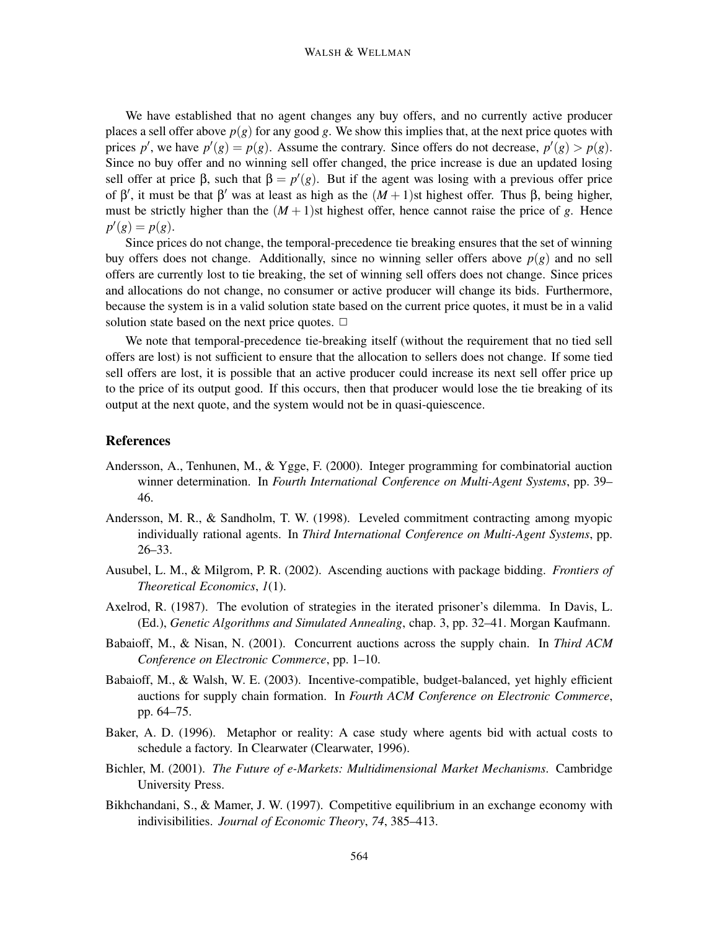We have established that no agent changes any buy offers, and no currently active producer places a sell offer above  $p(g)$  for any good g. We show this implies that, at the next price quotes with prices *p*<sup>'</sup>, we have  $p'(g) = p(g)$ . Assume the contrary. Since offers do not decrease,  $p'(g) > p(g)$ . Since no buy offer and no winning sell offer changed, the price increase is due an updated losing sell offer at price  $\beta$ , such that  $\beta = p'(g)$ . But if the agent was losing with a previous offer price of β', it must be that β' was at least as high as the  $(M + 1)$ st highest offer. Thus β, being higher, must be strictly higher than the  $(M + 1)$ st highest offer, hence cannot raise the price of *g*. Hence  $p'(g) = p(g).$ 

Since prices do not change, the temporal-precedence tie breaking ensures that the set of winning buy offers does not change. Additionally, since no winning seller offers above  $p(g)$  and no sell offers are currently lost to tie breaking, the set of winning sell offers does not change. Since prices and allocations do not change, no consumer or active producer will change its bids. Furthermore, because the system is in a valid solution state based on the current price quotes, it must be in a valid solution state based on the next price quotes.  $\Box$ 

We note that temporal-precedence tie-breaking itself (without the requirement that no tied sell offers are lost) is not sufficient to ensure that the allocation to sellers does not change. If some tied sell offers are lost, it is possible that an active producer could increase its next sell offer price up to the price of its output good. If this occurs, then that producer would lose the tie breaking of its output at the next quote, and the system would not be in quasi-quiescence.

## **References**

- Andersson, A., Tenhunen, M., & Ygge, F. (2000). Integer programming for combinatorial auction winner determination. In *Fourth International Conference on Multi-Agent Systems*, pp. 39– 46.
- Andersson, M. R., & Sandholm, T. W. (1998). Leveled commitment contracting among myopic individually rational agents. In *Third International Conference on Multi-Agent Systems*, pp. 26–33.
- Ausubel, L. M., & Milgrom, P. R. (2002). Ascending auctions with package bidding. *Frontiers of Theoretical Economics*, *1*(1).
- Axelrod, R. (1987). The evolution of strategies in the iterated prisoner's dilemma. In Davis, L. (Ed.), *Genetic Algorithms and Simulated Annealing*, chap. 3, pp. 32–41. Morgan Kaufmann.
- Babaioff, M., & Nisan, N. (2001). Concurrent auctions across the supply chain. In *Third ACM Conference on Electronic Commerce*, pp. 1–10.
- Babaioff, M., & Walsh, W. E. (2003). Incentive-compatible, budget-balanced, yet highly efficient auctions for supply chain formation. In *Fourth ACM Conference on Electronic Commerce*, pp. 64–75.
- Baker, A. D. (1996). Metaphor or reality: A case study where agents bid with actual costs to schedule a factory. In Clearwater (Clearwater, 1996).
- Bichler, M. (2001). *The Future of e-Markets: Multidimensional Market Mechanisms*. Cambridge University Press.
- Bikhchandani, S., & Mamer, J. W. (1997). Competitive equilibrium in an exchange economy with indivisibilities. *Journal of Economic Theory*, *74*, 385–413.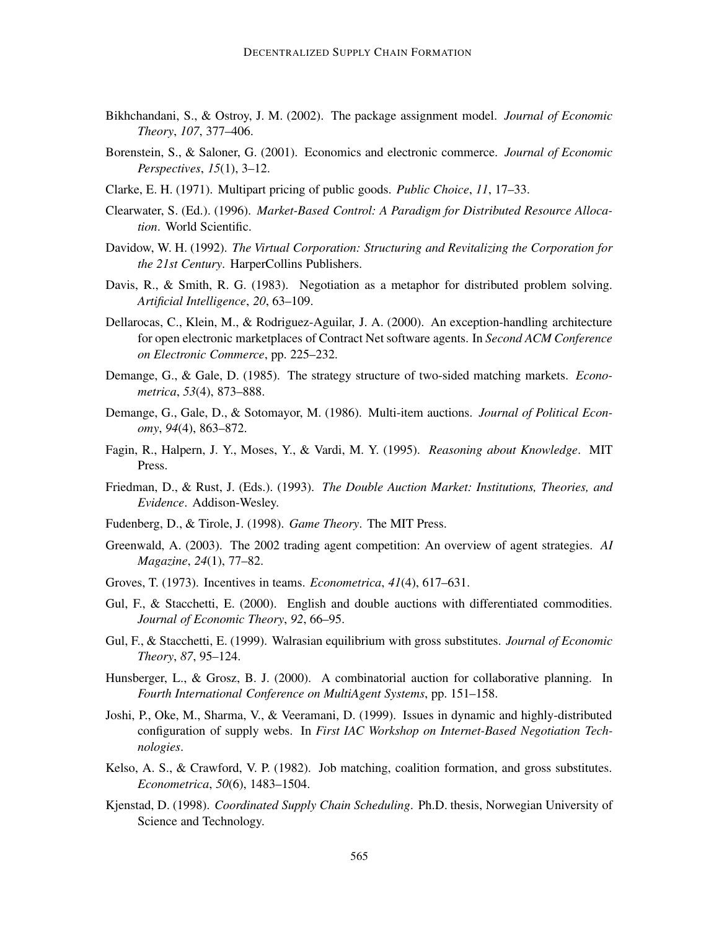- Bikhchandani, S., & Ostroy, J. M. (2002). The package assignment model. *Journal of Economic Theory*, *107*, 377–406.
- Borenstein, S., & Saloner, G. (2001). Economics and electronic commerce. *Journal of Economic Perspectives*, *15*(1), 3–12.
- Clarke, E. H. (1971). Multipart pricing of public goods. *Public Choice*, *11*, 17–33.
- Clearwater, S. (Ed.). (1996). *Market-Based Control: A Paradigm for Distributed Resource Allocation*. World Scientific.
- Davidow, W. H. (1992). *The Virtual Corporation: Structuring and Revitalizing the Corporation for the 21st Century*. HarperCollins Publishers.
- Davis, R., & Smith, R. G. (1983). Negotiation as a metaphor for distributed problem solving. *Artificial Intelligence*, *20*, 63–109.
- Dellarocas, C., Klein, M., & Rodriguez-Aguilar, J. A. (2000). An exception-handling architecture for open electronic marketplaces of Contract Net software agents. In *Second ACM Conference on Electronic Commerce*, pp. 225–232.
- Demange, G., & Gale, D. (1985). The strategy structure of two-sided matching markets. *Econometrica*, *53*(4), 873–888.
- Demange, G., Gale, D., & Sotomayor, M. (1986). Multi-item auctions. *Journal of Political Economy*, *94*(4), 863–872.
- Fagin, R., Halpern, J. Y., Moses, Y., & Vardi, M. Y. (1995). *Reasoning about Knowledge*. MIT Press.
- Friedman, D., & Rust, J. (Eds.). (1993). *The Double Auction Market: Institutions, Theories, and Evidence*. Addison-Wesley.
- Fudenberg, D., & Tirole, J. (1998). *Game Theory*. The MIT Press.
- Greenwald, A. (2003). The 2002 trading agent competition: An overview of agent strategies. *AI Magazine*, *24*(1), 77–82.
- Groves, T. (1973). Incentives in teams. *Econometrica*, *41*(4), 617–631.
- Gul, F., & Stacchetti, E. (2000). English and double auctions with differentiated commodities. *Journal of Economic Theory*, *92*, 66–95.
- Gul, F., & Stacchetti, E. (1999). Walrasian equilibrium with gross substitutes. *Journal of Economic Theory*, *87*, 95–124.
- Hunsberger, L., & Grosz, B. J. (2000). A combinatorial auction for collaborative planning. In *Fourth International Conference on MultiAgent Systems*, pp. 151–158.
- Joshi, P., Oke, M., Sharma, V., & Veeramani, D. (1999). Issues in dynamic and highly-distributed configuration of supply webs. In *First IAC Workshop on Internet-Based Negotiation Technologies*.
- Kelso, A. S., & Crawford, V. P. (1982). Job matching, coalition formation, and gross substitutes. *Econometrica*, *50*(6), 1483–1504.
- Kjenstad, D. (1998). *Coordinated Supply Chain Scheduling*. Ph.D. thesis, Norwegian University of Science and Technology.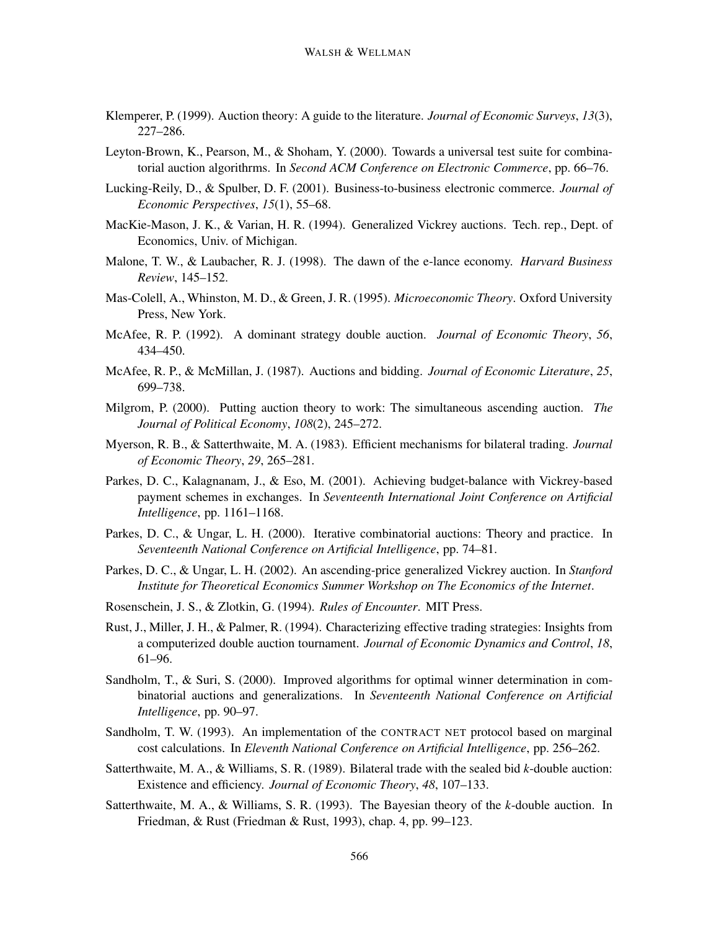- Klemperer, P. (1999). Auction theory: A guide to the literature. *Journal of Economic Surveys*, *13*(3), 227–286.
- Leyton-Brown, K., Pearson, M., & Shoham, Y. (2000). Towards a universal test suite for combinatorial auction algorithrms. In *Second ACM Conference on Electronic Commerce*, pp. 66–76.
- Lucking-Reily, D., & Spulber, D. F. (2001). Business-to-business electronic commerce. *Journal of Economic Perspectives*, *15*(1), 55–68.
- MacKie-Mason, J. K., & Varian, H. R. (1994). Generalized Vickrey auctions. Tech. rep., Dept. of Economics, Univ. of Michigan.
- Malone, T. W., & Laubacher, R. J. (1998). The dawn of the e-lance economy. *Harvard Business Review*, 145–152.
- Mas-Colell, A., Whinston, M. D., & Green, J. R. (1995). *Microeconomic Theory*. Oxford University Press, New York.
- McAfee, R. P. (1992). A dominant strategy double auction. *Journal of Economic Theory*, *56*, 434–450.
- McAfee, R. P., & McMillan, J. (1987). Auctions and bidding. *Journal of Economic Literature*, *25*, 699–738.
- Milgrom, P. (2000). Putting auction theory to work: The simultaneous ascending auction. *The Journal of Political Economy*, *108*(2), 245–272.
- Myerson, R. B., & Satterthwaite, M. A. (1983). Efficient mechanisms for bilateral trading. *Journal of Economic Theory*, *29*, 265–281.
- Parkes, D. C., Kalagnanam, J., & Eso, M. (2001). Achieving budget-balance with Vickrey-based payment schemes in exchanges. In *Seventeenth International Joint Conference on Artificial Intelligence*, pp. 1161–1168.
- Parkes, D. C., & Ungar, L. H. (2000). Iterative combinatorial auctions: Theory and practice. In *Seventeenth National Conference on Artificial Intelligence*, pp. 74–81.
- Parkes, D. C., & Ungar, L. H. (2002). An ascending-price generalized Vickrey auction. In *Stanford Institute for Theoretical Economics Summer Workshop on The Economics of the Internet*.
- Rosenschein, J. S., & Zlotkin, G. (1994). *Rules of Encounter*. MIT Press.
- Rust, J., Miller, J. H., & Palmer, R. (1994). Characterizing effective trading strategies: Insights from a computerized double auction tournament. *Journal of Economic Dynamics and Control*, *18*, 61–96.
- Sandholm, T., & Suri, S. (2000). Improved algorithms for optimal winner determination in combinatorial auctions and generalizations. In *Seventeenth National Conference on Artificial Intelligence*, pp. 90–97.
- Sandholm, T. W. (1993). An implementation of the CONTRACT NET protocol based on marginal cost calculations. In *Eleventh National Conference on Artificial Intelligence*, pp. 256–262.
- Satterthwaite, M. A., & Williams, S. R. (1989). Bilateral trade with the sealed bid *k*-double auction: Existence and efficiency. *Journal of Economic Theory*, *48*, 107–133.
- Satterthwaite, M. A., & Williams, S. R. (1993). The Bayesian theory of the *k*-double auction. In Friedman, & Rust (Friedman & Rust, 1993), chap. 4, pp. 99–123.